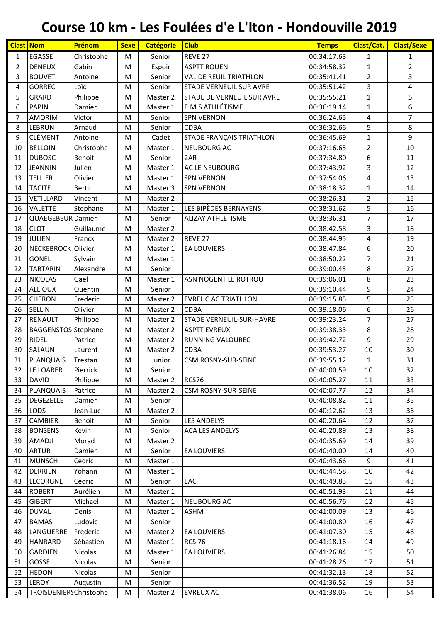| <b>Clast Nom</b> |                                  | Prénom                      | <b>Sexe</b> | <b>Catégorie</b>   | <b>Club</b>                       | <b>Temps</b>               | Clast/Cat.     | <b>Clast/Sexe</b> |
|------------------|----------------------------------|-----------------------------|-------------|--------------------|-----------------------------------|----------------------------|----------------|-------------------|
| $\mathbf{1}$     | <b>EGASSE</b>                    | Christophe                  | M           | Senior             | REVE <sub>27</sub>                | 00:34:17.63                | 1              | $\mathbf{1}$      |
| $\overline{2}$   | <b>DENEUX</b>                    | Gabin                       | ${\sf M}$   | Espoir             | <b>ASPTT ROUEN</b>                | 00:34:58.32                | $\mathbf{1}$   | $\overline{2}$    |
| 3                | <b>BOUVET</b>                    | Antoine                     | M           | Senior             | <b>VAL DE REUIL TRIATHLON</b>     | 00:35:41.41                | $\overline{2}$ | 3                 |
| 4                | <b>GORREC</b>                    | Loïc                        | M           | Senior             | <b>STADE VERNEUIL SUR AVRE</b>    | 00:35:51.42                | 3              | 4                 |
| 5                | <b>GRARD</b>                     | Philippe                    | M           | Master 2           | <b>STADE DE VERNEUIL SUR AVRE</b> | 00:35:55.21                | $\mathbf 1$    | 5                 |
| 6                | <b>PAPIN</b>                     | Damien                      | M           | Master 1           | E.M.S ATHLÉTISME                  | 00:36:19.14                | $\mathbf{1}$   | 6                 |
| 7                | <b>AMORIM</b>                    | Victor                      | M           | Senior             | <b>SPN VERNON</b>                 | 00:36:24.65                | 4              | $\overline{7}$    |
| 8                | <b>LEBRUN</b>                    | Arnaud                      | M           | Senior             | <b>CDBA</b>                       | 00:36:32.66                | 5              | 8                 |
| $\boldsymbol{9}$ | <b>CLÉMENT</b>                   | Antoine                     | ${\sf M}$   | Cadet              | <b>STADE FRANÇAIS TRIATHLON</b>   | 00:36:45.69                | $\mathbf{1}$   | 9                 |
| 10               | <b>BELLOIN</b>                   | Christophe                  | M           | Master 1           | <b>NEUBOURG AC</b>                | 00:37:16.65                | $\overline{2}$ | 10                |
| 11               | <b>DUBOSC</b>                    | Benoit                      | M           | Senior             | 2AR                               | 00:37:34.80                | 6              | 11                |
| 12               | JEANNIN                          | Julien                      | M           | Master 1           | <b>AC LE NEUBOURG</b>             | 00:37:43.92                | 3              | 12                |
| 13               | <b>TELLIER</b>                   | Olivier                     | M           | Master 1           | <b>SPN VERNON</b>                 | 00:37:54.06                | 4              | 13                |
| 14               | <b>TACITE</b>                    | <b>Bertin</b>               | M           | Master 3           | <b>SPN VERNON</b>                 | 00:38:18.32                | $\mathbf{1}$   | 14                |
| 15               | VETILLARD                        | Vincent                     | M           | Master 2           |                                   | 00:38:26.31                | $\overline{2}$ | 15                |
| 16               | <b>VALETTE</b>                   | Stephane                    | ${\sf M}$   | Master 1           | LES BIPÈDES BERNAYENS             | 00:38:31.62                | 5              | 16                |
| 17               | QUAEGEBEUR Damien                |                             | M           | Senior             | <b>ALIZAY ATHLETISME</b>          | 00:38:36.31                | $\overline{7}$ | 17                |
| 18               | <b>CLOT</b>                      | Guillaume                   | M           | Master 2           |                                   | 00:38:42.58                | 3              | 18                |
| 19               | JULIEN                           | Franck                      | M           | Master 2           | REVE 27                           | 00:38:44.95                | 4              | 19                |
| 20               | NECKEBROCK Olivier               |                             | M           | Master 1           | <b>EA LOUVIERS</b>                | 00:38:47.84                | 6              | 20                |
| 21               | <b>GONEL</b>                     | Sylvain                     | M           | Master 1           |                                   | 00:38:50.22                | $\overline{7}$ | 21                |
| 22               | <b>TARTARIN</b>                  | Alexandre                   | M           | Senior             |                                   | 00:39:00.45                | 8              | 22                |
| 23               | <b>NICOLAS</b>                   | Gaël                        | M           | Master 1           | ASN NOGENT LE ROTROU              | 00:39:06.01                | 8              | 23                |
| 24               | <b>ALLIOUX</b>                   | Quentin                     | M           | Senior             |                                   | 00:39:10.44                | 9              | 24                |
| 25               | <b>CHERON</b>                    | Frederic                    | M           | Master 2           | <b>EVREUC.AC TRIATHLON</b>        | 00:39:15.85                | 5              | 25                |
| 26               | SELLIN                           | Olivier                     | M           | Master 2           | <b>CDBA</b>                       | 00:39:18.06                | 6              | 26                |
| 27               | RENAULT                          | Philippe                    | M           | Master 2           | <b>STADE VERNEUIL-SUR-HAVRE</b>   | 00:39:23.24                | $\overline{7}$ | 27                |
| 28               | <b>BAGGENSTOS</b> Stephane       |                             | M           | Master 2           | <b>ASPTT EVREUX</b>               | 00:39:38.33                | 8              | 28                |
| 29               | <b>RIDEL</b>                     | Patrice                     | M           | Master 2           | <b>RUNNING VALOUREC</b>           | 00:39:42.72                | 9              | 29                |
| 30               | <b>SALAUN</b>                    | Laurent                     | M           | Master 2           | <b>CDBA</b>                       | 00:39:53.27                | 10             | 30                |
| 31               | PLANQUAIS                        | Trestan                     | M           | Junior             | <b>CSM ROSNY-SUR-SEINE</b>        | 00:39:55.12                | $\mathbf{1}$   | 31                |
| 32 <sub>2</sub>  | LE LOARER                        | Pierrick                    | M           | Senior             |                                   | 00:40:00.59                | $10\,$         | $\overline{32}$   |
| 33               | <b>DAVID</b>                     | Philippe                    | M           | Master 2           | RCS76                             | 00:40:05.27                | 11             | 33                |
| 34               | <b>PLANQUAIS</b>                 | Patrice                     | M           | Master 2           | <b>CSM ROSNY-SUR-SEINE</b>        | 00:40:07.77                | 12             | 34                |
| 35               | <b>DEGEZELLE</b>                 | Damien                      | M           | Senior             |                                   | 00:40:08.82                | 11             | 35                |
| 36               | <b>LODS</b>                      | Jean-Luc                    | M           | Master 2           |                                   | 00:40:12.62                | 13             | 36                |
| 37               | <b>CAMBIER</b>                   | Benoit                      | M           | Senior             | <b>LES ANDELYS</b>                | 00:40:20.64                | 12             | 37                |
| 38               | <b>BONSENS</b>                   | Kevin                       | M           | Senior             | <b>ACA LES ANDELYS</b>            | 00:40:20.89                | 13             | 38                |
| 39               | <b>AMADJI</b>                    | Morad                       | M           | Master 2           |                                   | 00:40:35.69                | 14             | 39                |
| 40               | <b>ARTUR</b>                     | Damien                      | M           | Senior             | <b>EA LOUVIERS</b>                | 00:40:40.00                | 14             | 40                |
| 41               | <b>MUNSCH</b>                    | Cedric                      | M           | Master 1           |                                   | 00:40:43.66                | 9              | 41                |
| 42               | <b>DERRIEN</b>                   | Yohann                      | M           | Master 1           |                                   | 00:40:44.58                | 10             | 42                |
| 43               | <b>LECORGNE</b>                  | Cedric                      | M           | Senior             | EAC                               | 00:40:49.83                | 15             | 43                |
| 44               | <b>ROBERT</b>                    | Aurélien                    | M           | Master 1           |                                   | 00:40:51.93                | 11             | 44                |
| 45               | <b>GIBERT</b>                    | Michael                     |             |                    | <b>NEUBOURG AC</b>                | 00:40:56.76                | 12             | 45                |
|                  |                                  |                             | M           | Master 1           |                                   |                            |                | 46                |
| 46<br>47         | <b>DUVAL</b><br><b>BAMAS</b>     | Denis                       | М           | Master 1           | <b>ASHM</b>                       | 00:41:00.09                | 13             | 47                |
| 48               | LANGUERRE                        | Ludovic<br>Frederic         | M           | Senior<br>Master 2 | <b>EA LOUVIERS</b>                | 00:41:00.80<br>00:41:07.30 | 16<br>15       | 48                |
|                  |                                  |                             | M           |                    |                                   |                            |                | 49                |
| 49               | <b>HANRARD</b><br><b>GARDIEN</b> | Sébastien<br><b>Nicolas</b> | M           | Master 1           | <b>RCS 76</b>                     | 00:41:18.16                | 14             | 50                |
| 50               |                                  |                             | M           | Master 1           | <b>EA LOUVIERS</b>                | 00:41:26.84                | 15             |                   |
| 51               | <b>GOSSE</b>                     | Nicolas                     | M           | Senior             |                                   | 00:41:28.26                | 17             | 51                |
| 52               | <b>HEDON</b>                     | Nicolas                     | M           | Senior             |                                   | 00:41:32.13                | 18             | 52                |
| 53               | <b>LEROY</b>                     | Augustin                    | M           | Senior             |                                   | 00:41:36.52                | 19             | 53                |
| 54               | TROISDENIERS Christophe          |                             | M           | Master 2           | <b>EVREUX AC</b>                  | 00:41:38.06                | 16             | 54                |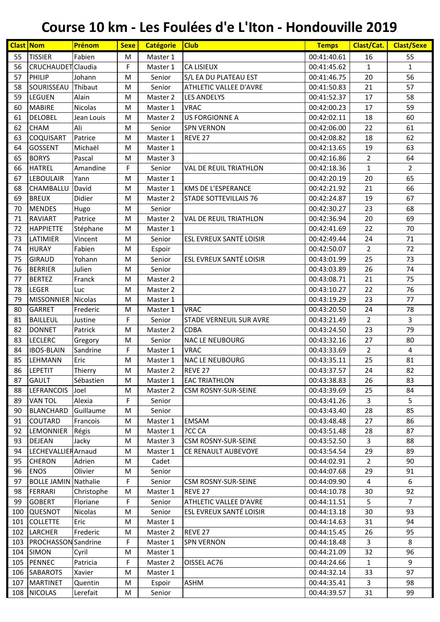| 55<br><b>TISSIER</b><br>Fabien<br>00:41:40.61<br>55<br>M<br>Master 1<br>16<br>56<br>F<br>CRUCHAUDET Claudia<br>CA LISIEUX<br>$\mathbf{1}$<br>$\mathbf{1}$<br>Master 1<br>00:41:45.62<br>57<br>PHILIP<br>20<br>56<br>M<br>S/L EA DU PLATEAU EST<br>00:41:46.75<br>Johann<br>Senior<br>21<br>57<br>58<br>SOURISSEAU<br>Thibaut<br>Senior<br>ATHLETIC VALLEE D'AVRE<br>00:41:50.83<br>M<br>59<br>LEGUEN<br>17<br>58<br>Alain<br>Master 2<br>00:41:52.37<br>M<br><b>LES ANDELYS</b><br>59<br>60<br><b>MABIRE</b><br>Nicolas<br><b>VRAC</b><br>00:42:00.23<br>17<br>Master 1<br>M<br><b>DELOBEL</b><br><b>US FORGIONNE A</b><br>00:42:02.11<br>18<br>60<br>61<br>Jean Louis<br>M<br>Master 2<br>61<br>62<br>Ali<br>22<br><b>CHAM</b><br>M<br>Senior<br><b>SPN VERNON</b><br>00:42:06.00<br>62<br>63<br><b>COQUISART</b><br>18<br>Patrice<br>Master 1<br>REVE <sub>27</sub><br>00:42:08.82<br>M<br>19<br>63<br>64<br>GOSSENT<br>Michaël<br>00:42:13.65<br>M<br>Master 1<br>64<br>65<br><b>BORYS</b><br>00:42:16.86<br>2<br>Pascal<br>M<br>Master 3<br>F<br>$\overline{2}$<br>66<br><b>HATREL</b><br>Amandine<br>00:42:18.36<br>$\mathbf{1}$<br>Senior<br>VAL DE REUIL TRIATHLON<br>65<br>67<br><b>LEBOULAIR</b><br>00:42:20.19<br>20<br>Yann<br>Master 1<br>M<br>66<br>21<br>68<br>CHAMBALLU<br>David<br>KMS DE L'ESPERANCE<br>M<br>Master 1<br>00:42:21.92<br>67<br>69<br><b>BREUX</b><br>Didier<br>19<br>Master 2<br>STADE SOTTEVILLAIS 76<br>00:42:24.87<br>M<br><b>MENDES</b><br>23<br>68<br>70<br>Senior<br>00:42:30.27<br>Hugo<br>M<br>20<br>69<br><b>RAVIART</b><br>Patrice<br>Master 2<br>VAL DE REUIL TRIATHLON<br>00:42:36.94<br>71<br>M<br>22<br>70<br>72<br><b>HAPPIETTE</b><br>00:42:41.69<br>Stéphane<br>M<br>Master 1<br>ESL EVREUX SANTÉ LOISIR<br>73<br>LATIMIER<br>00:42:49.44<br>24<br>71<br>Vincent<br>M<br>Senior<br><b>HURAY</b><br>Fabien<br>$\overline{2}$<br>72<br>74<br>M<br>00:42:50.07<br>Espoir<br>ESL EVREUX SANTÉ LOISIR<br>25<br>75<br><b>GIRAUD</b><br>73<br>Yohann<br>M<br>Senior<br>00:43:01.99<br>26<br>74<br>76<br><b>BERRIER</b><br>Julien<br>00:43:03.89<br>Senior<br>M<br>75<br>77<br><b>BERTEZ</b><br>Franck<br>Master 2<br>00:43:08.71<br>21<br>M<br><b>LEGER</b><br>22<br>76<br>78<br>00:43:10.27<br>Luc<br>M<br>Master 2<br>23<br>77<br>79<br>MISSONNIER Nicolas<br>00:43:19.29<br>M<br>Master 1 | <b>Clast Nom</b> | Prénom   | <b>Sexe</b> | <b>Catégorie</b> | <b>Club</b> | <b>Temps</b> | Clast/Cat. | <b>Clast/Sexe</b> |
|----------------------------------------------------------------------------------------------------------------------------------------------------------------------------------------------------------------------------------------------------------------------------------------------------------------------------------------------------------------------------------------------------------------------------------------------------------------------------------------------------------------------------------------------------------------------------------------------------------------------------------------------------------------------------------------------------------------------------------------------------------------------------------------------------------------------------------------------------------------------------------------------------------------------------------------------------------------------------------------------------------------------------------------------------------------------------------------------------------------------------------------------------------------------------------------------------------------------------------------------------------------------------------------------------------------------------------------------------------------------------------------------------------------------------------------------------------------------------------------------------------------------------------------------------------------------------------------------------------------------------------------------------------------------------------------------------------------------------------------------------------------------------------------------------------------------------------------------------------------------------------------------------------------------------------------------------------------------------------------------------------------------------------------------------------------------------------------------------------------------------------------------------------------------------------------------------------------------------------------------------------------------------------------------------------------------------------------|------------------|----------|-------------|------------------|-------------|--------------|------------|-------------------|
|                                                                                                                                                                                                                                                                                                                                                                                                                                                                                                                                                                                                                                                                                                                                                                                                                                                                                                                                                                                                                                                                                                                                                                                                                                                                                                                                                                                                                                                                                                                                                                                                                                                                                                                                                                                                                                                                                                                                                                                                                                                                                                                                                                                                                                                                                                                                        |                  |          |             |                  |             |              |            |                   |
|                                                                                                                                                                                                                                                                                                                                                                                                                                                                                                                                                                                                                                                                                                                                                                                                                                                                                                                                                                                                                                                                                                                                                                                                                                                                                                                                                                                                                                                                                                                                                                                                                                                                                                                                                                                                                                                                                                                                                                                                                                                                                                                                                                                                                                                                                                                                        |                  |          |             |                  |             |              |            |                   |
|                                                                                                                                                                                                                                                                                                                                                                                                                                                                                                                                                                                                                                                                                                                                                                                                                                                                                                                                                                                                                                                                                                                                                                                                                                                                                                                                                                                                                                                                                                                                                                                                                                                                                                                                                                                                                                                                                                                                                                                                                                                                                                                                                                                                                                                                                                                                        |                  |          |             |                  |             |              |            |                   |
|                                                                                                                                                                                                                                                                                                                                                                                                                                                                                                                                                                                                                                                                                                                                                                                                                                                                                                                                                                                                                                                                                                                                                                                                                                                                                                                                                                                                                                                                                                                                                                                                                                                                                                                                                                                                                                                                                                                                                                                                                                                                                                                                                                                                                                                                                                                                        |                  |          |             |                  |             |              |            |                   |
|                                                                                                                                                                                                                                                                                                                                                                                                                                                                                                                                                                                                                                                                                                                                                                                                                                                                                                                                                                                                                                                                                                                                                                                                                                                                                                                                                                                                                                                                                                                                                                                                                                                                                                                                                                                                                                                                                                                                                                                                                                                                                                                                                                                                                                                                                                                                        |                  |          |             |                  |             |              |            |                   |
|                                                                                                                                                                                                                                                                                                                                                                                                                                                                                                                                                                                                                                                                                                                                                                                                                                                                                                                                                                                                                                                                                                                                                                                                                                                                                                                                                                                                                                                                                                                                                                                                                                                                                                                                                                                                                                                                                                                                                                                                                                                                                                                                                                                                                                                                                                                                        |                  |          |             |                  |             |              |            |                   |
|                                                                                                                                                                                                                                                                                                                                                                                                                                                                                                                                                                                                                                                                                                                                                                                                                                                                                                                                                                                                                                                                                                                                                                                                                                                                                                                                                                                                                                                                                                                                                                                                                                                                                                                                                                                                                                                                                                                                                                                                                                                                                                                                                                                                                                                                                                                                        |                  |          |             |                  |             |              |            |                   |
|                                                                                                                                                                                                                                                                                                                                                                                                                                                                                                                                                                                                                                                                                                                                                                                                                                                                                                                                                                                                                                                                                                                                                                                                                                                                                                                                                                                                                                                                                                                                                                                                                                                                                                                                                                                                                                                                                                                                                                                                                                                                                                                                                                                                                                                                                                                                        |                  |          |             |                  |             |              |            |                   |
|                                                                                                                                                                                                                                                                                                                                                                                                                                                                                                                                                                                                                                                                                                                                                                                                                                                                                                                                                                                                                                                                                                                                                                                                                                                                                                                                                                                                                                                                                                                                                                                                                                                                                                                                                                                                                                                                                                                                                                                                                                                                                                                                                                                                                                                                                                                                        |                  |          |             |                  |             |              |            |                   |
|                                                                                                                                                                                                                                                                                                                                                                                                                                                                                                                                                                                                                                                                                                                                                                                                                                                                                                                                                                                                                                                                                                                                                                                                                                                                                                                                                                                                                                                                                                                                                                                                                                                                                                                                                                                                                                                                                                                                                                                                                                                                                                                                                                                                                                                                                                                                        |                  |          |             |                  |             |              |            |                   |
|                                                                                                                                                                                                                                                                                                                                                                                                                                                                                                                                                                                                                                                                                                                                                                                                                                                                                                                                                                                                                                                                                                                                                                                                                                                                                                                                                                                                                                                                                                                                                                                                                                                                                                                                                                                                                                                                                                                                                                                                                                                                                                                                                                                                                                                                                                                                        |                  |          |             |                  |             |              |            |                   |
|                                                                                                                                                                                                                                                                                                                                                                                                                                                                                                                                                                                                                                                                                                                                                                                                                                                                                                                                                                                                                                                                                                                                                                                                                                                                                                                                                                                                                                                                                                                                                                                                                                                                                                                                                                                                                                                                                                                                                                                                                                                                                                                                                                                                                                                                                                                                        |                  |          |             |                  |             |              |            |                   |
|                                                                                                                                                                                                                                                                                                                                                                                                                                                                                                                                                                                                                                                                                                                                                                                                                                                                                                                                                                                                                                                                                                                                                                                                                                                                                                                                                                                                                                                                                                                                                                                                                                                                                                                                                                                                                                                                                                                                                                                                                                                                                                                                                                                                                                                                                                                                        |                  |          |             |                  |             |              |            |                   |
|                                                                                                                                                                                                                                                                                                                                                                                                                                                                                                                                                                                                                                                                                                                                                                                                                                                                                                                                                                                                                                                                                                                                                                                                                                                                                                                                                                                                                                                                                                                                                                                                                                                                                                                                                                                                                                                                                                                                                                                                                                                                                                                                                                                                                                                                                                                                        |                  |          |             |                  |             |              |            |                   |
|                                                                                                                                                                                                                                                                                                                                                                                                                                                                                                                                                                                                                                                                                                                                                                                                                                                                                                                                                                                                                                                                                                                                                                                                                                                                                                                                                                                                                                                                                                                                                                                                                                                                                                                                                                                                                                                                                                                                                                                                                                                                                                                                                                                                                                                                                                                                        |                  |          |             |                  |             |              |            |                   |
|                                                                                                                                                                                                                                                                                                                                                                                                                                                                                                                                                                                                                                                                                                                                                                                                                                                                                                                                                                                                                                                                                                                                                                                                                                                                                                                                                                                                                                                                                                                                                                                                                                                                                                                                                                                                                                                                                                                                                                                                                                                                                                                                                                                                                                                                                                                                        |                  |          |             |                  |             |              |            |                   |
|                                                                                                                                                                                                                                                                                                                                                                                                                                                                                                                                                                                                                                                                                                                                                                                                                                                                                                                                                                                                                                                                                                                                                                                                                                                                                                                                                                                                                                                                                                                                                                                                                                                                                                                                                                                                                                                                                                                                                                                                                                                                                                                                                                                                                                                                                                                                        |                  |          |             |                  |             |              |            |                   |
|                                                                                                                                                                                                                                                                                                                                                                                                                                                                                                                                                                                                                                                                                                                                                                                                                                                                                                                                                                                                                                                                                                                                                                                                                                                                                                                                                                                                                                                                                                                                                                                                                                                                                                                                                                                                                                                                                                                                                                                                                                                                                                                                                                                                                                                                                                                                        |                  |          |             |                  |             |              |            |                   |
|                                                                                                                                                                                                                                                                                                                                                                                                                                                                                                                                                                                                                                                                                                                                                                                                                                                                                                                                                                                                                                                                                                                                                                                                                                                                                                                                                                                                                                                                                                                                                                                                                                                                                                                                                                                                                                                                                                                                                                                                                                                                                                                                                                                                                                                                                                                                        |                  |          |             |                  |             |              |            |                   |
|                                                                                                                                                                                                                                                                                                                                                                                                                                                                                                                                                                                                                                                                                                                                                                                                                                                                                                                                                                                                                                                                                                                                                                                                                                                                                                                                                                                                                                                                                                                                                                                                                                                                                                                                                                                                                                                                                                                                                                                                                                                                                                                                                                                                                                                                                                                                        |                  |          |             |                  |             |              |            |                   |
|                                                                                                                                                                                                                                                                                                                                                                                                                                                                                                                                                                                                                                                                                                                                                                                                                                                                                                                                                                                                                                                                                                                                                                                                                                                                                                                                                                                                                                                                                                                                                                                                                                                                                                                                                                                                                                                                                                                                                                                                                                                                                                                                                                                                                                                                                                                                        |                  |          |             |                  |             |              |            |                   |
|                                                                                                                                                                                                                                                                                                                                                                                                                                                                                                                                                                                                                                                                                                                                                                                                                                                                                                                                                                                                                                                                                                                                                                                                                                                                                                                                                                                                                                                                                                                                                                                                                                                                                                                                                                                                                                                                                                                                                                                                                                                                                                                                                                                                                                                                                                                                        |                  |          |             |                  |             |              |            |                   |
|                                                                                                                                                                                                                                                                                                                                                                                                                                                                                                                                                                                                                                                                                                                                                                                                                                                                                                                                                                                                                                                                                                                                                                                                                                                                                                                                                                                                                                                                                                                                                                                                                                                                                                                                                                                                                                                                                                                                                                                                                                                                                                                                                                                                                                                                                                                                        |                  |          |             |                  |             |              |            |                   |
|                                                                                                                                                                                                                                                                                                                                                                                                                                                                                                                                                                                                                                                                                                                                                                                                                                                                                                                                                                                                                                                                                                                                                                                                                                                                                                                                                                                                                                                                                                                                                                                                                                                                                                                                                                                                                                                                                                                                                                                                                                                                                                                                                                                                                                                                                                                                        |                  |          |             |                  |             |              |            |                   |
|                                                                                                                                                                                                                                                                                                                                                                                                                                                                                                                                                                                                                                                                                                                                                                                                                                                                                                                                                                                                                                                                                                                                                                                                                                                                                                                                                                                                                                                                                                                                                                                                                                                                                                                                                                                                                                                                                                                                                                                                                                                                                                                                                                                                                                                                                                                                        |                  |          |             |                  |             |              |            |                   |
| 80                                                                                                                                                                                                                                                                                                                                                                                                                                                                                                                                                                                                                                                                                                                                                                                                                                                                                                                                                                                                                                                                                                                                                                                                                                                                                                                                                                                                                                                                                                                                                                                                                                                                                                                                                                                                                                                                                                                                                                                                                                                                                                                                                                                                                                                                                                                                     | GARRET           | Frederic | M           | Master 1         | <b>VRAC</b> | 00:43:20.50  | 24         | 78                |
| F<br>$\overline{3}$<br><b>BAILLEUL</b><br>Senior<br>$\overline{2}$<br>81<br>STADE VERNEUIL SUR AVRE<br>00:43:21.49<br>Justine                                                                                                                                                                                                                                                                                                                                                                                                                                                                                                                                                                                                                                                                                                                                                                                                                                                                                                                                                                                                                                                                                                                                                                                                                                                                                                                                                                                                                                                                                                                                                                                                                                                                                                                                                                                                                                                                                                                                                                                                                                                                                                                                                                                                          |                  |          |             |                  |             |              |            |                   |
| 23<br>79<br>82<br><b>DONNET</b><br>Patrick<br>M<br><b>CDBA</b><br>Master 2<br>00:43:24.50                                                                                                                                                                                                                                                                                                                                                                                                                                                                                                                                                                                                                                                                                                                                                                                                                                                                                                                                                                                                                                                                                                                                                                                                                                                                                                                                                                                                                                                                                                                                                                                                                                                                                                                                                                                                                                                                                                                                                                                                                                                                                                                                                                                                                                              |                  |          |             |                  |             |              |            |                   |
| <b>LECLERC</b><br>27<br>80<br>83<br>00:43:32.16<br>Senior<br><b>NAC LE NEUBOURG</b><br>Gregory<br>M                                                                                                                                                                                                                                                                                                                                                                                                                                                                                                                                                                                                                                                                                                                                                                                                                                                                                                                                                                                                                                                                                                                                                                                                                                                                                                                                                                                                                                                                                                                                                                                                                                                                                                                                                                                                                                                                                                                                                                                                                                                                                                                                                                                                                                    |                  |          |             |                  |             |              |            |                   |
| F<br>$\overline{2}$<br>4<br>84<br><b>IBOS-BLAIN</b><br>Sandrine<br><b>VRAC</b><br>00:43:33.69<br>Master 1                                                                                                                                                                                                                                                                                                                                                                                                                                                                                                                                                                                                                                                                                                                                                                                                                                                                                                                                                                                                                                                                                                                                                                                                                                                                                                                                                                                                                                                                                                                                                                                                                                                                                                                                                                                                                                                                                                                                                                                                                                                                                                                                                                                                                              |                  |          |             |                  |             |              |            |                   |
| 85<br>LEHMANN<br><b>NAC LE NEUBOURG</b><br>00:43:35.11<br>25<br>81<br>Eric<br>Master 1<br>M                                                                                                                                                                                                                                                                                                                                                                                                                                                                                                                                                                                                                                                                                                                                                                                                                                                                                                                                                                                                                                                                                                                                                                                                                                                                                                                                                                                                                                                                                                                                                                                                                                                                                                                                                                                                                                                                                                                                                                                                                                                                                                                                                                                                                                            |                  |          |             |                  |             |              |            |                   |
| Thierry<br>24<br>82<br>86<br>LEPETIT<br>00:43:37.57<br>REVE 27<br>M<br>Master 2                                                                                                                                                                                                                                                                                                                                                                                                                                                                                                                                                                                                                                                                                                                                                                                                                                                                                                                                                                                                                                                                                                                                                                                                                                                                                                                                                                                                                                                                                                                                                                                                                                                                                                                                                                                                                                                                                                                                                                                                                                                                                                                                                                                                                                                        |                  |          |             |                  |             |              |            |                   |
| 83<br>87<br><b>GAULT</b><br>Sébastien<br><b>EAC TRIATHLON</b><br>00:43:38.83<br>26<br>M<br>Master 1                                                                                                                                                                                                                                                                                                                                                                                                                                                                                                                                                                                                                                                                                                                                                                                                                                                                                                                                                                                                                                                                                                                                                                                                                                                                                                                                                                                                                                                                                                                                                                                                                                                                                                                                                                                                                                                                                                                                                                                                                                                                                                                                                                                                                                    |                  |          |             |                  |             |              |            |                   |
| 25<br>88<br><b>LEFRANCOIS</b><br>Joel<br><b>CSM ROSNY-SUR-SEINE</b><br>00:43:39.69<br>84<br>M<br>Master 2                                                                                                                                                                                                                                                                                                                                                                                                                                                                                                                                                                                                                                                                                                                                                                                                                                                                                                                                                                                                                                                                                                                                                                                                                                                                                                                                                                                                                                                                                                                                                                                                                                                                                                                                                                                                                                                                                                                                                                                                                                                                                                                                                                                                                              |                  |          |             |                  |             |              |            |                   |
| F<br>5<br>VAN TOL<br>Alexia<br>3<br>89<br>Senior<br>00:43:41.26                                                                                                                                                                                                                                                                                                                                                                                                                                                                                                                                                                                                                                                                                                                                                                                                                                                                                                                                                                                                                                                                                                                                                                                                                                                                                                                                                                                                                                                                                                                                                                                                                                                                                                                                                                                                                                                                                                                                                                                                                                                                                                                                                                                                                                                                        |                  |          |             |                  |             |              |            |                   |
| Guillaume<br><b>BLANCHARD</b><br>00:43:43.40<br>28<br>85<br>90<br>Senior<br>M                                                                                                                                                                                                                                                                                                                                                                                                                                                                                                                                                                                                                                                                                                                                                                                                                                                                                                                                                                                                                                                                                                                                                                                                                                                                                                                                                                                                                                                                                                                                                                                                                                                                                                                                                                                                                                                                                                                                                                                                                                                                                                                                                                                                                                                          |                  |          |             |                  |             |              |            |                   |
| COUTARD<br>Francois<br><b>EMSAM</b><br>00:43:48.48<br>86<br>91<br>M<br>Master 1<br>27                                                                                                                                                                                                                                                                                                                                                                                                                                                                                                                                                                                                                                                                                                                                                                                                                                                                                                                                                                                                                                                                                                                                                                                                                                                                                                                                                                                                                                                                                                                                                                                                                                                                                                                                                                                                                                                                                                                                                                                                                                                                                                                                                                                                                                                  |                  |          |             |                  |             |              |            |                   |
| LEMONNIER<br>Régis<br>PCC CA<br>00:43:51.48<br>87<br>92<br>Master 1<br>28<br>M                                                                                                                                                                                                                                                                                                                                                                                                                                                                                                                                                                                                                                                                                                                                                                                                                                                                                                                                                                                                                                                                                                                                                                                                                                                                                                                                                                                                                                                                                                                                                                                                                                                                                                                                                                                                                                                                                                                                                                                                                                                                                                                                                                                                                                                         |                  |          |             |                  |             |              |            |                   |
| DEJEAN<br>Jacky<br>93<br>M<br>Master 3<br>CSM ROSNY-SUR-SEINE<br>00:43:52.50<br>3<br>88                                                                                                                                                                                                                                                                                                                                                                                                                                                                                                                                                                                                                                                                                                                                                                                                                                                                                                                                                                                                                                                                                                                                                                                                                                                                                                                                                                                                                                                                                                                                                                                                                                                                                                                                                                                                                                                                                                                                                                                                                                                                                                                                                                                                                                                |                  |          |             |                  |             |              |            |                   |
| 94<br><b>LECHEVALLIER Arnaud</b><br>Master 1<br>CE RENAULT AUBEVOYE<br>00:43:54.54<br>29<br>89<br>M                                                                                                                                                                                                                                                                                                                                                                                                                                                                                                                                                                                                                                                                                                                                                                                                                                                                                                                                                                                                                                                                                                                                                                                                                                                                                                                                                                                                                                                                                                                                                                                                                                                                                                                                                                                                                                                                                                                                                                                                                                                                                                                                                                                                                                    |                  |          |             |                  |             |              |            |                   |
| 95<br>$\overline{2}$<br><b>CHERON</b><br>Adrien<br>Cadet<br>00:44:02.91<br>90<br>M                                                                                                                                                                                                                                                                                                                                                                                                                                                                                                                                                                                                                                                                                                                                                                                                                                                                                                                                                                                                                                                                                                                                                                                                                                                                                                                                                                                                                                                                                                                                                                                                                                                                                                                                                                                                                                                                                                                                                                                                                                                                                                                                                                                                                                                     |                  |          |             |                  |             |              |            |                   |
| 96<br><b>ENOS</b><br>29<br>Olivier<br>Senior<br>00:44:07.68<br>91<br>M                                                                                                                                                                                                                                                                                                                                                                                                                                                                                                                                                                                                                                                                                                                                                                                                                                                                                                                                                                                                                                                                                                                                                                                                                                                                                                                                                                                                                                                                                                                                                                                                                                                                                                                                                                                                                                                                                                                                                                                                                                                                                                                                                                                                                                                                 |                  |          |             |                  |             |              |            |                   |
| <b>BOLLE JAMIN Nathalie</b><br>F<br>00:44:09.90<br>6<br>97<br>Senior<br><b>CSM ROSNY-SUR-SEINE</b><br>4                                                                                                                                                                                                                                                                                                                                                                                                                                                                                                                                                                                                                                                                                                                                                                                                                                                                                                                                                                                                                                                                                                                                                                                                                                                                                                                                                                                                                                                                                                                                                                                                                                                                                                                                                                                                                                                                                                                                                                                                                                                                                                                                                                                                                                |                  |          |             |                  |             |              |            |                   |
| FERRARI<br>00:44:10.78<br>92<br>98<br>Christophe<br>Master 1<br>REVE 27<br>30<br>M                                                                                                                                                                                                                                                                                                                                                                                                                                                                                                                                                                                                                                                                                                                                                                                                                                                                                                                                                                                                                                                                                                                                                                                                                                                                                                                                                                                                                                                                                                                                                                                                                                                                                                                                                                                                                                                                                                                                                                                                                                                                                                                                                                                                                                                     |                  |          |             |                  |             |              |            |                   |
| F<br>$\overline{7}$<br>99<br><b>GOBERT</b><br>Floriane<br>ATHLETIC VALLEE D'AVRE<br>00:44:11.51<br>5<br>Senior                                                                                                                                                                                                                                                                                                                                                                                                                                                                                                                                                                                                                                                                                                                                                                                                                                                                                                                                                                                                                                                                                                                                                                                                                                                                                                                                                                                                                                                                                                                                                                                                                                                                                                                                                                                                                                                                                                                                                                                                                                                                                                                                                                                                                         |                  |          |             |                  |             |              |            |                   |
| ESL EVREUX SANTÉ LOISIR<br><b>QUESNOT</b><br>Nicolas<br>30<br>93<br>100<br>M<br>Senior<br>00:44:13.18                                                                                                                                                                                                                                                                                                                                                                                                                                                                                                                                                                                                                                                                                                                                                                                                                                                                                                                                                                                                                                                                                                                                                                                                                                                                                                                                                                                                                                                                                                                                                                                                                                                                                                                                                                                                                                                                                                                                                                                                                                                                                                                                                                                                                                  |                  |          |             |                  |             |              |            |                   |
| <b>COLLETTE</b><br>Eric<br>Master 1<br>00:44:14.63<br>31<br>94<br>101<br>M                                                                                                                                                                                                                                                                                                                                                                                                                                                                                                                                                                                                                                                                                                                                                                                                                                                                                                                                                                                                                                                                                                                                                                                                                                                                                                                                                                                                                                                                                                                                                                                                                                                                                                                                                                                                                                                                                                                                                                                                                                                                                                                                                                                                                                                             |                  |          |             |                  |             |              |            |                   |
| LARCHER<br>102<br>Frederic<br>Master 2<br>REVE 27<br>00:44:15.45<br>95<br>M<br>26                                                                                                                                                                                                                                                                                                                                                                                                                                                                                                                                                                                                                                                                                                                                                                                                                                                                                                                                                                                                                                                                                                                                                                                                                                                                                                                                                                                                                                                                                                                                                                                                                                                                                                                                                                                                                                                                                                                                                                                                                                                                                                                                                                                                                                                      |                  |          |             |                  |             |              |            |                   |
| <b>PROCHASSON Sandrine</b><br>F<br>8<br>3<br>103<br>Master 1<br><b>SPN VERNON</b><br>00:44:18.48                                                                                                                                                                                                                                                                                                                                                                                                                                                                                                                                                                                                                                                                                                                                                                                                                                                                                                                                                                                                                                                                                                                                                                                                                                                                                                                                                                                                                                                                                                                                                                                                                                                                                                                                                                                                                                                                                                                                                                                                                                                                                                                                                                                                                                       |                  |          |             |                  |             |              |            |                   |
| 104 SIMON<br>00:44:21.09<br>32<br>96<br>Cyril<br>M<br>Master 1                                                                                                                                                                                                                                                                                                                                                                                                                                                                                                                                                                                                                                                                                                                                                                                                                                                                                                                                                                                                                                                                                                                                                                                                                                                                                                                                                                                                                                                                                                                                                                                                                                                                                                                                                                                                                                                                                                                                                                                                                                                                                                                                                                                                                                                                         |                  |          |             |                  |             |              |            |                   |
| 105 PENNEC<br>F<br>9<br>Patricia<br>Master 2<br>OISSEL AC76<br>00:44:24.66<br>1                                                                                                                                                                                                                                                                                                                                                                                                                                                                                                                                                                                                                                                                                                                                                                                                                                                                                                                                                                                                                                                                                                                                                                                                                                                                                                                                                                                                                                                                                                                                                                                                                                                                                                                                                                                                                                                                                                                                                                                                                                                                                                                                                                                                                                                        |                  |          |             |                  |             |              |            |                   |
| 106 SABAROTS<br>00:44:32.14<br>33<br>97<br>Xavier<br>M<br>Master 1                                                                                                                                                                                                                                                                                                                                                                                                                                                                                                                                                                                                                                                                                                                                                                                                                                                                                                                                                                                                                                                                                                                                                                                                                                                                                                                                                                                                                                                                                                                                                                                                                                                                                                                                                                                                                                                                                                                                                                                                                                                                                                                                                                                                                                                                     |                  |          |             |                  |             |              |            |                   |
| <b>MARTINET</b><br>3<br>98<br>107<br>Quentin<br>M<br>ASHM<br>00:44:35.41<br>Espoir                                                                                                                                                                                                                                                                                                                                                                                                                                                                                                                                                                                                                                                                                                                                                                                                                                                                                                                                                                                                                                                                                                                                                                                                                                                                                                                                                                                                                                                                                                                                                                                                                                                                                                                                                                                                                                                                                                                                                                                                                                                                                                                                                                                                                                                     |                  |          |             |                  |             |              |            |                   |
| <b>NICOLAS</b><br>Lerefait<br>108<br>00:44:39.57<br>31<br>99<br>M<br>Senior                                                                                                                                                                                                                                                                                                                                                                                                                                                                                                                                                                                                                                                                                                                                                                                                                                                                                                                                                                                                                                                                                                                                                                                                                                                                                                                                                                                                                                                                                                                                                                                                                                                                                                                                                                                                                                                                                                                                                                                                                                                                                                                                                                                                                                                            |                  |          |             |                  |             |              |            |                   |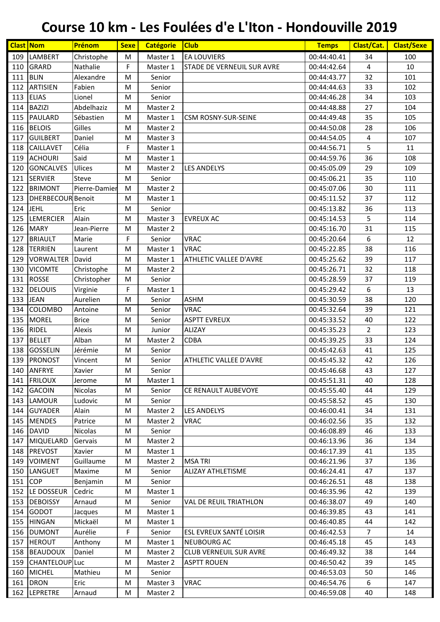| <b>Clast Nom</b> |                          | Prénom         | <b>Sexe</b>                                                                                                | <b>Catégorie</b> | <b>Club</b>                       | <b>Temps</b> | Clast/Cat.              | <b>Clast/Sexe</b> |
|------------------|--------------------------|----------------|------------------------------------------------------------------------------------------------------------|------------------|-----------------------------------|--------------|-------------------------|-------------------|
| 109              | <b>LAMBERT</b>           | Christophe     | М                                                                                                          | Master 1         | <b>EA LOUVIERS</b>                | 00:44:40.41  | 34                      | 100               |
| 110              | <b>GRARD</b>             | Nathalie       | F                                                                                                          | Master 1         | <b>STADE DE VERNEUIL SUR AVRE</b> | 00:44:42.64  | $\overline{4}$          | 10                |
| 111              | <b>BLIN</b>              | Alexandre      | M                                                                                                          | Senior           |                                   | 00:44:43.77  | 32                      | 101               |
| 112              | <b>ARTISIEN</b>          | Fabien         | M                                                                                                          | Senior           |                                   | 00:44:44.63  | 33                      | 102               |
| 113              | <b>ELIAS</b>             | Lionel         | M                                                                                                          | Senior           |                                   | 00:44:46.28  | 34                      | 103               |
| 114              | <b>BAZIZI</b>            | Abdelhaziz     | M                                                                                                          | Master 2         |                                   | 00:44:48.88  | 27                      | 104               |
| 115              | PAULARD                  | Sébastien      | M                                                                                                          | Master 1         | <b>CSM ROSNY-SUR-SEINE</b>        | 00:44:49.48  | 35                      | 105               |
| 116              | <b>BELOIS</b>            | Gilles         | M                                                                                                          | Master 2         |                                   | 00:44:50.08  | 28                      | 106               |
| 117              | <b>GUILBERT</b>          | Daniel         | M                                                                                                          | Master 3         |                                   | 00:44:54.05  | $\overline{\mathbf{4}}$ | 107               |
| 118              | <b>CAILLAVET</b>         | Célia          | F                                                                                                          | Master 1         |                                   | 00:44:56.71  | 5                       | 11                |
| 119              | <b>ACHOURI</b>           | Said           | M                                                                                                          | Master 1         |                                   | 00:44:59.76  | 36                      | 108               |
| 120              | <b>GONCALVES</b>         | Ulices         | M                                                                                                          | Master 2         | <b>LES ANDELYS</b>                | 00:45:05.09  | 29                      | 109               |
| 121              | <b>SERVIER</b>           | Steve          | M                                                                                                          | Senior           |                                   | 00:45:06.21  | 35                      | 110               |
| 122              | <b>BRIMONT</b>           | Pierre-Damier  | M                                                                                                          | Master 2         |                                   | 00:45:07.06  | 30                      | 111               |
| 123              | <b>DHERBECOUR Benoit</b> |                | M                                                                                                          | Master 1         |                                   | 00:45:11.52  | 37                      | 112               |
| 124              | <b>JEHL</b>              | Eric           | M                                                                                                          | Senior           |                                   | 00:45:13.82  | 36                      | 113               |
| 125              | LEMERCIER                | Alain          | М                                                                                                          | Master 3         | <b>EVREUX AC</b>                  | 00:45:14.53  | 5                       | 114               |
| 126              | <b>MARY</b>              | Jean-Pierre    | M                                                                                                          | Master 2         |                                   | 00:45:16.70  | 31                      | 115               |
| 127              | <b>BRIAULT</b>           | Marie          | F                                                                                                          | Senior           | <b>VRAC</b>                       | 00:45:20.64  | 6                       | 12                |
| 128              | <b>TERRIEN</b>           | Laurent        | M                                                                                                          | Master 1         | <b>VRAC</b>                       | 00:45:22.85  | 38                      | 116               |
| 129              | <b>VORWALTER</b>         | David          | M                                                                                                          | Master 1         | ATHLETIC VALLEE D'AVRE            | 00:45:25.62  | 39                      | 117               |
| 130              | <b>VICOMTE</b>           | Christophe     | M                                                                                                          | Master 2         |                                   | 00:45:26.71  | 32                      | 118               |
| 131              | <b>ROSSE</b>             | Christopher    | M                                                                                                          | Senior           |                                   | 00:45:28.59  | 37                      | 119               |
| 132              | <b>DELOUIS</b>           | Virginie       | F                                                                                                          | Master 1         |                                   | 00:45:29.42  | 6                       | 13                |
| 133              | <b>JEAN</b>              | Aurelien       | M                                                                                                          | Senior           | <b>ASHM</b>                       | 00:45:30.59  | 38                      | 120               |
| 134              | <b>COLOMBO</b>           | Antoine        | M                                                                                                          | Senior           | <b>VRAC</b>                       | 00:45:32.64  | 39                      | 121               |
| 135              | <b>MOREL</b>             | <b>Brice</b>   | M                                                                                                          | Senior           | <b>ASPTT EVREUX</b>               | 00:45:33.52  | 40                      | 122               |
| 136              | RIDEL                    | Alexis         | M                                                                                                          | Junior           | ALIZAY                            | 00:45:35.23  | $\overline{2}$          | 123               |
| 137              | <b>BELLET</b>            | Alban          | M                                                                                                          | Master 2         | <b>CDBA</b>                       | 00:45:39.25  | 33                      | 124               |
| 138              | <b>GOSSELIN</b>          | Jérémie        | M                                                                                                          | Senior           |                                   | 00:45:42.63  | 41                      | 125               |
|                  | 139 PRONOST              | Vincent        | M                                                                                                          | Senior           | ATHLETIC VALLEE D'AVRE            | 00:45:45.32  | 42                      | 126               |
|                  | 140 ANFRYE               | Xavier         | $\mathsf{M}% _{T}=\mathsf{M}_{T}\!\left( a,b\right) ,\ \mathsf{M}_{T}=\mathsf{M}_{T}\!\left( a,b\right) ,$ | Senior           |                                   | 00:45:46.68  | 43                      | 127               |
|                  | 141 FRILOUX              | Jerome         | M                                                                                                          | Master 1         |                                   | 00:45:51.31  | 40                      | 128               |
| 142              | <b>GACOIN</b>            | <b>Nicolas</b> | M                                                                                                          | Senior           | CE RENAULT AUBEVOYE               | 00:45:55.40  | 44                      | 129               |
| 143              | <b>LAMOUR</b>            | Ludovic        | M                                                                                                          | Senior           |                                   | 00:45:58.52  | 45                      | 130               |
| 144              | <b>GUYADER</b>           | Alain          | M                                                                                                          | Master 2         | <b>LES ANDELYS</b>                | 00:46:00.41  | 34                      | 131               |
|                  | 145 MENDES               | Patrice        | М                                                                                                          | Master 2         | <b>VRAC</b>                       | 00:46:02.56  | 35                      | 132               |
|                  | 146 DAVID                | Nicolas        | М                                                                                                          | Senior           |                                   | 00:46:08.89  | 46                      | 133               |
| 147              | <b>MIQUELARD</b>         | Gervais        | M                                                                                                          | Master 2         |                                   | 00:46:13.96  | 36                      | 134               |
| 148              | PREVOST                  | Xavier         | М                                                                                                          | Master 1         |                                   | 00:46:17.39  | 41                      | 135               |
| 149              | <b>VOIMENT</b>           | Guillaume      | M                                                                                                          | Master 2         | <b>MSA TRI</b>                    | 00:46:21.96  | 37                      | 136               |
| 150              | LANGUET                  | Maxime         | М                                                                                                          | Senior           | ALIZAY ATHLETISME                 | 00:46:24.41  | 47                      | 137               |
| 151              | <b>COP</b>               | Benjamin       | M                                                                                                          | Senior           |                                   | 00:46:26.51  | 48                      | 138               |
| 152              | LE DOSSEUR               | Cedric         | М                                                                                                          | Master 1         |                                   | 00:46:35.96  | 42                      | 139               |
| 153              | <b>DEBOISSY</b>          | Arnaud         | M                                                                                                          | Senior           | VAL DE REUIL TRIATHLON            | 00:46:38.07  | 49                      | 140               |
| 154              | <b>GODOT</b>             | Jacques        | M                                                                                                          | Master 1         |                                   | 00:46:39.85  | 43                      | 141               |
| 155              | <b>HINGAN</b>            | Mickaël        | М                                                                                                          | Master 1         |                                   | 00:46:40.85  | 44                      | 142               |
| 156              | <b>DUMONT</b>            | Aurélie        | F                                                                                                          | Senior           | ESL EVREUX SANTÉ LOISIR           | 00:46:42.53  | $\overline{7}$          | 14                |
| 157              | <b>HEROUT</b>            | Anthony        | M                                                                                                          | Master 1         | <b>NEUBOURG AC</b>                | 00:46:45.18  | 45                      | 143               |
|                  | 158 BEAUDOUX             | Daniel         | M                                                                                                          | Master 2         | <b>CLUB VERNEUIL SUR AVRE</b>     | 00:46:49.32  | 38                      | 144               |
| 159              | CHANTELOUP Luc           |                | М                                                                                                          | Master 2         | <b>ASPTT ROUEN</b>                | 00:46:50.42  | 39                      | 145               |
| 160              | <b>MICHEL</b>            | Mathieu        | M                                                                                                          | Senior           |                                   | 00:46:53.03  | 50                      | 146               |
| 161              | <b>DRON</b>              | Eric           | M                                                                                                          | Master 3         | VRAC                              | 00:46:54.76  | 6                       | 147               |
|                  | 162 LEPRETRE             | Arnaud         | М                                                                                                          | Master 2         |                                   | 00:46:59.08  | 40                      | 148               |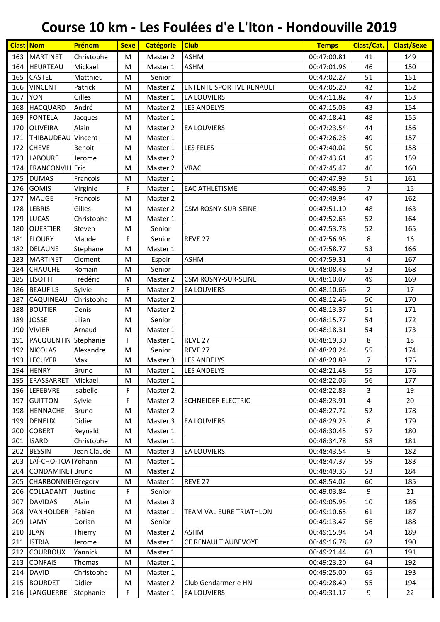| <b>Clast Nom</b> |                           | Prénom       | <b>Sexe</b> | <b>Catégorie</b> | <b>Club</b>                     | <b>Temps</b> | Clast/Cat.     | <b>Clast/Sexe</b> |
|------------------|---------------------------|--------------|-------------|------------------|---------------------------------|--------------|----------------|-------------------|
| 163              | <b>MARTINET</b>           | Christophe   | M           | Master 2         | <b>ASHM</b>                     | 00:47:00.81  | 41             | 149               |
| 164              | <b>HEURTEAU</b>           | Mickael      | M           | Master 1         | <b>ASHM</b>                     | 00:47:01.96  | 46             | 150               |
| 165              | <b>CASTEL</b>             | Matthieu     | M           | Senior           |                                 | 00:47:02.27  | 51             | 151               |
| 166              | <b>VINCENT</b>            | Patrick      | M           | Master 2         | <b>ENTENTE SPORTIVE RENAULT</b> | 00:47:05.20  | 42             | 152               |
| 167              | <b>YON</b>                | Gilles       | M           | Master 1         | <b>EA LOUVIERS</b>              | 00:47:11.82  | 47             | 153               |
| 168              | <b>HACQUARD</b>           | André        | M           | Master 2         | <b>LES ANDELYS</b>              | 00:47:15.03  | 43             | 154               |
| 169              | <b>FONTELA</b>            | Jacques      | M           | Master 1         |                                 | 00:47:18.41  | 48             | 155               |
| 170              | OLIVEIRA                  | Alain        | M           | Master 2         | <b>EA LOUVIERS</b>              | 00:47:23.54  | 44             | 156               |
| 171              | <b>THIBAUDEAU</b>         | Vincent      | M           | Master 1         |                                 | 00:47:26.26  | 49             | 157               |
| 172              | <b>CHEVE</b>              | Benoit       | M           | Master 1         | <b>LES FELES</b>                | 00:47:40.02  | 50             | 158               |
| 173              | <b>LABOURE</b>            | Jerome       | M           | Master 2         |                                 | 00:47:43.61  | 45             | 159               |
| 174              | <b>FRANCONVILL</b> Eric   |              | M           | Master 2         | <b>VRAC</b>                     | 00:47:45.47  | 46             | 160               |
| 175              | <b>DUMAS</b>              | François     | M           | Master 1         |                                 | 00:47:47.99  | 51             | 161               |
| 176              | <b>GOMIS</b>              | Virginie     | F           | Master 1         | <b>EAC ATHLÉTISME</b>           | 00:47:48.96  | $\overline{7}$ | 15                |
| 177              | <b>MAUGE</b>              | François     | M           | Master 2         |                                 | 00:47:49.94  | 47             | 162               |
| 178              | <b>LEBRIS</b>             | Gilles       | M           | Master 2         | <b>CSM ROSNY-SUR-SEINE</b>      | 00:47:51.10  | 48             | 163               |
| 179              | <b>LUCAS</b>              | Christophe   | M           | Master 1         |                                 | 00:47:52.63  | 52             | 164               |
| 180              | <b>QUERTIER</b>           | Steven       | M           | Senior           |                                 | 00:47:53.78  | 52             | 165               |
| 181              | <b>FLOURY</b>             | Maude        | F           | Senior           | REVE 27                         | 00:47:56.95  | 8              | 16                |
| 182              | <b>DELAUNE</b>            | Stephane     | M           | Master 1         |                                 | 00:47:58.77  | 53             | 166               |
| 183              | <b>MARTINET</b>           | Clement      | M           | Espoir           | <b>ASHM</b>                     | 00:47:59.31  | $\overline{4}$ | 167               |
| 184              | <b>CHAUCHE</b>            | Romain       | M           | Senior           |                                 | 00:48:08.48  | 53             | 168               |
| 185              | <b>LISOTTI</b>            | Frédéric     | M           | Master 2         | <b>CSM ROSNY-SUR-SEINE</b>      | 00:48:10.07  | 49             | 169               |
| 186              | <b>BEAUFILS</b>           | Sylvie       | F           | Master 2         | <b>EA LOUVIERS</b>              | 00:48:10.66  | $\overline{2}$ | 17                |
| 187              | CAQUINEAU                 | Christophe   | M           | Master 2         |                                 | 00:48:12.46  | 50             | 170               |
| 188              | <b>BOUTIER</b>            | Denis        | M           | Master 2         |                                 | 00:48:13.37  | 51             | 171               |
| 189              | <b>JOSSE</b>              | Lilian       | M           | Senior           |                                 | 00:48:15.77  | 54             | 172               |
| 190              | <b>VIVIER</b>             | Arnaud       | M           | Master 1         |                                 | 00:48:18.31  | 54             | 173               |
| 191              | PACQUENTIN Stephanie      |              | F           | Master 1         | REVE 27                         | 00:48:19.30  | 8              | 18                |
| 192              | <b>NICOLAS</b>            | Alexandre    | M           | Senior           | REVE 27                         | 00:48:20.24  | 55             | 174               |
|                  | 193 LECUYER               | Max          | M           | Master 3         | <b>LES ANDELYS</b>              | 00:48:20.89  | $\overline{7}$ | 175               |
|                  | 194 HENRY                 | Bruno        | M           | Master 1         | LES ANDELYS                     | 00:48:21.48  | 55             | 176               |
| 195              | ERASSARRET                | Mickael      | М           | Master 1         |                                 | 00:48:22.06  | 56             | 177               |
| 196              | <b>LEFEBVRE</b>           | Isabelle     | F.          | Master 2         |                                 | 00:48:22.83  | 3              | 19                |
| 197              | <b>GUITTON</b>            | Sylvie       | F           | Master 2         | <b>SCHNEIDER ELECTRIC</b>       | 00:48:23.91  | 4              | 20                |
| 198              | <b>HENNACHE</b>           | <b>Bruno</b> | M           | Master 2         |                                 | 00:48:27.72  | 52             | 178               |
| 199              | <b>DENEUX</b>             | Didier       | М           | Master 3         | EA LOUVIERS                     | 00:48:29.23  | 8              | 179               |
| 200              | <b>COBERT</b>             | Reynald      | M           | Master 1         |                                 | 00:48:30.45  | 57             | 180               |
| 201              | <b>ISARD</b>              | Christophe   | M           | Master 1         |                                 | 00:48:34.78  | 58             | 181               |
| 202              | <b>BESSIN</b>             | Jean Claude  | M           | Master 3         | <b>EA LOUVIERS</b>              | 00:48:43.54  | 9              | 182               |
| 203              | LAÏ-CHO-TOATYohann        |              | M           | Master 1         |                                 | 00:48:47.37  | 59             | 183               |
| 204              | <b>CONDAMINET Bruno</b>   |              | М           | Master 2         |                                 | 00:48:49.36  | 53             | 184               |
| 205              | <b>CHARBONNIE</b> Gregory |              | M           | Master 1         | REVE <sub>27</sub>              | 00:48:54.02  | 60             | 185               |
| 206              | COLLADANT                 | Justine      | F           | Senior           |                                 | 00:49:03.84  | 9              | 21                |
| 207              | <b>DAVIDAS</b>            | Alain        | M           | Master 3         |                                 | 00:49:05.95  | 10             | 186               |
| 208              | VANHOLDER                 | Fabien       | M           | Master 1         | TEAM VAL EURE TRIATHLON         | 00:49:10.65  | 61             | 187               |
| 209              | LAMY                      | Dorian       | М           | Senior           |                                 | 00:49:13.47  | 56             | 188               |
| 210              | <b>JEAN</b>               | Thierry      | М           | Master 2         | <b>ASHM</b>                     | 00:49:15.94  | 54             | 189               |
| 211              | <b>ISTRIA</b>             | Jerome       | M           | Master 1         | CE RENAULT AUBEVOYE             | 00:49:16.78  | 62             | 190               |
| 212              | <b>COURROUX</b>           | Yannick      | M           | Master 1         |                                 | 00:49:21.44  | 63             | 191               |
| 213              | <b>CONFAIS</b>            | Thomas       | M           | Master 1         |                                 | 00:49:23.20  | 64             | 192               |
| 214              | <b>DAVID</b>              | Christophe   | M           | Master 1         |                                 | 00:49:25.00  | 65             | 193               |
|                  | 215 BOURDET               | Didier       | M           | Master 2         | Club Gendarmerie HN             | 00:49:28.40  | 55             | 194               |
| 216              | LANGUERRE                 | Stephanie    | F           | Master 1         | <b>EA LOUVIERS</b>              | 00:49:31.17  | 9              | 22                |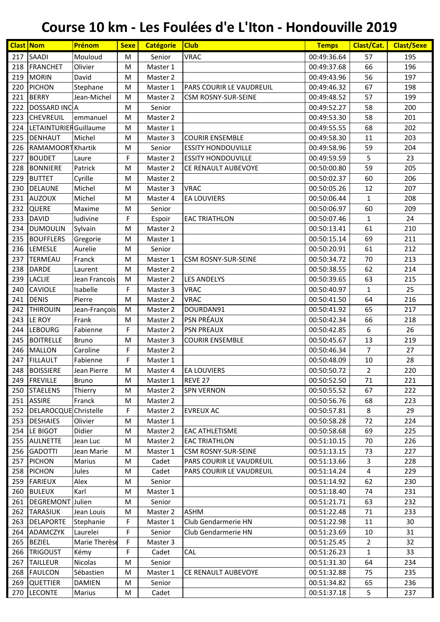| <b>Clast Nom</b> |                        | Prénom        | <b>Sexe</b> | <b>Catégorie</b> | <b>Club</b>               | <b>Temps</b> | Clast/Cat.     | <b>Clast/Sexe</b> |
|------------------|------------------------|---------------|-------------|------------------|---------------------------|--------------|----------------|-------------------|
| 217              | <b>SAADI</b>           | Mouloud       | M           | Senior           | <b>VRAC</b>               | 00:49:36.64  | 57             | 195               |
| 218              | FRANCHET               | Olivier       | M           | Master 1         |                           | 00:49:37.68  | 66             | 196               |
| 219              | <b>MORIN</b>           | David         | M           | Master 2         |                           | 00:49:43.96  | 56             | 197               |
| 220              | <b>PICHON</b>          | Stephane      | M           | Master 1         | PARS COURIR LE VAUDREUIL  | 00:49:46.32  | 67             | 198               |
| 221              | <b>BERRY</b>           | Jean-Michel   | M           | Master 2         | CSM ROSNY-SUR-SEINE       | 00:49:48.52  | 57             | 199               |
| 222              | DOSSARD INCA           |               | M           | Senior           |                           | 00:49:52.27  | 58             | 200               |
| 223              | <b>CHEVREUIL</b>       | emmanuel      | M           | Master 2         |                           | 00:49:53.30  | 58             | 201               |
| 224              | LETAINTURIER Guillaume |               | M           | Master 1         |                           | 00:49:55.55  | 68             | 202               |
| 225              | <b>DENHAUT</b>         | Michel        | M           | Master 3         | <b>COURIR ENSEMBLE</b>    | 00:49:58.30  | 11             | 203               |
| 226              | RAMAMOORT Khartik      |               | M           | Senior           | <b>ESSITY HONDOUVILLE</b> | 00:49:58.96  | 59             | 204               |
| 227              | <b>BOUDET</b>          | Laure         | F           | Master 2         | <b>ESSITY HONDOUVILLE</b> | 00:49:59.59  | 5              | 23                |
| 228              | <b>BONNIERE</b>        | Patrick       | M           | Master 2         | CE RENAULT AUBEVOYE       | 00:50:00.80  | 59             | 205               |
| 229              | <b>BUTTET</b>          | Cyrille       | M           | Master 2         |                           | 00:50:02.37  | 60             | 206               |
| 230              | <b>DELAUNE</b>         | Michel        | M           | Master 3         | <b>VRAC</b>               | 00:50:05.26  | 12             | 207               |
| 231              | <b>AUZOUX</b>          | Michel        | M           | Master 4         | <b>EA LOUVIERS</b>        | 00:50:06.44  | $\mathbf{1}$   | 208               |
| 232              | QUERE                  | Maxime        | M           | Senior           |                           | 00:50:06.97  | 60             | 209               |
| 233              | <b>DAVID</b>           | ludivine      | F           | Espoir           | <b>EAC TRIATHLON</b>      | 00:50:07.46  | $\mathbf{1}$   | 24                |
| 234              | <b>DUMOULIN</b>        | Sylvain       | M           | Master 2         |                           | 00:50:13.41  | 61             | 210               |
| 235              | <b>BOUFFLERS</b>       | Gregorie      | M           | Master 1         |                           | 00:50:15.14  | 69             | 211               |
| 236              | LEMESLE                | Aurelie       | M           | Senior           |                           | 00:50:20.91  | 61             | 212               |
| 237              | <b>TERMEAU</b>         | Franck        | M           | Master 1         | CSM ROSNY-SUR-SEINE       | 00:50:34.72  | 70             | 213               |
| 238              | <b>DARDE</b>           | Laurent       | M           | Master 2         |                           | 00:50:38.55  | 62             | 214               |
| 239              | <b>LACLIE</b>          | Jean Francois | M           | Master 2         | <b>LES ANDELYS</b>        | 00:50:39.65  | 63             | 215               |
| 240              | <b>CAVIOLE</b>         | Isabelle      | F           | Master 3         | <b>VRAC</b>               | 00:50:40.97  | $\mathbf{1}$   | 25                |
| 241              | <b>DENIS</b>           | Pierre        | M           | Master 2         | <b>VRAC</b>               | 00:50:41.50  | 64             | 216               |
| 242              | <b>THIROUIN</b>        | Jean-François | M           | Master 2         | DOURDAN91                 | 00:50:41.92  | 65             | 217               |
| 243              | LE ROY                 | Frank         | M           | Master 2         | <b>PSN PRÉAUX</b>         | 00:50:42.34  | 66             | 218               |
| 244              | <b>LEBOURG</b>         | Fabienne      | F           | Master 2         | <b>PSN PREAUX</b>         | 00:50:42.85  | 6              | 26                |
| 245              | <b>BOITRELLE</b>       | <b>Bruno</b>  | M           | Master 3         | <b>COURIR ENSEMBLE</b>    | 00:50:45.67  | 13             | 219               |
| 246              | <b>MALLON</b>          | Caroline      | F           | Master 2         |                           | 00:50:46.34  | $\overline{7}$ | 27                |
| 247              | <b>FILLAULT</b>        | Fabienne      | F           | Master 1         |                           | 00:50:48.09  | 10             | 28                |
|                  | 248 BOISSIERE          | Jean Pierre   | M           | Master 4         | <b>EA LOUVIERS</b>        | 00:50:50.72  | $\overline{2}$ | 220               |
| 249              | FREVILLE               | <b>Bruno</b>  | М           | Master 1         | REVE 27                   | 00:50:52.50  | 71             | 221               |
| 250              | <b>STAELENS</b>        | Thierry       | М           | Master 2         | <b>SPN VERNON</b>         | 00:50:55.52  | 67             | 222               |
|                  | 251 ASSIRE             | Franck        | М           | Master 2         |                           | 00:50:56.76  | 68             | 223               |
| 252              | DELAROCQUE Christelle  |               | F           | Master 2         | <b>EVREUX AC</b>          | 00:50:57.81  | 8              | 29                |
| 253              | <b>DESHAIES</b>        | Olivier       | M           | Master 1         |                           | 00:50:58.28  | 72             | 224               |
|                  | 254 LE BIGOT           | Didier        | M           | Master 2         | <b>EAC ATHLETISME</b>     | 00:50:58.68  | 69             | 225               |
| 255              | <b>AULNETTE</b>        | Jean Luc      | М           | Master 2         | <b>EAC TRIATHLON</b>      | 00:51:10.15  | 70             | 226               |
| 256              | <b>GADOTTI</b>         | Jean Marie    | М           | Master 1         | CSM ROSNY-SUR-SEINE       | 00:51:13.15  | 73             | 227               |
| 257              | <b>PICHON</b>          | Marius        | М           | Cadet            | PARS COURIR LE VAUDREUIL  | 00:51:13.66  | 3              | 228               |
| 258              | <b>PICHON</b>          | Jules         | М           | Cadet            | PARS COURIR LE VAUDREUIL  | 00:51:14.24  | 4              | 229               |
| 259              | <b>FARIEUX</b>         | Alex          | м           | Senior           |                           | 00:51:14.92  | 62             | 230               |
| 260              | <b>BULEUX</b>          | Karl          | М           | Master 1         |                           | 00:51:18.40  | 74             | 231               |
| 261              | DEGREMONT Julien       |               | M           | Senior           |                           | 00:51:21.71  | 63             | 232               |
|                  | 262 TARASIUK           | Jean Louis    | М           | Master 2         | <b>ASHM</b>               | 00:51:22.48  | 71             | 233               |
| 263              | <b>DELAPORTE</b>       | Stephanie     | F           | Master 1         | Club Gendarmerie HN       | 00:51:22.98  | 11             | 30                |
| 264              | ADAMCZYK               | Laurelei      | F           | Senior           | Club Gendarmerie HN       | 00:51:23.69  | 10             | 31                |
| 265              | <b>BEZIEL</b>          | Marie Therèse | F           | Master 3         |                           | 00:51:25.45  | $\overline{2}$ | 32                |
| 266              | <b>TRIGOUST</b>        | Kémy          | F           | Cadet            | <b>CAL</b>                | 00:51:26.23  | 1              | 33                |
| 267              | <b>TAILLEUR</b>        | Nicolas       | M           | Senior           |                           | 00:51:31.30  | 64             | 234               |
| 268              | <b>FAULCON</b>         | Sébastien     | М           | Master 1         | CE RENAULT AUBEVOYE       | 00:51:32.88  | 75             | 235               |
| 269              | <b>QUETTIER</b>        | <b>DAMIEN</b> | М           | Senior           |                           | 00:51:34.82  | 65             | 236               |
| 270              | <b>LECONTE</b>         | Marius        | M           | Cadet            |                           | 00:51:37.18  | 5              | 237               |
|                  |                        |               |             |                  |                           |              |                |                   |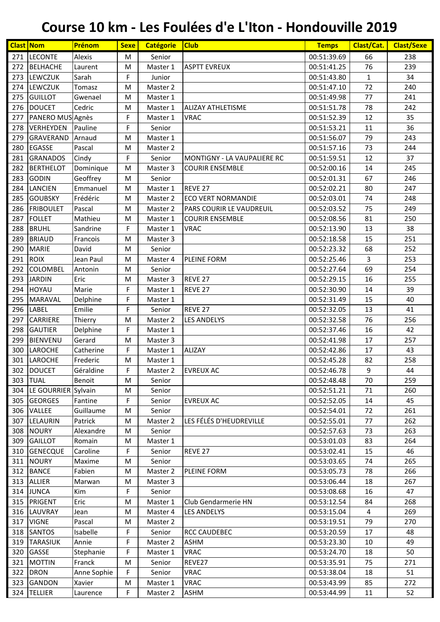| <b>Clast Nom</b> |                         | Prénom      | <b>Sexe</b> | <b>Catégorie</b> | <b>Club</b>                 | <b>Temps</b> | Clast/Cat.     | <b>Clast/Sexe</b> |
|------------------|-------------------------|-------------|-------------|------------------|-----------------------------|--------------|----------------|-------------------|
| 271              | <b>LECONTE</b>          | Alexis      | M           | Senior           |                             | 00:51:39.69  | 66             | 238               |
| 272              | BELHACHE                | Laurent     | M           | Master 1         | <b>ASPTT EVREUX</b>         | 00:51:41.25  | 76             | 239               |
| 273              | <b>LEWCZUK</b>          | Sarah       | F           | Junior           |                             | 00:51:43.80  | $\mathbf{1}$   | 34                |
| 274              | LEWCZUK                 | Tomasz      | M           | Master 2         |                             | 00:51:47.10  | 72             | 240               |
| 275              | <b>GUILLOT</b>          | Gwenael     | M           | Master 1         |                             | 00:51:49.98  | 77             | 241               |
| 276              | <b>DOUCET</b>           | Cedric      | M           | Master 1         | <b>ALIZAY ATHLETISME</b>    | 00:51:51.78  | 78             | 242               |
| 277              | PANERO MUS Agnès        |             | F           | Master 1         | <b>VRAC</b>                 | 00:51:52.39  | 12             | 35                |
| 278              | VERHEYDEN               | Pauline     | F           | Senior           |                             | 00:51:53.21  | 11             | 36                |
| 279              | <b>GRAVERAND</b>        | Arnaud      | M           | Master 1         |                             | 00:51:56.07  | 79             | 243               |
| 280              | <b>EGASSE</b>           | Pascal      | M           | Master 2         |                             | 00:51:57.16  | 73             | 244               |
| 281              | <b>GRANADOS</b>         | Cindy       | F           | Senior           | MONTIGNY - LA VAUPALIERE RC | 00:51:59.51  | 12             | 37                |
| 282              | <b>BERTHELOT</b>        | Dominique   | M           | Master 3         | <b>COURIR ENSEMBLE</b>      | 00:52:00.16  | 14             | 245               |
| 283              | <b>GODIN</b>            | Geoffrey    | M           | Senior           |                             | 00:52:01.31  | 67             | 246               |
| 284              | <b>LANCIEN</b>          | Emmanuel    | M           | Master 1         | REVE <sub>27</sub>          | 00:52:02.21  | 80             | 247               |
| 285              | <b>GOUBSKY</b>          | Frédéric    | M           | Master 2         | <b>ECO VERT NORMANDIE</b>   | 00:52:03.01  | 74             | 248               |
| 286              | <b>FRIBOULET</b>        | Pascal      | M           | Master 2         | PARS COURIR LE VAUDREUIL    | 00:52:03.52  | 75             | 249               |
| 287              | <b>FOLLET</b>           | Mathieu     | M           | Master 1         | <b>COURIR ENSEMBLE</b>      | 00:52:08.56  | 81             | 250               |
| 288              | <b>BRUHL</b>            | Sandrine    | F           | Master 1         | <b>VRAC</b>                 | 00:52:13.90  | 13             | 38                |
| 289              | <b>BRIAUD</b>           | Francois    | M           | Master 3         |                             | 00:52:18.58  | 15             | 251               |
| 290              | <b>MARIE</b>            | David       | M           | Senior           |                             | 00:52:23.32  | 68             | 252               |
| 291              | <b>ROIX</b>             | Jean Paul   | M           | Master 4         | PLEINE FORM                 | 00:52:25.46  | 3              | 253               |
| 292              | <b>COLOMBEL</b>         | Antonin     | M           | Senior           |                             | 00:52:27.64  | 69             | 254               |
| 293              | <b>JARDIN</b>           | Eric        |             | Master 3         | REVE 27                     | 00:52:29.15  | 16             | 255               |
| 294              | <b>HOYAU</b>            | Marie       | M<br>F      |                  | REVE <sub>27</sub>          | 00:52:30.90  | 14             | 39                |
|                  |                         |             |             | Master 1         |                             |              |                |                   |
| 295              | <b>MARAVAL</b>          | Delphine    | F           | Master 1         |                             | 00:52:31.49  | 15             | 40                |
| 296              | <b>LABEL</b>            | Emilie      | F           | Senior           | REVE <sub>27</sub>          | 00:52:32.05  | 13             | 41                |
| 297              | <b>CARRIERE</b>         | Thierry     | M           | Master 2         | <b>LES ANDELYS</b>          | 00:52:32.58  | 76             | 256               |
| 298              | <b>GAUTIER</b>          | Delphine    | F           | Master 1         |                             | 00:52:37.46  | 16             | 42                |
| 299              | <b>BIENVENU</b>         | Gerard      | M           | Master 3         |                             | 00:52:41.98  | 17             | 257               |
| 300              | <b>LAROCHE</b>          | Catherine   | F           | Master 1         | <b>ALIZAY</b>               | 00:52:42.86  | 17             | 43                |
|                  | 301 LAROCHE             | Frederic    | M           | Master 1         |                             | 00:52:45.28  | 82             | 258               |
|                  | 302 DOUCET              | Géraldine   | F.          | Master 2         | <b>EVREUX AC</b>            | 00:52:46.78  | $\overline{9}$ | 44                |
|                  | 303 TUAL                | Benoit      | M           | Senior           |                             | 00:52:48.48  | 70             | 259               |
|                  | 304 LE GOURRIER Sylvain |             | M           | Senior           |                             | 00:52:51.21  | 71             | 260               |
|                  | 305 GEORGES             | Fantine     | F           | Senior           | <b>EVREUX AC</b>            | 00:52:52.05  | 14             | 45                |
|                  | 306 VALLEE              | Guillaume   | M           | Senior           |                             | 00:52:54.01  | 72             | 261               |
| 307              | LELAURIN                | Patrick     | M           | Master 2         | LES FÉLÉS D'HEUDREVILLE     | 00:52:55.01  | 77             | 262               |
|                  | 308 NOURY               | Alexandre   | M           | Senior           |                             | 00:52:57.63  | 73             | 263               |
| 309              | <b>GAILLOT</b>          | Romain      | М           | Master 1         |                             | 00:53:01.03  | 83             | 264               |
| 310              | <b>GENECQUE</b>         | Caroline    | F           | Senior           | REVE <sub>27</sub>          | 00:53:02.41  | 15             | 46                |
| 311              | <b>NOURY</b>            | Maxime      | M           | Senior           |                             | 00:53:03.65  | 74             | 265               |
|                  | 312 BANCE               | Fabien      | М           | Master 2         | PLEINE FORM                 | 00:53:05.73  | 78             | 266               |
|                  | 313 ALLIER              | Marwan      | M           | Master 3         |                             | 00:53:06.44  | 18             | 267               |
|                  | 314 JUNCA               | Kim         | F           | Senior           |                             | 00:53:08.68  | 16             | 47                |
|                  | 315 PRIGENT             | Eric        | M           | Master 1         | Club Gendarmerie HN         | 00:53:12.54  | 84             | 268               |
| 316              | <b>LAUVRAY</b>          | Jean        | M           | Master 4         | <b>LES ANDELYS</b>          | 00:53:15.04  | $\overline{4}$ | 269               |
|                  | 317 VIGNE               | Pascal      | М           | Master 2         |                             | 00:53:19.51  | 79             | 270               |
|                  | 318 SANTOS              | Isabelle    | F.          | Senior           | <b>RCC CAUDEBEC</b>         | 00:53:20.59  | 17             | 48                |
|                  | 319 TARASIUK            | Annie       | F           | Master 2         | <b>ASHM</b>                 | 00:53:23.30  | 10             | 49                |
|                  | 320 GASSE               | Stephanie   | F           | Master 1         | <b>VRAC</b>                 | 00:53:24.70  | 18             | 50                |
| 321              | <b>MOTTIN</b>           | Franck      | M           | Senior           | REVE27                      | 00:53:35.91  | 75             | 271               |
| 322              | <b>DRON</b>             | Anne Sophie | F           | Senior           | <b>VRAC</b>                 | 00:53:38.04  | 18             | 51                |
| 323              | <b>GANDON</b>           | Xavier      | M           | Master 1         | <b>VRAC</b>                 | 00:53:43.99  | 85             | 272               |
| 324              | <b>TELLIER</b>          | Laurence    | F           | Master 2         | ASHM                        | 00:53:44.99  | 11             | 52                |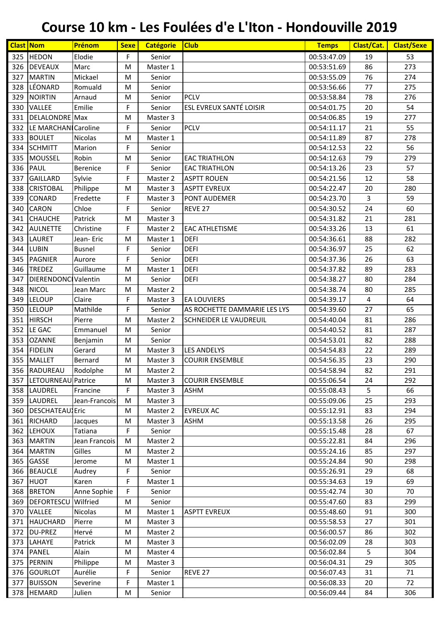|            | <b>Clast Nom</b>       | Prénom                  | <b>Sexe</b> | <b>Catégorie</b> | <b>Club</b>                  | <b>Temps</b>               | Clast/Cat. | <b>Clast/Sexe</b> |
|------------|------------------------|-------------------------|-------------|------------------|------------------------------|----------------------------|------------|-------------------|
| 325        | <b>HEDON</b>           | Elodie                  | F           | Senior           |                              | 00:53:47.09                | 19         | 53                |
| 326        | <b>DEVEAUX</b>         | Marc                    | M           | Master 1         |                              | 00:53:51.69                | 86         | 273               |
| 327        | <b>MARTIN</b>          | Mickael                 | M           | Senior           |                              | 00:53:55.09                | 76         | 274               |
| 328        | LÉONARD                | Romuald                 | M           | Senior           |                              | 00:53:56.66                | 77         | 275               |
| 329        | <b>NOIRTIN</b>         | Arnaud                  | M           | Senior           | <b>PCLV</b>                  | 00:53:58.84                | 78         | 276               |
| 330        | VALLEE                 | Emilie                  | F           | Senior           | ESL EVREUX SANTÉ LOISIR      | 00:54:01.75                | 20         | 54                |
| 331        | DELALONDRE Max         |                         | M           | Master 3         |                              | 00:54:06.85                | 19         | 277               |
| 332        | LE MARCHAN Caroline    |                         | F           | Senior           | <b>PCLV</b>                  | 00:54:11.17                | 21         | 55                |
| 333        | <b>BOULET</b>          | Nicolas                 | M           | Master 1         |                              | 00:54:11.89                | 87         | 278               |
| 334        | <b>SCHMITT</b>         | Marion                  | F           | Senior           |                              | 00:54:12.53                | 22         | 56                |
| 335        | <b>MOUSSEL</b>         | Robin                   | M           | Senior           | <b>EAC TRIATHLON</b>         | 00:54:12.63                | 79         | 279               |
| 336        | PAUL                   | <b>Berenice</b>         | F           | Senior           | <b>EAC TRIATHLON</b>         | 00:54:13.26                | 23         | 57                |
| 337        | <b>GAILLARD</b>        | Sylvie                  | F           | Master 2         | <b>ASPTT ROUEN</b>           | 00:54:21.56                | 12         | 58                |
| 338        | <b>CRISTOBAL</b>       | Philippe                | M           | Master 3         | <b>ASPTT EVREUX</b>          | 00:54:22.47                | 20         | 280               |
| 339        | CONARD                 | Fredette                | F           | Master 3         | PONT AUDEMER                 | 00:54:23.70                | 3          | 59                |
| 340        | <b>CARON</b>           | Chloe                   | F           | Senior           | REVE 27                      | 00:54:30.52                | 24         | 60                |
| 341        | <b>CHAUCHE</b>         | Patrick                 | M           | Master 3         |                              | 00:54:31.82                | 21         | 281               |
| 342        | <b>AULNETTE</b>        | Christine               | F           | Master 2         | <b>EAC ATHLETISME</b>        | 00:54:33.26                | 13         | 61                |
| 343        | <b>LAURET</b>          | Jean-Eric               | M           | Master 1         | <b>DEFI</b>                  | 00:54:36.61                | 88         | 282               |
| 344        | <b>LUBIN</b>           | <b>Busnel</b>           | F           | Senior           | <b>DEFI</b>                  | 00:54:36.97                | 25         | 62                |
| 345        | <b>PAGNIER</b>         | Aurore                  | F           | Senior           | <b>DEFI</b>                  | 00:54:37.36                | 26         | 63                |
| 346        | TREDEZ                 | Guillaume               | M           | Master 1         | <b>DEFI</b>                  | 00:54:37.82                | 89         | 283               |
| 347        | DIERENDONCI Valentin   |                         | M           | Senior           | <b>DEFI</b>                  | 00:54:38.27                | 80         | 284               |
| 348        | <b>NICOL</b>           | Jean Marc               | M           | Master 2         |                              | 00:54:38.74                | 80         | 285               |
| 349        | <b>LELOUP</b>          | Claire                  | F           | Master 3         | <b>EA LOUVIERS</b>           | 00:54:39.17                | 4          | 64                |
| 350        | <b>LELOUP</b>          | Mathilde                | F           | Senior           | AS ROCHETTE DAMMARIE LES LYS | 00:54:39.60                | 27         | 65                |
| 351        | <b>HIRSCH</b>          | Pierre                  | M           | Master 2         | SCHNEIDER LE VAUDREUIL       | 00:54:40.04                | 81         | 286               |
| 352        | LE GAC                 | Emmanuel                | M           | Senior           |                              | 00:54:40.52                | 81         | 287               |
| 353        | <b>OZANNE</b>          | Benjamin                | M           | Senior           |                              | 00:54:53.01                | 82         | 288               |
| 354        | <b>FIDELIN</b>         | Gerard                  | M           | Master 3         | <b>LES ANDELYS</b>           | 00:54:54.83                | 22         | 289               |
| 355        | MALLET                 | Bernard                 | M           | Master 3         | <b>COURIR ENSEMBLE</b>       | 00:54:56.35                | 23         | 290               |
|            | 356 RADUREAU           | Rodolphe                | M           | Master 2         |                              | 00:54:58.94                | 82         | 291               |
| 357        | LETOURNEAU Patrice     |                         | M           | Master 3         | <b>COURIR ENSEMBLE</b>       | 00:55:06.54                | 24         | 292               |
|            | 358 LAUDREL            | Francine                | F           | Master 3         | <b>ASHM</b>                  | 00:55:08.43                | 5          | 66                |
| 359        | LAUDREL                | Jean-Francois           | M           | Master 3         |                              | 00:55:09.06                | 25         | 293               |
| 360        | <b>DESCHATEAU</b> Eric |                         | M           | Master 2         | <b>EVREUX AC</b>             | 00:55:12.91                | 83         | 294               |
| 361        | <b>RICHARD</b>         |                         | M           | Master 3         | <b>ASHM</b>                  | 00:55:13.58                | 26         | 295               |
|            | 362 LEHOUX             | Jacques<br>Tatiana      | F           | Senior           |                              | 00:55:15.48                | 28         | 67                |
| 363        | <b>MARTIN</b>          | Jean Francois           | M           | Master 2         |                              | 00:55:22.81                | 84         | 296               |
| 364        | <b>MARTIN</b>          | Gilles                  | M           | Master 2         |                              | 00:55:24.16                | 85         | 297               |
|            | GASSE                  | Jerome                  |             |                  |                              |                            | 90         | 298               |
| 365<br>366 | <b>BEAUCLE</b>         | Audrey                  | M<br>F      | Master 1         |                              | 00:55:24.84<br>00:55:26.91 | 29         | 68                |
|            | HUOT                   |                         |             | Senior           |                              |                            |            | 69                |
| 367        |                        | Karen                   | F<br>F      | Master 1         |                              | 00:55:34.63                | 19         | 70                |
| 368        | <b>BRETON</b>          | Anne Sophie<br>Wilfried |             | Senior           |                              | 00:55:42.74                | 30         |                   |
| 369        | <b>DEFORTESCU</b>      |                         | M           | Senior           |                              | 00:55:47.60                | 83         | 299<br>300        |
| 370        | VALLEE                 | Nicolas                 | M           | Master 1         | <b>ASPTT EVREUX</b>          | 00:55:48.60                | 91         |                   |
| 371        | <b>HAUCHARD</b>        | Pierre                  | M           | Master 3         |                              | 00:55:58.53                | 27         | 301               |
| 372        | <b>DU-PREZ</b>         | Hervé                   | M           | Master 2         |                              | 00:56:00.57                | 86         | 302               |
| 373        | LAHAYE                 | Patrick                 | M           | Master 3         |                              | 00:56:02.09                | 28         | 303               |
| 374        | <b>PANEL</b>           | Alain                   | M           | Master 4         |                              | 00:56:02.84                | 5          | 304               |
| 375        | <b>PERNIN</b>          | Philippe                | M           | Master 3         |                              | 00:56:04.31                | 29         | 305               |
|            | 376 GOURLOT            | Aurélie                 | F           | Senior           | REVE 27                      | 00:56:07.43                | 31         | 71                |
| 377        | <b>BUISSON</b>         | Severine                | F           | Master 1         |                              | 00:56:08.33                | 20         | 72                |
| 378        | <b>HEMARD</b>          | Julien                  | M           | Senior           |                              | 00:56:09.44                | 84         | 306               |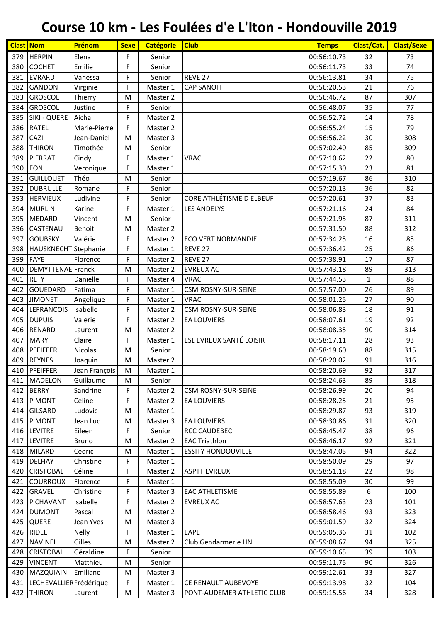| <b>HERPIN</b><br>00:56:10.73<br>379<br>Elena<br>F<br>32<br>73<br>Senior<br>F<br>33<br>74<br>380<br><b>COCHET</b><br>Emilie<br>00:56:11.73<br>Senior<br>F<br>381<br><b>EVRARD</b><br>REVE 27<br>34<br>75<br>Vanessa<br>00:56:13.81<br>Senior<br>76<br>F<br>21<br><b>GANDON</b><br>Virginie<br>382<br>Master 1<br><b>CAP SANOFI</b><br>00:56:20.53<br><b>GROSCOL</b><br>87<br>307<br>383<br>Thierry<br>00:56:46.72<br>M<br>Master 2<br><b>GROSCOL</b><br>F<br>35<br>384<br>Justine<br>00:56:48.07<br>77<br>Senior<br>F<br>385<br><b>SIKI - QUERE</b><br>14<br>78<br>Aicha<br>00:56:52.72<br>Master 2<br>79<br><b>RATEL</b><br>F<br>386<br>Marie-Pierre<br>Master 2<br>00:56:55.24<br>15<br>CAZI<br>387<br>308<br>Jean-Daniel<br>Master 3<br>00:56:56.22<br>30<br>M<br>388<br><b>THIRON</b><br>85<br>Timothée<br>Senior<br>00:57:02.40<br>309<br>M<br>F<br>389<br>PIERRAT<br><b>VRAC</b><br>22<br>80<br>Cindy<br>Master 1<br>00:57:10.62<br>F<br>81<br>390<br><b>EON</b><br>Veronique<br>00:57:15.30<br>23<br>Master 1<br><b>GUILLOUET</b><br>391<br>Théo<br>00:57:19.67<br>86<br>310<br>Senior<br>M<br>F<br><b>DUBRULLE</b><br>36<br>82<br>392<br>Senior<br>00:57:20.13<br>Romane<br>CORE ATHLÉTISME D ELBEUF<br>393<br><b>HERVIEUX</b><br>F<br>37<br>83<br>Ludivine<br>Senior<br>00:57:20.61<br>F<br>394<br><b>MURLIN</b><br>00:57:21.16<br>84<br>Karine<br><b>LES ANDELYS</b><br>24<br>Master 1<br>395<br><b>MEDARD</b><br>00:57:21.95<br>87<br>Vincent<br>Senior<br>311<br>M<br>CASTENAU<br>88<br>396<br>Benoit<br>Master 2<br>00:57:31.50<br>312<br>M<br>Valérie<br>16<br>397<br><b>GOUBSKY</b><br>F<br>Master 2<br><b>ECO VERT NORMANDIE</b><br>00:57:34.25<br>85<br>F<br>86<br>398<br>HAUSKNECHT Stephanie<br>REVE 27<br>00:57:36.42<br>25<br>Master 1<br><b>FAYE</b><br>399<br>Florence<br>F<br>17<br>87<br>REVE <sub>27</sub><br>00:57:38.91<br>Master 2<br><b>DEMYTTENAE</b> Franck<br>89<br>313<br>400<br>Master 2<br><b>EVREUX AC</b><br>00:57:43.18<br>M<br><b>RETY</b><br>88<br>401<br>F<br><b>VRAC</b><br>$\mathbf{1}$<br>Danielle<br>Master 4<br>00:57:44.53<br>F<br>89<br><b>GOUEDARD</b><br>Fatima<br><b>CSM ROSNY-SUR-SEINE</b><br>00:57:57.00<br>26<br>402<br>Master 1<br>F<br>27<br>90<br>403<br><b>JIMONET</b><br><b>VRAC</b><br>00:58:01.25<br>Angelique<br>Master 1<br>Isabelle<br>F<br><b>CSM ROSNY-SUR-SEINE</b><br>91<br>404<br><b>LEFRANCOIS</b><br>00:58:06.83<br>18<br>Master 2<br><b>DUPUIS</b><br>Valerie<br>F<br>92<br>405<br>00:58:07.61<br>19<br>Master 2<br><b>EA LOUVIERS</b><br>406<br><b>RENARD</b><br>90<br>00:58:08.35<br>314<br>Laurent<br>M<br>Master 2<br><b>MARY</b><br>F<br>ESL EVREUX SANTÉ LOISIR<br>28<br>407<br>Claire<br>00:58:17.11<br>93<br>Master 1<br>PFEIFFER<br>315<br>408<br>Nicolas<br>Senior<br>00:58:19.60<br>88<br>M<br>409<br><b>REYNES</b><br>00:58:20.02<br>316<br>91<br>Joaquin<br>M<br>Master 2<br>Jean François<br>410 PFEIFFER<br>92<br>00:58:20.69<br>317<br>${\sf M}$<br>Master 1<br>Guillaume<br>411<br><b>MADELON</b><br>Senior<br>00:58:24.63<br>89<br>318<br>М<br>412 BERRY<br>F<br>94<br>Sandrine<br>Master 2<br><b>CSM ROSNY-SUR-SEINE</b><br>00:58:26.99<br>20<br>F<br>95<br>413<br>PIMONT<br>Celine<br>00:58:28.25<br>21<br>Master 2<br><b>EA LOUVIERS</b><br><b>GILSARD</b><br>Ludovic<br>00:58:29.87<br>93<br>319<br>414<br>M<br>Master 1<br>PIMONT<br>00:58:30.86<br>320<br>415<br>Jean Luc<br>Master 3<br><b>EA LOUVIERS</b><br>31<br>М<br>F<br>96<br>416 LEVITRE<br>Eileen<br>Senior<br><b>RCC CAUDEBEC</b><br>00:58:45.47<br>38<br>417<br><b>LEVITRE</b><br><b>EAC Triathlon</b><br>92<br>321<br>Bruno<br>M<br>Master 2<br>00:58:46.17<br><b>MILARD</b><br>Cedric<br><b>ESSITY HONDOUVILLE</b><br>00:58:47.05<br>322<br>418<br>Master 1<br>94<br>М<br>419<br><b>DELHAY</b><br>F<br>00:58:50.09<br>29<br>97<br>Christine<br>Master 1<br>Céline<br>F<br><b>CRISTOBAL</b><br><b>ASPTT EVREUX</b><br>00:58:51.18<br>22<br>98<br>420<br>Master 2<br>F<br>99<br><b>COURROUX</b><br>00:58:55.09<br>30<br>421<br>Florence<br>Master 1<br><b>GRAVEL</b><br>F<br>100<br>422<br>Christine<br>Master 3<br><b>EAC ATHLETISME</b><br>00:58:55.89<br>6<br>F<br>423<br>PICHAVANT<br>Isabelle<br>00:58:57.63<br>23<br>101<br>Master 2<br><b>EVREUX AC</b><br>424<br><b>DUMONT</b><br>Pascal<br>93<br>323<br>M<br>Master 2<br>00:58:58.46<br><b>QUERE</b><br>32<br>324<br>425<br>Jean Yves<br>Master 3<br>00:59:01.59<br>М<br><b>RIDEL</b><br>F<br>426<br>Nelly<br><b>EAPE</b><br>00:59:05.36<br>102<br>Master 1<br>31<br><b>NAVINEL</b><br>Gilles<br>427<br>Club Gendarmerie HN<br>00:59:08.67<br>94<br>325<br>Master 2<br>М<br>F<br><b>CRISTOBAL</b><br>Géraldine<br>39<br>103<br>428<br>Senior<br>00:59:10.65<br>429<br><b>VINCENT</b><br>Matthieu<br>00:59:11.75<br>326<br>90<br>M<br>Senior<br>Emiliano<br>00:59:12.61<br>430<br>MAZQUIAIN<br>33<br>327<br>M<br>Master 3<br>F<br>LECHEVALLIER Frédérique<br>00:59:13.98<br>32<br>431<br>Master 1<br>CE RENAULT AUBEVOYE<br>104<br><b>THIRON</b><br>00:59:15.56<br>34<br>432<br>Master 3<br>PONT-AUDEMER ATHLETIC CLUB<br>328<br>Laurent<br>М | <b>Clast Nom</b> | Prénom | <b>Sexe</b> | <b>Catégorie</b> | <b>Club</b> | <b>Temps</b> | Clast/Cat. | <b>Clast/Sexe</b> |
|-------------------------------------------------------------------------------------------------------------------------------------------------------------------------------------------------------------------------------------------------------------------------------------------------------------------------------------------------------------------------------------------------------------------------------------------------------------------------------------------------------------------------------------------------------------------------------------------------------------------------------------------------------------------------------------------------------------------------------------------------------------------------------------------------------------------------------------------------------------------------------------------------------------------------------------------------------------------------------------------------------------------------------------------------------------------------------------------------------------------------------------------------------------------------------------------------------------------------------------------------------------------------------------------------------------------------------------------------------------------------------------------------------------------------------------------------------------------------------------------------------------------------------------------------------------------------------------------------------------------------------------------------------------------------------------------------------------------------------------------------------------------------------------------------------------------------------------------------------------------------------------------------------------------------------------------------------------------------------------------------------------------------------------------------------------------------------------------------------------------------------------------------------------------------------------------------------------------------------------------------------------------------------------------------------------------------------------------------------------------------------------------------------------------------------------------------------------------------------------------------------------------------------------------------------------------------------------------------------------------------------------------------------------------------------------------------------------------------------------------------------------------------------------------------------------------------------------------------------------------------------------------------------------------------------------------------------------------------------------------------------------------------------------------------------------------------------------------------------------------------------------------------------------------------------------------------------------------------------------------------------------------------------------------------------------------------------------------------------------------------------------------------------------------------------------------------------------------------------------------------------------------------------------------------------------------------------------------------------------------------------------------------------------------------------------------------------------------------------------------------------------------------------------------------------------------------------------------------------------------------------------------------------------------------------------------------------------------------------------------------------------------------------------------------------------------------------------------------------------------------------------------------------------------------------------------------------------------------------------------------------------------------------------------------------------------------------------------------------------------------------------------------------------------------------------------------------------------------------------------------------------------------------------------------------------------------------------------------------------------------------------------------------------------------------------------------------------------------------------------------------------------------------------------------------------------------------------------------------------------------------------------------------------------------------------------------------------------------------------------------------------------------------------------------------------------|------------------|--------|-------------|------------------|-------------|--------------|------------|-------------------|
|                                                                                                                                                                                                                                                                                                                                                                                                                                                                                                                                                                                                                                                                                                                                                                                                                                                                                                                                                                                                                                                                                                                                                                                                                                                                                                                                                                                                                                                                                                                                                                                                                                                                                                                                                                                                                                                                                                                                                                                                                                                                                                                                                                                                                                                                                                                                                                                                                                                                                                                                                                                                                                                                                                                                                                                                                                                                                                                                                                                                                                                                                                                                                                                                                                                                                                                                                                                                                                                                                                                                                                                                                                                                                                                                                                                                                                                                                                                                                                                                                                                                                                                                                                                                                                                                                                                                                                                                                                                                                                                                                                                                                                                                                                                                                                                                                                                                                                                                                                                                                                                                   |                  |        |             |                  |             |              |            |                   |
|                                                                                                                                                                                                                                                                                                                                                                                                                                                                                                                                                                                                                                                                                                                                                                                                                                                                                                                                                                                                                                                                                                                                                                                                                                                                                                                                                                                                                                                                                                                                                                                                                                                                                                                                                                                                                                                                                                                                                                                                                                                                                                                                                                                                                                                                                                                                                                                                                                                                                                                                                                                                                                                                                                                                                                                                                                                                                                                                                                                                                                                                                                                                                                                                                                                                                                                                                                                                                                                                                                                                                                                                                                                                                                                                                                                                                                                                                                                                                                                                                                                                                                                                                                                                                                                                                                                                                                                                                                                                                                                                                                                                                                                                                                                                                                                                                                                                                                                                                                                                                                                                   |                  |        |             |                  |             |              |            |                   |
|                                                                                                                                                                                                                                                                                                                                                                                                                                                                                                                                                                                                                                                                                                                                                                                                                                                                                                                                                                                                                                                                                                                                                                                                                                                                                                                                                                                                                                                                                                                                                                                                                                                                                                                                                                                                                                                                                                                                                                                                                                                                                                                                                                                                                                                                                                                                                                                                                                                                                                                                                                                                                                                                                                                                                                                                                                                                                                                                                                                                                                                                                                                                                                                                                                                                                                                                                                                                                                                                                                                                                                                                                                                                                                                                                                                                                                                                                                                                                                                                                                                                                                                                                                                                                                                                                                                                                                                                                                                                                                                                                                                                                                                                                                                                                                                                                                                                                                                                                                                                                                                                   |                  |        |             |                  |             |              |            |                   |
|                                                                                                                                                                                                                                                                                                                                                                                                                                                                                                                                                                                                                                                                                                                                                                                                                                                                                                                                                                                                                                                                                                                                                                                                                                                                                                                                                                                                                                                                                                                                                                                                                                                                                                                                                                                                                                                                                                                                                                                                                                                                                                                                                                                                                                                                                                                                                                                                                                                                                                                                                                                                                                                                                                                                                                                                                                                                                                                                                                                                                                                                                                                                                                                                                                                                                                                                                                                                                                                                                                                                                                                                                                                                                                                                                                                                                                                                                                                                                                                                                                                                                                                                                                                                                                                                                                                                                                                                                                                                                                                                                                                                                                                                                                                                                                                                                                                                                                                                                                                                                                                                   |                  |        |             |                  |             |              |            |                   |
|                                                                                                                                                                                                                                                                                                                                                                                                                                                                                                                                                                                                                                                                                                                                                                                                                                                                                                                                                                                                                                                                                                                                                                                                                                                                                                                                                                                                                                                                                                                                                                                                                                                                                                                                                                                                                                                                                                                                                                                                                                                                                                                                                                                                                                                                                                                                                                                                                                                                                                                                                                                                                                                                                                                                                                                                                                                                                                                                                                                                                                                                                                                                                                                                                                                                                                                                                                                                                                                                                                                                                                                                                                                                                                                                                                                                                                                                                                                                                                                                                                                                                                                                                                                                                                                                                                                                                                                                                                                                                                                                                                                                                                                                                                                                                                                                                                                                                                                                                                                                                                                                   |                  |        |             |                  |             |              |            |                   |
|                                                                                                                                                                                                                                                                                                                                                                                                                                                                                                                                                                                                                                                                                                                                                                                                                                                                                                                                                                                                                                                                                                                                                                                                                                                                                                                                                                                                                                                                                                                                                                                                                                                                                                                                                                                                                                                                                                                                                                                                                                                                                                                                                                                                                                                                                                                                                                                                                                                                                                                                                                                                                                                                                                                                                                                                                                                                                                                                                                                                                                                                                                                                                                                                                                                                                                                                                                                                                                                                                                                                                                                                                                                                                                                                                                                                                                                                                                                                                                                                                                                                                                                                                                                                                                                                                                                                                                                                                                                                                                                                                                                                                                                                                                                                                                                                                                                                                                                                                                                                                                                                   |                  |        |             |                  |             |              |            |                   |
|                                                                                                                                                                                                                                                                                                                                                                                                                                                                                                                                                                                                                                                                                                                                                                                                                                                                                                                                                                                                                                                                                                                                                                                                                                                                                                                                                                                                                                                                                                                                                                                                                                                                                                                                                                                                                                                                                                                                                                                                                                                                                                                                                                                                                                                                                                                                                                                                                                                                                                                                                                                                                                                                                                                                                                                                                                                                                                                                                                                                                                                                                                                                                                                                                                                                                                                                                                                                                                                                                                                                                                                                                                                                                                                                                                                                                                                                                                                                                                                                                                                                                                                                                                                                                                                                                                                                                                                                                                                                                                                                                                                                                                                                                                                                                                                                                                                                                                                                                                                                                                                                   |                  |        |             |                  |             |              |            |                   |
|                                                                                                                                                                                                                                                                                                                                                                                                                                                                                                                                                                                                                                                                                                                                                                                                                                                                                                                                                                                                                                                                                                                                                                                                                                                                                                                                                                                                                                                                                                                                                                                                                                                                                                                                                                                                                                                                                                                                                                                                                                                                                                                                                                                                                                                                                                                                                                                                                                                                                                                                                                                                                                                                                                                                                                                                                                                                                                                                                                                                                                                                                                                                                                                                                                                                                                                                                                                                                                                                                                                                                                                                                                                                                                                                                                                                                                                                                                                                                                                                                                                                                                                                                                                                                                                                                                                                                                                                                                                                                                                                                                                                                                                                                                                                                                                                                                                                                                                                                                                                                                                                   |                  |        |             |                  |             |              |            |                   |
|                                                                                                                                                                                                                                                                                                                                                                                                                                                                                                                                                                                                                                                                                                                                                                                                                                                                                                                                                                                                                                                                                                                                                                                                                                                                                                                                                                                                                                                                                                                                                                                                                                                                                                                                                                                                                                                                                                                                                                                                                                                                                                                                                                                                                                                                                                                                                                                                                                                                                                                                                                                                                                                                                                                                                                                                                                                                                                                                                                                                                                                                                                                                                                                                                                                                                                                                                                                                                                                                                                                                                                                                                                                                                                                                                                                                                                                                                                                                                                                                                                                                                                                                                                                                                                                                                                                                                                                                                                                                                                                                                                                                                                                                                                                                                                                                                                                                                                                                                                                                                                                                   |                  |        |             |                  |             |              |            |                   |
|                                                                                                                                                                                                                                                                                                                                                                                                                                                                                                                                                                                                                                                                                                                                                                                                                                                                                                                                                                                                                                                                                                                                                                                                                                                                                                                                                                                                                                                                                                                                                                                                                                                                                                                                                                                                                                                                                                                                                                                                                                                                                                                                                                                                                                                                                                                                                                                                                                                                                                                                                                                                                                                                                                                                                                                                                                                                                                                                                                                                                                                                                                                                                                                                                                                                                                                                                                                                                                                                                                                                                                                                                                                                                                                                                                                                                                                                                                                                                                                                                                                                                                                                                                                                                                                                                                                                                                                                                                                                                                                                                                                                                                                                                                                                                                                                                                                                                                                                                                                                                                                                   |                  |        |             |                  |             |              |            |                   |
|                                                                                                                                                                                                                                                                                                                                                                                                                                                                                                                                                                                                                                                                                                                                                                                                                                                                                                                                                                                                                                                                                                                                                                                                                                                                                                                                                                                                                                                                                                                                                                                                                                                                                                                                                                                                                                                                                                                                                                                                                                                                                                                                                                                                                                                                                                                                                                                                                                                                                                                                                                                                                                                                                                                                                                                                                                                                                                                                                                                                                                                                                                                                                                                                                                                                                                                                                                                                                                                                                                                                                                                                                                                                                                                                                                                                                                                                                                                                                                                                                                                                                                                                                                                                                                                                                                                                                                                                                                                                                                                                                                                                                                                                                                                                                                                                                                                                                                                                                                                                                                                                   |                  |        |             |                  |             |              |            |                   |
|                                                                                                                                                                                                                                                                                                                                                                                                                                                                                                                                                                                                                                                                                                                                                                                                                                                                                                                                                                                                                                                                                                                                                                                                                                                                                                                                                                                                                                                                                                                                                                                                                                                                                                                                                                                                                                                                                                                                                                                                                                                                                                                                                                                                                                                                                                                                                                                                                                                                                                                                                                                                                                                                                                                                                                                                                                                                                                                                                                                                                                                                                                                                                                                                                                                                                                                                                                                                                                                                                                                                                                                                                                                                                                                                                                                                                                                                                                                                                                                                                                                                                                                                                                                                                                                                                                                                                                                                                                                                                                                                                                                                                                                                                                                                                                                                                                                                                                                                                                                                                                                                   |                  |        |             |                  |             |              |            |                   |
|                                                                                                                                                                                                                                                                                                                                                                                                                                                                                                                                                                                                                                                                                                                                                                                                                                                                                                                                                                                                                                                                                                                                                                                                                                                                                                                                                                                                                                                                                                                                                                                                                                                                                                                                                                                                                                                                                                                                                                                                                                                                                                                                                                                                                                                                                                                                                                                                                                                                                                                                                                                                                                                                                                                                                                                                                                                                                                                                                                                                                                                                                                                                                                                                                                                                                                                                                                                                                                                                                                                                                                                                                                                                                                                                                                                                                                                                                                                                                                                                                                                                                                                                                                                                                                                                                                                                                                                                                                                                                                                                                                                                                                                                                                                                                                                                                                                                                                                                                                                                                                                                   |                  |        |             |                  |             |              |            |                   |
|                                                                                                                                                                                                                                                                                                                                                                                                                                                                                                                                                                                                                                                                                                                                                                                                                                                                                                                                                                                                                                                                                                                                                                                                                                                                                                                                                                                                                                                                                                                                                                                                                                                                                                                                                                                                                                                                                                                                                                                                                                                                                                                                                                                                                                                                                                                                                                                                                                                                                                                                                                                                                                                                                                                                                                                                                                                                                                                                                                                                                                                                                                                                                                                                                                                                                                                                                                                                                                                                                                                                                                                                                                                                                                                                                                                                                                                                                                                                                                                                                                                                                                                                                                                                                                                                                                                                                                                                                                                                                                                                                                                                                                                                                                                                                                                                                                                                                                                                                                                                                                                                   |                  |        |             |                  |             |              |            |                   |
|                                                                                                                                                                                                                                                                                                                                                                                                                                                                                                                                                                                                                                                                                                                                                                                                                                                                                                                                                                                                                                                                                                                                                                                                                                                                                                                                                                                                                                                                                                                                                                                                                                                                                                                                                                                                                                                                                                                                                                                                                                                                                                                                                                                                                                                                                                                                                                                                                                                                                                                                                                                                                                                                                                                                                                                                                                                                                                                                                                                                                                                                                                                                                                                                                                                                                                                                                                                                                                                                                                                                                                                                                                                                                                                                                                                                                                                                                                                                                                                                                                                                                                                                                                                                                                                                                                                                                                                                                                                                                                                                                                                                                                                                                                                                                                                                                                                                                                                                                                                                                                                                   |                  |        |             |                  |             |              |            |                   |
|                                                                                                                                                                                                                                                                                                                                                                                                                                                                                                                                                                                                                                                                                                                                                                                                                                                                                                                                                                                                                                                                                                                                                                                                                                                                                                                                                                                                                                                                                                                                                                                                                                                                                                                                                                                                                                                                                                                                                                                                                                                                                                                                                                                                                                                                                                                                                                                                                                                                                                                                                                                                                                                                                                                                                                                                                                                                                                                                                                                                                                                                                                                                                                                                                                                                                                                                                                                                                                                                                                                                                                                                                                                                                                                                                                                                                                                                                                                                                                                                                                                                                                                                                                                                                                                                                                                                                                                                                                                                                                                                                                                                                                                                                                                                                                                                                                                                                                                                                                                                                                                                   |                  |        |             |                  |             |              |            |                   |
|                                                                                                                                                                                                                                                                                                                                                                                                                                                                                                                                                                                                                                                                                                                                                                                                                                                                                                                                                                                                                                                                                                                                                                                                                                                                                                                                                                                                                                                                                                                                                                                                                                                                                                                                                                                                                                                                                                                                                                                                                                                                                                                                                                                                                                                                                                                                                                                                                                                                                                                                                                                                                                                                                                                                                                                                                                                                                                                                                                                                                                                                                                                                                                                                                                                                                                                                                                                                                                                                                                                                                                                                                                                                                                                                                                                                                                                                                                                                                                                                                                                                                                                                                                                                                                                                                                                                                                                                                                                                                                                                                                                                                                                                                                                                                                                                                                                                                                                                                                                                                                                                   |                  |        |             |                  |             |              |            |                   |
|                                                                                                                                                                                                                                                                                                                                                                                                                                                                                                                                                                                                                                                                                                                                                                                                                                                                                                                                                                                                                                                                                                                                                                                                                                                                                                                                                                                                                                                                                                                                                                                                                                                                                                                                                                                                                                                                                                                                                                                                                                                                                                                                                                                                                                                                                                                                                                                                                                                                                                                                                                                                                                                                                                                                                                                                                                                                                                                                                                                                                                                                                                                                                                                                                                                                                                                                                                                                                                                                                                                                                                                                                                                                                                                                                                                                                                                                                                                                                                                                                                                                                                                                                                                                                                                                                                                                                                                                                                                                                                                                                                                                                                                                                                                                                                                                                                                                                                                                                                                                                                                                   |                  |        |             |                  |             |              |            |                   |
|                                                                                                                                                                                                                                                                                                                                                                                                                                                                                                                                                                                                                                                                                                                                                                                                                                                                                                                                                                                                                                                                                                                                                                                                                                                                                                                                                                                                                                                                                                                                                                                                                                                                                                                                                                                                                                                                                                                                                                                                                                                                                                                                                                                                                                                                                                                                                                                                                                                                                                                                                                                                                                                                                                                                                                                                                                                                                                                                                                                                                                                                                                                                                                                                                                                                                                                                                                                                                                                                                                                                                                                                                                                                                                                                                                                                                                                                                                                                                                                                                                                                                                                                                                                                                                                                                                                                                                                                                                                                                                                                                                                                                                                                                                                                                                                                                                                                                                                                                                                                                                                                   |                  |        |             |                  |             |              |            |                   |
|                                                                                                                                                                                                                                                                                                                                                                                                                                                                                                                                                                                                                                                                                                                                                                                                                                                                                                                                                                                                                                                                                                                                                                                                                                                                                                                                                                                                                                                                                                                                                                                                                                                                                                                                                                                                                                                                                                                                                                                                                                                                                                                                                                                                                                                                                                                                                                                                                                                                                                                                                                                                                                                                                                                                                                                                                                                                                                                                                                                                                                                                                                                                                                                                                                                                                                                                                                                                                                                                                                                                                                                                                                                                                                                                                                                                                                                                                                                                                                                                                                                                                                                                                                                                                                                                                                                                                                                                                                                                                                                                                                                                                                                                                                                                                                                                                                                                                                                                                                                                                                                                   |                  |        |             |                  |             |              |            |                   |
|                                                                                                                                                                                                                                                                                                                                                                                                                                                                                                                                                                                                                                                                                                                                                                                                                                                                                                                                                                                                                                                                                                                                                                                                                                                                                                                                                                                                                                                                                                                                                                                                                                                                                                                                                                                                                                                                                                                                                                                                                                                                                                                                                                                                                                                                                                                                                                                                                                                                                                                                                                                                                                                                                                                                                                                                                                                                                                                                                                                                                                                                                                                                                                                                                                                                                                                                                                                                                                                                                                                                                                                                                                                                                                                                                                                                                                                                                                                                                                                                                                                                                                                                                                                                                                                                                                                                                                                                                                                                                                                                                                                                                                                                                                                                                                                                                                                                                                                                                                                                                                                                   |                  |        |             |                  |             |              |            |                   |
|                                                                                                                                                                                                                                                                                                                                                                                                                                                                                                                                                                                                                                                                                                                                                                                                                                                                                                                                                                                                                                                                                                                                                                                                                                                                                                                                                                                                                                                                                                                                                                                                                                                                                                                                                                                                                                                                                                                                                                                                                                                                                                                                                                                                                                                                                                                                                                                                                                                                                                                                                                                                                                                                                                                                                                                                                                                                                                                                                                                                                                                                                                                                                                                                                                                                                                                                                                                                                                                                                                                                                                                                                                                                                                                                                                                                                                                                                                                                                                                                                                                                                                                                                                                                                                                                                                                                                                                                                                                                                                                                                                                                                                                                                                                                                                                                                                                                                                                                                                                                                                                                   |                  |        |             |                  |             |              |            |                   |
|                                                                                                                                                                                                                                                                                                                                                                                                                                                                                                                                                                                                                                                                                                                                                                                                                                                                                                                                                                                                                                                                                                                                                                                                                                                                                                                                                                                                                                                                                                                                                                                                                                                                                                                                                                                                                                                                                                                                                                                                                                                                                                                                                                                                                                                                                                                                                                                                                                                                                                                                                                                                                                                                                                                                                                                                                                                                                                                                                                                                                                                                                                                                                                                                                                                                                                                                                                                                                                                                                                                                                                                                                                                                                                                                                                                                                                                                                                                                                                                                                                                                                                                                                                                                                                                                                                                                                                                                                                                                                                                                                                                                                                                                                                                                                                                                                                                                                                                                                                                                                                                                   |                  |        |             |                  |             |              |            |                   |
|                                                                                                                                                                                                                                                                                                                                                                                                                                                                                                                                                                                                                                                                                                                                                                                                                                                                                                                                                                                                                                                                                                                                                                                                                                                                                                                                                                                                                                                                                                                                                                                                                                                                                                                                                                                                                                                                                                                                                                                                                                                                                                                                                                                                                                                                                                                                                                                                                                                                                                                                                                                                                                                                                                                                                                                                                                                                                                                                                                                                                                                                                                                                                                                                                                                                                                                                                                                                                                                                                                                                                                                                                                                                                                                                                                                                                                                                                                                                                                                                                                                                                                                                                                                                                                                                                                                                                                                                                                                                                                                                                                                                                                                                                                                                                                                                                                                                                                                                                                                                                                                                   |                  |        |             |                  |             |              |            |                   |
|                                                                                                                                                                                                                                                                                                                                                                                                                                                                                                                                                                                                                                                                                                                                                                                                                                                                                                                                                                                                                                                                                                                                                                                                                                                                                                                                                                                                                                                                                                                                                                                                                                                                                                                                                                                                                                                                                                                                                                                                                                                                                                                                                                                                                                                                                                                                                                                                                                                                                                                                                                                                                                                                                                                                                                                                                                                                                                                                                                                                                                                                                                                                                                                                                                                                                                                                                                                                                                                                                                                                                                                                                                                                                                                                                                                                                                                                                                                                                                                                                                                                                                                                                                                                                                                                                                                                                                                                                                                                                                                                                                                                                                                                                                                                                                                                                                                                                                                                                                                                                                                                   |                  |        |             |                  |             |              |            |                   |
|                                                                                                                                                                                                                                                                                                                                                                                                                                                                                                                                                                                                                                                                                                                                                                                                                                                                                                                                                                                                                                                                                                                                                                                                                                                                                                                                                                                                                                                                                                                                                                                                                                                                                                                                                                                                                                                                                                                                                                                                                                                                                                                                                                                                                                                                                                                                                                                                                                                                                                                                                                                                                                                                                                                                                                                                                                                                                                                                                                                                                                                                                                                                                                                                                                                                                                                                                                                                                                                                                                                                                                                                                                                                                                                                                                                                                                                                                                                                                                                                                                                                                                                                                                                                                                                                                                                                                                                                                                                                                                                                                                                                                                                                                                                                                                                                                                                                                                                                                                                                                                                                   |                  |        |             |                  |             |              |            |                   |
|                                                                                                                                                                                                                                                                                                                                                                                                                                                                                                                                                                                                                                                                                                                                                                                                                                                                                                                                                                                                                                                                                                                                                                                                                                                                                                                                                                                                                                                                                                                                                                                                                                                                                                                                                                                                                                                                                                                                                                                                                                                                                                                                                                                                                                                                                                                                                                                                                                                                                                                                                                                                                                                                                                                                                                                                                                                                                                                                                                                                                                                                                                                                                                                                                                                                                                                                                                                                                                                                                                                                                                                                                                                                                                                                                                                                                                                                                                                                                                                                                                                                                                                                                                                                                                                                                                                                                                                                                                                                                                                                                                                                                                                                                                                                                                                                                                                                                                                                                                                                                                                                   |                  |        |             |                  |             |              |            |                   |
|                                                                                                                                                                                                                                                                                                                                                                                                                                                                                                                                                                                                                                                                                                                                                                                                                                                                                                                                                                                                                                                                                                                                                                                                                                                                                                                                                                                                                                                                                                                                                                                                                                                                                                                                                                                                                                                                                                                                                                                                                                                                                                                                                                                                                                                                                                                                                                                                                                                                                                                                                                                                                                                                                                                                                                                                                                                                                                                                                                                                                                                                                                                                                                                                                                                                                                                                                                                                                                                                                                                                                                                                                                                                                                                                                                                                                                                                                                                                                                                                                                                                                                                                                                                                                                                                                                                                                                                                                                                                                                                                                                                                                                                                                                                                                                                                                                                                                                                                                                                                                                                                   |                  |        |             |                  |             |              |            |                   |
|                                                                                                                                                                                                                                                                                                                                                                                                                                                                                                                                                                                                                                                                                                                                                                                                                                                                                                                                                                                                                                                                                                                                                                                                                                                                                                                                                                                                                                                                                                                                                                                                                                                                                                                                                                                                                                                                                                                                                                                                                                                                                                                                                                                                                                                                                                                                                                                                                                                                                                                                                                                                                                                                                                                                                                                                                                                                                                                                                                                                                                                                                                                                                                                                                                                                                                                                                                                                                                                                                                                                                                                                                                                                                                                                                                                                                                                                                                                                                                                                                                                                                                                                                                                                                                                                                                                                                                                                                                                                                                                                                                                                                                                                                                                                                                                                                                                                                                                                                                                                                                                                   |                  |        |             |                  |             |              |            |                   |
|                                                                                                                                                                                                                                                                                                                                                                                                                                                                                                                                                                                                                                                                                                                                                                                                                                                                                                                                                                                                                                                                                                                                                                                                                                                                                                                                                                                                                                                                                                                                                                                                                                                                                                                                                                                                                                                                                                                                                                                                                                                                                                                                                                                                                                                                                                                                                                                                                                                                                                                                                                                                                                                                                                                                                                                                                                                                                                                                                                                                                                                                                                                                                                                                                                                                                                                                                                                                                                                                                                                                                                                                                                                                                                                                                                                                                                                                                                                                                                                                                                                                                                                                                                                                                                                                                                                                                                                                                                                                                                                                                                                                                                                                                                                                                                                                                                                                                                                                                                                                                                                                   |                  |        |             |                  |             |              |            |                   |
|                                                                                                                                                                                                                                                                                                                                                                                                                                                                                                                                                                                                                                                                                                                                                                                                                                                                                                                                                                                                                                                                                                                                                                                                                                                                                                                                                                                                                                                                                                                                                                                                                                                                                                                                                                                                                                                                                                                                                                                                                                                                                                                                                                                                                                                                                                                                                                                                                                                                                                                                                                                                                                                                                                                                                                                                                                                                                                                                                                                                                                                                                                                                                                                                                                                                                                                                                                                                                                                                                                                                                                                                                                                                                                                                                                                                                                                                                                                                                                                                                                                                                                                                                                                                                                                                                                                                                                                                                                                                                                                                                                                                                                                                                                                                                                                                                                                                                                                                                                                                                                                                   |                  |        |             |                  |             |              |            |                   |
|                                                                                                                                                                                                                                                                                                                                                                                                                                                                                                                                                                                                                                                                                                                                                                                                                                                                                                                                                                                                                                                                                                                                                                                                                                                                                                                                                                                                                                                                                                                                                                                                                                                                                                                                                                                                                                                                                                                                                                                                                                                                                                                                                                                                                                                                                                                                                                                                                                                                                                                                                                                                                                                                                                                                                                                                                                                                                                                                                                                                                                                                                                                                                                                                                                                                                                                                                                                                                                                                                                                                                                                                                                                                                                                                                                                                                                                                                                                                                                                                                                                                                                                                                                                                                                                                                                                                                                                                                                                                                                                                                                                                                                                                                                                                                                                                                                                                                                                                                                                                                                                                   |                  |        |             |                  |             |              |            |                   |
|                                                                                                                                                                                                                                                                                                                                                                                                                                                                                                                                                                                                                                                                                                                                                                                                                                                                                                                                                                                                                                                                                                                                                                                                                                                                                                                                                                                                                                                                                                                                                                                                                                                                                                                                                                                                                                                                                                                                                                                                                                                                                                                                                                                                                                                                                                                                                                                                                                                                                                                                                                                                                                                                                                                                                                                                                                                                                                                                                                                                                                                                                                                                                                                                                                                                                                                                                                                                                                                                                                                                                                                                                                                                                                                                                                                                                                                                                                                                                                                                                                                                                                                                                                                                                                                                                                                                                                                                                                                                                                                                                                                                                                                                                                                                                                                                                                                                                                                                                                                                                                                                   |                  |        |             |                  |             |              |            |                   |
|                                                                                                                                                                                                                                                                                                                                                                                                                                                                                                                                                                                                                                                                                                                                                                                                                                                                                                                                                                                                                                                                                                                                                                                                                                                                                                                                                                                                                                                                                                                                                                                                                                                                                                                                                                                                                                                                                                                                                                                                                                                                                                                                                                                                                                                                                                                                                                                                                                                                                                                                                                                                                                                                                                                                                                                                                                                                                                                                                                                                                                                                                                                                                                                                                                                                                                                                                                                                                                                                                                                                                                                                                                                                                                                                                                                                                                                                                                                                                                                                                                                                                                                                                                                                                                                                                                                                                                                                                                                                                                                                                                                                                                                                                                                                                                                                                                                                                                                                                                                                                                                                   |                  |        |             |                  |             |              |            |                   |
|                                                                                                                                                                                                                                                                                                                                                                                                                                                                                                                                                                                                                                                                                                                                                                                                                                                                                                                                                                                                                                                                                                                                                                                                                                                                                                                                                                                                                                                                                                                                                                                                                                                                                                                                                                                                                                                                                                                                                                                                                                                                                                                                                                                                                                                                                                                                                                                                                                                                                                                                                                                                                                                                                                                                                                                                                                                                                                                                                                                                                                                                                                                                                                                                                                                                                                                                                                                                                                                                                                                                                                                                                                                                                                                                                                                                                                                                                                                                                                                                                                                                                                                                                                                                                                                                                                                                                                                                                                                                                                                                                                                                                                                                                                                                                                                                                                                                                                                                                                                                                                                                   |                  |        |             |                  |             |              |            |                   |
|                                                                                                                                                                                                                                                                                                                                                                                                                                                                                                                                                                                                                                                                                                                                                                                                                                                                                                                                                                                                                                                                                                                                                                                                                                                                                                                                                                                                                                                                                                                                                                                                                                                                                                                                                                                                                                                                                                                                                                                                                                                                                                                                                                                                                                                                                                                                                                                                                                                                                                                                                                                                                                                                                                                                                                                                                                                                                                                                                                                                                                                                                                                                                                                                                                                                                                                                                                                                                                                                                                                                                                                                                                                                                                                                                                                                                                                                                                                                                                                                                                                                                                                                                                                                                                                                                                                                                                                                                                                                                                                                                                                                                                                                                                                                                                                                                                                                                                                                                                                                                                                                   |                  |        |             |                  |             |              |            |                   |
|                                                                                                                                                                                                                                                                                                                                                                                                                                                                                                                                                                                                                                                                                                                                                                                                                                                                                                                                                                                                                                                                                                                                                                                                                                                                                                                                                                                                                                                                                                                                                                                                                                                                                                                                                                                                                                                                                                                                                                                                                                                                                                                                                                                                                                                                                                                                                                                                                                                                                                                                                                                                                                                                                                                                                                                                                                                                                                                                                                                                                                                                                                                                                                                                                                                                                                                                                                                                                                                                                                                                                                                                                                                                                                                                                                                                                                                                                                                                                                                                                                                                                                                                                                                                                                                                                                                                                                                                                                                                                                                                                                                                                                                                                                                                                                                                                                                                                                                                                                                                                                                                   |                  |        |             |                  |             |              |            |                   |
|                                                                                                                                                                                                                                                                                                                                                                                                                                                                                                                                                                                                                                                                                                                                                                                                                                                                                                                                                                                                                                                                                                                                                                                                                                                                                                                                                                                                                                                                                                                                                                                                                                                                                                                                                                                                                                                                                                                                                                                                                                                                                                                                                                                                                                                                                                                                                                                                                                                                                                                                                                                                                                                                                                                                                                                                                                                                                                                                                                                                                                                                                                                                                                                                                                                                                                                                                                                                                                                                                                                                                                                                                                                                                                                                                                                                                                                                                                                                                                                                                                                                                                                                                                                                                                                                                                                                                                                                                                                                                                                                                                                                                                                                                                                                                                                                                                                                                                                                                                                                                                                                   |                  |        |             |                  |             |              |            |                   |
|                                                                                                                                                                                                                                                                                                                                                                                                                                                                                                                                                                                                                                                                                                                                                                                                                                                                                                                                                                                                                                                                                                                                                                                                                                                                                                                                                                                                                                                                                                                                                                                                                                                                                                                                                                                                                                                                                                                                                                                                                                                                                                                                                                                                                                                                                                                                                                                                                                                                                                                                                                                                                                                                                                                                                                                                                                                                                                                                                                                                                                                                                                                                                                                                                                                                                                                                                                                                                                                                                                                                                                                                                                                                                                                                                                                                                                                                                                                                                                                                                                                                                                                                                                                                                                                                                                                                                                                                                                                                                                                                                                                                                                                                                                                                                                                                                                                                                                                                                                                                                                                                   |                  |        |             |                  |             |              |            |                   |
|                                                                                                                                                                                                                                                                                                                                                                                                                                                                                                                                                                                                                                                                                                                                                                                                                                                                                                                                                                                                                                                                                                                                                                                                                                                                                                                                                                                                                                                                                                                                                                                                                                                                                                                                                                                                                                                                                                                                                                                                                                                                                                                                                                                                                                                                                                                                                                                                                                                                                                                                                                                                                                                                                                                                                                                                                                                                                                                                                                                                                                                                                                                                                                                                                                                                                                                                                                                                                                                                                                                                                                                                                                                                                                                                                                                                                                                                                                                                                                                                                                                                                                                                                                                                                                                                                                                                                                                                                                                                                                                                                                                                                                                                                                                                                                                                                                                                                                                                                                                                                                                                   |                  |        |             |                  |             |              |            |                   |
|                                                                                                                                                                                                                                                                                                                                                                                                                                                                                                                                                                                                                                                                                                                                                                                                                                                                                                                                                                                                                                                                                                                                                                                                                                                                                                                                                                                                                                                                                                                                                                                                                                                                                                                                                                                                                                                                                                                                                                                                                                                                                                                                                                                                                                                                                                                                                                                                                                                                                                                                                                                                                                                                                                                                                                                                                                                                                                                                                                                                                                                                                                                                                                                                                                                                                                                                                                                                                                                                                                                                                                                                                                                                                                                                                                                                                                                                                                                                                                                                                                                                                                                                                                                                                                                                                                                                                                                                                                                                                                                                                                                                                                                                                                                                                                                                                                                                                                                                                                                                                                                                   |                  |        |             |                  |             |              |            |                   |
|                                                                                                                                                                                                                                                                                                                                                                                                                                                                                                                                                                                                                                                                                                                                                                                                                                                                                                                                                                                                                                                                                                                                                                                                                                                                                                                                                                                                                                                                                                                                                                                                                                                                                                                                                                                                                                                                                                                                                                                                                                                                                                                                                                                                                                                                                                                                                                                                                                                                                                                                                                                                                                                                                                                                                                                                                                                                                                                                                                                                                                                                                                                                                                                                                                                                                                                                                                                                                                                                                                                                                                                                                                                                                                                                                                                                                                                                                                                                                                                                                                                                                                                                                                                                                                                                                                                                                                                                                                                                                                                                                                                                                                                                                                                                                                                                                                                                                                                                                                                                                                                                   |                  |        |             |                  |             |              |            |                   |
|                                                                                                                                                                                                                                                                                                                                                                                                                                                                                                                                                                                                                                                                                                                                                                                                                                                                                                                                                                                                                                                                                                                                                                                                                                                                                                                                                                                                                                                                                                                                                                                                                                                                                                                                                                                                                                                                                                                                                                                                                                                                                                                                                                                                                                                                                                                                                                                                                                                                                                                                                                                                                                                                                                                                                                                                                                                                                                                                                                                                                                                                                                                                                                                                                                                                                                                                                                                                                                                                                                                                                                                                                                                                                                                                                                                                                                                                                                                                                                                                                                                                                                                                                                                                                                                                                                                                                                                                                                                                                                                                                                                                                                                                                                                                                                                                                                                                                                                                                                                                                                                                   |                  |        |             |                  |             |              |            |                   |
|                                                                                                                                                                                                                                                                                                                                                                                                                                                                                                                                                                                                                                                                                                                                                                                                                                                                                                                                                                                                                                                                                                                                                                                                                                                                                                                                                                                                                                                                                                                                                                                                                                                                                                                                                                                                                                                                                                                                                                                                                                                                                                                                                                                                                                                                                                                                                                                                                                                                                                                                                                                                                                                                                                                                                                                                                                                                                                                                                                                                                                                                                                                                                                                                                                                                                                                                                                                                                                                                                                                                                                                                                                                                                                                                                                                                                                                                                                                                                                                                                                                                                                                                                                                                                                                                                                                                                                                                                                                                                                                                                                                                                                                                                                                                                                                                                                                                                                                                                                                                                                                                   |                  |        |             |                  |             |              |            |                   |
|                                                                                                                                                                                                                                                                                                                                                                                                                                                                                                                                                                                                                                                                                                                                                                                                                                                                                                                                                                                                                                                                                                                                                                                                                                                                                                                                                                                                                                                                                                                                                                                                                                                                                                                                                                                                                                                                                                                                                                                                                                                                                                                                                                                                                                                                                                                                                                                                                                                                                                                                                                                                                                                                                                                                                                                                                                                                                                                                                                                                                                                                                                                                                                                                                                                                                                                                                                                                                                                                                                                                                                                                                                                                                                                                                                                                                                                                                                                                                                                                                                                                                                                                                                                                                                                                                                                                                                                                                                                                                                                                                                                                                                                                                                                                                                                                                                                                                                                                                                                                                                                                   |                  |        |             |                  |             |              |            |                   |
|                                                                                                                                                                                                                                                                                                                                                                                                                                                                                                                                                                                                                                                                                                                                                                                                                                                                                                                                                                                                                                                                                                                                                                                                                                                                                                                                                                                                                                                                                                                                                                                                                                                                                                                                                                                                                                                                                                                                                                                                                                                                                                                                                                                                                                                                                                                                                                                                                                                                                                                                                                                                                                                                                                                                                                                                                                                                                                                                                                                                                                                                                                                                                                                                                                                                                                                                                                                                                                                                                                                                                                                                                                                                                                                                                                                                                                                                                                                                                                                                                                                                                                                                                                                                                                                                                                                                                                                                                                                                                                                                                                                                                                                                                                                                                                                                                                                                                                                                                                                                                                                                   |                  |        |             |                  |             |              |            |                   |
|                                                                                                                                                                                                                                                                                                                                                                                                                                                                                                                                                                                                                                                                                                                                                                                                                                                                                                                                                                                                                                                                                                                                                                                                                                                                                                                                                                                                                                                                                                                                                                                                                                                                                                                                                                                                                                                                                                                                                                                                                                                                                                                                                                                                                                                                                                                                                                                                                                                                                                                                                                                                                                                                                                                                                                                                                                                                                                                                                                                                                                                                                                                                                                                                                                                                                                                                                                                                                                                                                                                                                                                                                                                                                                                                                                                                                                                                                                                                                                                                                                                                                                                                                                                                                                                                                                                                                                                                                                                                                                                                                                                                                                                                                                                                                                                                                                                                                                                                                                                                                                                                   |                  |        |             |                  |             |              |            |                   |
|                                                                                                                                                                                                                                                                                                                                                                                                                                                                                                                                                                                                                                                                                                                                                                                                                                                                                                                                                                                                                                                                                                                                                                                                                                                                                                                                                                                                                                                                                                                                                                                                                                                                                                                                                                                                                                                                                                                                                                                                                                                                                                                                                                                                                                                                                                                                                                                                                                                                                                                                                                                                                                                                                                                                                                                                                                                                                                                                                                                                                                                                                                                                                                                                                                                                                                                                                                                                                                                                                                                                                                                                                                                                                                                                                                                                                                                                                                                                                                                                                                                                                                                                                                                                                                                                                                                                                                                                                                                                                                                                                                                                                                                                                                                                                                                                                                                                                                                                                                                                                                                                   |                  |        |             |                  |             |              |            |                   |
|                                                                                                                                                                                                                                                                                                                                                                                                                                                                                                                                                                                                                                                                                                                                                                                                                                                                                                                                                                                                                                                                                                                                                                                                                                                                                                                                                                                                                                                                                                                                                                                                                                                                                                                                                                                                                                                                                                                                                                                                                                                                                                                                                                                                                                                                                                                                                                                                                                                                                                                                                                                                                                                                                                                                                                                                                                                                                                                                                                                                                                                                                                                                                                                                                                                                                                                                                                                                                                                                                                                                                                                                                                                                                                                                                                                                                                                                                                                                                                                                                                                                                                                                                                                                                                                                                                                                                                                                                                                                                                                                                                                                                                                                                                                                                                                                                                                                                                                                                                                                                                                                   |                  |        |             |                  |             |              |            |                   |
|                                                                                                                                                                                                                                                                                                                                                                                                                                                                                                                                                                                                                                                                                                                                                                                                                                                                                                                                                                                                                                                                                                                                                                                                                                                                                                                                                                                                                                                                                                                                                                                                                                                                                                                                                                                                                                                                                                                                                                                                                                                                                                                                                                                                                                                                                                                                                                                                                                                                                                                                                                                                                                                                                                                                                                                                                                                                                                                                                                                                                                                                                                                                                                                                                                                                                                                                                                                                                                                                                                                                                                                                                                                                                                                                                                                                                                                                                                                                                                                                                                                                                                                                                                                                                                                                                                                                                                                                                                                                                                                                                                                                                                                                                                                                                                                                                                                                                                                                                                                                                                                                   |                  |        |             |                  |             |              |            |                   |
|                                                                                                                                                                                                                                                                                                                                                                                                                                                                                                                                                                                                                                                                                                                                                                                                                                                                                                                                                                                                                                                                                                                                                                                                                                                                                                                                                                                                                                                                                                                                                                                                                                                                                                                                                                                                                                                                                                                                                                                                                                                                                                                                                                                                                                                                                                                                                                                                                                                                                                                                                                                                                                                                                                                                                                                                                                                                                                                                                                                                                                                                                                                                                                                                                                                                                                                                                                                                                                                                                                                                                                                                                                                                                                                                                                                                                                                                                                                                                                                                                                                                                                                                                                                                                                                                                                                                                                                                                                                                                                                                                                                                                                                                                                                                                                                                                                                                                                                                                                                                                                                                   |                  |        |             |                  |             |              |            |                   |
|                                                                                                                                                                                                                                                                                                                                                                                                                                                                                                                                                                                                                                                                                                                                                                                                                                                                                                                                                                                                                                                                                                                                                                                                                                                                                                                                                                                                                                                                                                                                                                                                                                                                                                                                                                                                                                                                                                                                                                                                                                                                                                                                                                                                                                                                                                                                                                                                                                                                                                                                                                                                                                                                                                                                                                                                                                                                                                                                                                                                                                                                                                                                                                                                                                                                                                                                                                                                                                                                                                                                                                                                                                                                                                                                                                                                                                                                                                                                                                                                                                                                                                                                                                                                                                                                                                                                                                                                                                                                                                                                                                                                                                                                                                                                                                                                                                                                                                                                                                                                                                                                   |                  |        |             |                  |             |              |            |                   |
|                                                                                                                                                                                                                                                                                                                                                                                                                                                                                                                                                                                                                                                                                                                                                                                                                                                                                                                                                                                                                                                                                                                                                                                                                                                                                                                                                                                                                                                                                                                                                                                                                                                                                                                                                                                                                                                                                                                                                                                                                                                                                                                                                                                                                                                                                                                                                                                                                                                                                                                                                                                                                                                                                                                                                                                                                                                                                                                                                                                                                                                                                                                                                                                                                                                                                                                                                                                                                                                                                                                                                                                                                                                                                                                                                                                                                                                                                                                                                                                                                                                                                                                                                                                                                                                                                                                                                                                                                                                                                                                                                                                                                                                                                                                                                                                                                                                                                                                                                                                                                                                                   |                  |        |             |                  |             |              |            |                   |
|                                                                                                                                                                                                                                                                                                                                                                                                                                                                                                                                                                                                                                                                                                                                                                                                                                                                                                                                                                                                                                                                                                                                                                                                                                                                                                                                                                                                                                                                                                                                                                                                                                                                                                                                                                                                                                                                                                                                                                                                                                                                                                                                                                                                                                                                                                                                                                                                                                                                                                                                                                                                                                                                                                                                                                                                                                                                                                                                                                                                                                                                                                                                                                                                                                                                                                                                                                                                                                                                                                                                                                                                                                                                                                                                                                                                                                                                                                                                                                                                                                                                                                                                                                                                                                                                                                                                                                                                                                                                                                                                                                                                                                                                                                                                                                                                                                                                                                                                                                                                                                                                   |                  |        |             |                  |             |              |            |                   |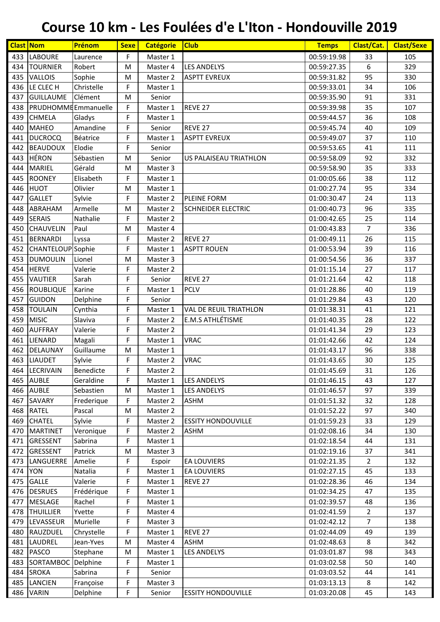| <b>Clast Nom</b> |                          | Prénom     | <b>Sexe</b> | <b>Catégorie</b> | <b>Club</b>                   | <b>Temps</b> | Clast/Cat.     | <b>Clast/Sexe</b> |
|------------------|--------------------------|------------|-------------|------------------|-------------------------------|--------------|----------------|-------------------|
| 433              | <b>LABOURE</b>           | Laurence   | F           | Master 1         |                               | 00:59:19.98  | 33             | 105               |
| 434              | <b>TOURNIER</b>          | Robert     | M           | Master 4         | LES ANDELYS                   | 00:59:27.35  | 6              | 329               |
| 435              | <b>VALLOIS</b>           | Sophie     | M           | Master 2         | <b>ASPTT EVREUX</b>           | 00:59:31.82  | 95             | 330               |
| 436              | LE CLECH                 | Christelle | F           | Master 1         |                               | 00:59:33.01  | 34             | 106               |
| 437              | <b>GUILLAUME</b>         | Clément    | M           | Senior           |                               | 00:59:35.90  | 91             | 331               |
| 438              | PRUDHOMMEEmmanuelle      |            | F           | Master 1         | REVE 27                       | 00:59:39.98  | 35             | 107               |
| 439              | <b>CHMELA</b>            | Gladys     | F           | Master 1         |                               | 00:59:44.57  | 36             | 108               |
| 440              | <b>MAHEO</b>             | Amandine   | F           | Senior           | REVE <sub>27</sub>            | 00:59:45.74  | 40             | 109               |
| 441              | <b>DUCROCQ</b>           | Béatrice   | F           | Master 1         | <b>ASPTT EVREUX</b>           | 00:59:49.07  | 37             | 110               |
| 442              | <b>BEAUDOUX</b>          | Elodie     | F           | Senior           |                               | 00:59:53.65  | 41             | 111               |
| 443              | <b>HÉRON</b>             | Sébastien  | M           | Senior           | US PALAISEAU TRIATHLON        | 00:59:58.09  | 92             | 332               |
| 444              | <b>MARIEL</b>            | Gérald     | M           | Master 3         |                               | 00:59:58.90  | 35             | 333               |
| 445              | <b>ROONEY</b>            | Elisabeth  | F           | Master 1         |                               | 01:00:05.66  | 38             | 112               |
| 446              | <b>HUOT</b>              | Olivier    | M           | Master 1         |                               | 01:00:27.74  | 95             | 334               |
| 447              | <b>GALLET</b>            | Sylvie     | F           | Master 2         | PLEINE FORM                   | 01:00:30.47  | 24             | 113               |
| 448              | ABRAHAM                  | Armelle    | M           | Master 2         | <b>SCHNEIDER ELECTRIC</b>     | 01:00:40.73  | 96             | 335               |
| 449              | <b>SERAIS</b>            | Nathalie   | F           | Master 2         |                               | 01:00:42.65  | 25             | 114               |
| 450              | <b>CHAUVELIN</b>         | Paul       | M           | Master 4         |                               | 01:00:43.83  | $\overline{7}$ | 336               |
| 451              | <b>BERNARDI</b>          | Lyssa      | F           | Master 2         | REVE 27                       | 01:00:49.11  | 26             | 115               |
| 452              | <b>CHANTELOUP</b> Sophie |            | F           | Master 1         | <b>ASPTT ROUEN</b>            | 01:00:53.94  | 39             | 116               |
| 453              | <b>DUMOULIN</b>          | Lionel     | M           | Master 3         |                               | 01:00:54.56  | 36             | 337               |
| 454              | <b>HERVE</b>             | Valerie    | F           | Master 2         |                               | 01:01:15.14  | 27             | 117               |
| 455              | <b>VAUTIER</b>           | Sarah      | F           | Senior           | REVE <sub>27</sub>            | 01:01:21.64  | 42             | 118               |
| 456              | <b>ROUBLIQUE</b>         | Karine     | F           | Master 1         | <b>PCLV</b>                   | 01:01:28.86  | 40             | 119               |
| 457              | <b>GUIDON</b>            | Delphine   | F           | Senior           |                               | 01:01:29.84  | 43             | 120               |
| 458              | <b>TOULAIN</b>           | Cynthia    | F           | Master 1         | <b>VAL DE REUIL TRIATHLON</b> | 01:01:38.31  | 41             | 121               |
| 459              | <b>MISIC</b>             | Slaviva    | F           | Master 2         | E.M.S ATHLÉTISME              | 01:01:40.35  | 28             | 122               |
| 460              | <b>AUFFRAY</b>           | Valerie    | F           | Master 2         |                               | 01:01:41.34  | 29             | 123               |
| 461              | LIENARD                  | Magali     | F           | Master 1         | <b>VRAC</b>                   | 01:01:42.66  | 42             | 124               |
| 462              | DELAUNAY                 | Guillaume  | M           | Master 1         |                               | 01:01:43.17  | 96             | 338               |
| 463              | <b>LIAUDET</b>           | Sylvie     | F           | Master 2         | <b>VRAC</b>                   | 01:01:43.65  | 30             | 125               |
|                  | 464 LECRIVAIN            | Benedicte  | F           | Master 2         |                               | 01:01:45.69  | 31             | 126               |
| 465              | <b>AUBLE</b>             | Geraldine  | F           | Master 1         | <b>LES ANDELYS</b>            | 01:01:46.15  | 43             | 127               |
|                  | 466 AUBLE                | Sebastien  | M           | Master 1         | <b>LES ANDELYS</b>            | 01:01:46.57  | 97             | 339               |
| 467              | SAVARY                   | Frederique | F           | Master 2         | <b>ASHM</b>                   | 01:01:51.32  | 32             | 128               |
| 468              | <b>RATEL</b>             | Pascal     | M           | Master 2         |                               | 01:01:52.22  | 97             | 340               |
| 469              | <b>CHATEL</b>            | Sylvie     | F           | Master 2         | <b>ESSITY HONDOUVILLE</b>     | 01:01:59.23  | 33             | 129               |
| 470              | MARTINET                 | Veronique  | F           | Master 2         | <b>ASHM</b>                   | 01:02:08.16  | 34             | 130               |
| 471              | <b>GRESSENT</b>          | Sabrina    | F           | Master 1         |                               | 01:02:18.54  | 44             | 131               |
| 472              | GRESSENT                 | Patrick    | M           | Master 3         |                               | 01:02:19.16  | 37             | 341               |
| 473              | LANGUERRE                | Amelie     | F           | Espoir           | <b>EA LOUVIERS</b>            | 01:02:21.35  | $\overline{2}$ | 132               |
| 474              | <b>YON</b>               | Natalia    | F           | Master 1         | <b>EA LOUVIERS</b>            | 01:02:27.15  | 45             | 133               |
| 475              | <b>GALLE</b>             | Valerie    | F           | Master 1         | REVE 27                       | 01:02:28.36  | 46             | 134               |
| 476              | <b>DESRUES</b>           | Frédérique | F           | Master 1         |                               | 01:02:34.25  | 47             | 135               |
| 477              | <b>MESLAGE</b>           | Rachel     | F           | Master 1         |                               | 01:02:39.57  | 48             | 136               |
| 478              | <b>THUILLIER</b>         | Yvette     | F           | Master 4         |                               | 01:02:41.59  | $\overline{2}$ | 137               |
| 479              | LEVASSEUR                | Murielle   | F           | Master 3         |                               | 01:02:42.12  | $\overline{7}$ | 138               |
| 480              | RAUZDUEL                 | Chrystelle | F           | Master 1         | REVE 27                       | 01:02:44.09  | 49             | 139               |
| 481              | LAUDREL                  | Jean-Yves  | M           | Master 4         | <b>ASHM</b>                   | 01:02:48.63  | 8              | 342               |
| 482              | PASCO                    | Stephane   | M           | Master 1         | <b>LES ANDELYS</b>            | 01:03:01.87  | 98             | 343               |
| 483              | SORTAMBOC Delphine       |            | F           | Master 1         |                               | 01:03:02.58  | 50             | 140               |
| 484              | <b>SROKA</b>             | Sabrina    | F           | Senior           |                               | 01:03:03.52  | 44             | 141               |
| 485              | <b>LANCIEN</b>           | Françoise  | F           | Master 3         |                               | 01:03:13.13  | 8              | 142               |
| 486              | <b>VARIN</b>             | Delphine   | F           | Senior           | <b>ESSITY HONDOUVILLE</b>     | 01:03:20.08  | 45             | 143               |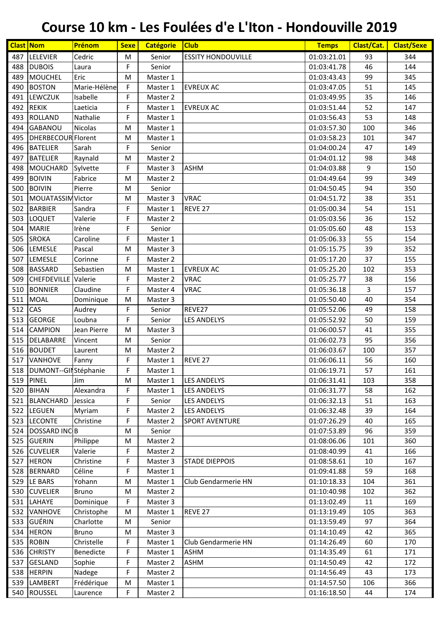|     | <b>Clast Nom</b>          | Prénom       | <b>Sexe</b> | <b>Catégorie</b> | <b>Club</b>               | <b>Temps</b> | Clast/Cat. | <b>Clast/Sexe</b> |
|-----|---------------------------|--------------|-------------|------------------|---------------------------|--------------|------------|-------------------|
| 487 | <b>LELEVIER</b>           | Cedric       | M           | Senior           | <b>ESSITY HONDOUVILLE</b> | 01:03:21.01  | 93         | 344               |
| 488 | <b>DUBOIS</b>             | Laura        | F           | Senior           |                           | 01:03:41.78  | 46         | 144               |
| 489 | <b>MOUCHEL</b>            | Eric         | M           | Master 1         |                           | 01:03:43.43  | 99         | 345               |
| 490 | <b>BOSTON</b>             | Marie-Hélène | F           | Master 1         | <b>EVREUX AC</b>          | 01:03:47.05  | 51         | 145               |
| 491 | <b>LEWCZUK</b>            | Isabelle     | F           | Master 2         |                           | 01:03:49.95  | 35         | 146               |
| 492 | <b>REKIK</b>              | Laeticia     | F           | Master 1         | <b>EVREUX AC</b>          | 01:03:51.44  | 52         | 147               |
| 493 | <b>ROLLAND</b>            | Nathalie     | F           | Master 1         |                           | 01:03:56.43  | 53         | 148               |
| 494 | <b>GABANOU</b>            | Nicolas      | M           | Master 1         |                           | 01:03:57.30  | 100        | 346               |
| 495 | <b>DHERBECOUR Florent</b> |              | М           | Master 1         |                           | 01:03:58.23  | 101        | 347               |
| 496 | <b>BATELIER</b>           | Sarah        | F           | Senior           |                           | 01:04:00.24  | 47         | 149               |
| 497 | <b>BATELIER</b>           | Raynald      | M           | Master 2         |                           | 01:04:01.12  | 98         | 348               |
| 498 | <b>MOUCHARD</b>           | Sylvette     | F           | Master 3         | <b>ASHM</b>               | 01:04:03.88  | 9          | 150               |
| 499 | <b>BOIVIN</b>             | Fabrice      | M           | Master 2         |                           | 01:04:49.64  | 99         | 349               |
| 500 | <b>BOIVIN</b>             | Pierre       | M           | Senior           |                           | 01:04:50.45  | 94         | 350               |
| 501 | MOUATASSIM Victor         |              | M           | Master 3         | <b>VRAC</b>               | 01:04:51.72  | 38         | 351               |
| 502 | <b>BARBIER</b>            | Sandra       | F           | Master 1         | REVE 27                   | 01:05:00.34  | 54         | 151               |
| 503 | LOQUET                    | Valerie      | F           | Master 2         |                           | 01:05:03.56  | 36         | 152               |
| 504 | <b>MARIE</b>              | Irène        | F           | Senior           |                           | 01:05:05.60  | 48         | 153               |
| 505 | <b>SROKA</b>              | Caroline     | F           | Master 1         |                           | 01:05:06.33  | 55         | 154               |
| 506 | LEMESLE                   | Pascal       | M           | Master 3         |                           | 01:05:15.75  | 39         | 352               |
| 507 | LEMESLE                   | Corinne      | F           | Master 2         |                           | 01:05:17.20  | 37         | 155               |
| 508 | <b>BASSARD</b>            | Sebastien    | M           | Master 1         | <b>EVREUX AC</b>          | 01:05:25.20  | 102        | 353               |
| 509 | CHEFDEVILLE Valerie       |              | F           | Master 2         | <b>VRAC</b>               | 01:05:25.77  | 38         | 156               |
| 510 | <b>BONNIER</b>            | Claudine     | F           | Master 4         | <b>VRAC</b>               | 01:05:36.18  | 3          | 157               |
| 511 | <b>MOAL</b>               | Dominique    | M           | Master 3         |                           | 01:05:50.40  | 40         | 354               |
| 512 | CAS                       | Audrey       | F           | Senior           | REVE27                    | 01:05:52.06  | 49         | 158               |
| 513 | <b>GEORGE</b>             | Loubna       | F           | Senior           | <b>LES ANDELYS</b>        | 01:05:52.92  | 50         | 159               |
| 514 | <b>CAMPION</b>            | Jean Pierre  | M           | Master 3         |                           | 01:06:00.57  | 41         | 355               |
| 515 | <b>DELABARRE</b>          | Vincent      | M           | Senior           |                           | 01:06:02.73  | 95         | 356               |
| 516 | <b>BOUDET</b>             | Laurent      | М           | Master 2         |                           | 01:06:03.67  | 100        | 357               |
| 517 | <b>VANHOVE</b>            | Fanny        | F           | Master 1         | REVE 27                   | 01:06:06.11  | 56         | 160               |
|     | 518 DUMONT--GILStéphanie  |              | F           | Master 1         |                           | 01:06:19.71  | 57         | 161               |
| 519 | <b>PINEL</b>              | Jim          | М           | Master 1         | <b>LES ANDELYS</b>        | 01:06:31.41  | 103        | 358               |
| 520 | <b>BIHAN</b>              | Alexandra    | F           | Master 1         | <b>LES ANDELYS</b>        | 01:06:31.77  | 58         | 162               |
| 521 | <b>BLANCHARD</b>          | Jessica      | F           | Senior           | <b>LES ANDELYS</b>        | 01:06:32.13  | 51         | 163               |
| 522 | <b>LEGUEN</b>             | Myriam       | F           | Master 2         | <b>LES ANDELYS</b>        | 01:06:32.48  | 39         | 164               |
| 523 | <b>LECONTE</b>            | Christine    | F           | Master 2         | <b>SPORT AVENTURE</b>     | 01:07:26.29  | 40         | 165               |
| 524 | <b>DOSSARD INCB</b>       |              | M           | Senior           |                           | 01:07:53.89  | 96         | 359               |
| 525 | <b>GUERIN</b>             | Philippe     | M           | Master 2         |                           | 01:08:06.06  | 101        | 360               |
| 526 | <b>CUVELIER</b>           | Valerie      | F           | Master 2         |                           | 01:08:40.99  | 41         | 166               |
| 527 | <b>HERON</b>              | Christine    | F           | Master 3         | <b>STADE DIEPPOIS</b>     | 01:08:58.61  | 10         | 167               |
| 528 | <b>BERNARD</b>            | Céline       | F           | Master 1         |                           | 01:09:41.88  | 59         | 168               |
| 529 | LE BARS                   | Yohann       | M           | Master 1         | Club Gendarmerie HN       | 01:10:18.33  | 104        | 361               |
| 530 | <b>CUVELIER</b>           | <b>Bruno</b> | М           | Master 2         |                           | 01:10:40.98  | 102        | 362               |
| 531 | LAHAYE                    | Dominique    | F           | Master 3         |                           | 01:13:02.49  | 11         | 169               |
| 532 | VANHOVE                   | Christophe   | M           | Master 1         | REVE 27                   | 01:13:19.49  | 105        | 363               |
| 533 | GUÉRIN                    | Charlotte    | M           | Senior           |                           | 01:13:59.49  | 97         | 364               |
| 534 | <b>HERON</b>              | <b>Bruno</b> | M           | Master 3         |                           | 01:14:10.49  | 42         | 365               |
| 535 | <b>ROBIN</b>              | Christelle   | F           | Master 1         | Club Gendarmerie HN       | 01:14:26.49  | 60         | 170               |
| 536 | <b>CHRISTY</b>            | Benedicte    | F           | Master 1         | <b>ASHM</b>               | 01:14:35.49  | 61         | 171               |
| 537 | <b>GESLAND</b>            | Sophie       | F           | Master 2         | <b>ASHM</b>               | 01:14:50.49  | 42         | 172               |
| 538 | <b>HERPIN</b>             | Nadege       | F           | Master 2         |                           | 01:14:56.49  | 43         | 173               |
| 539 | <b>LAMBERT</b>            | Frédérique   | M           | Master 1         |                           | 01:14:57.50  | 106        | 366               |
|     | 540 ROUSSEL               | Laurence     | F.          | Master 2         |                           | 01:16:18.50  | 44         | 174               |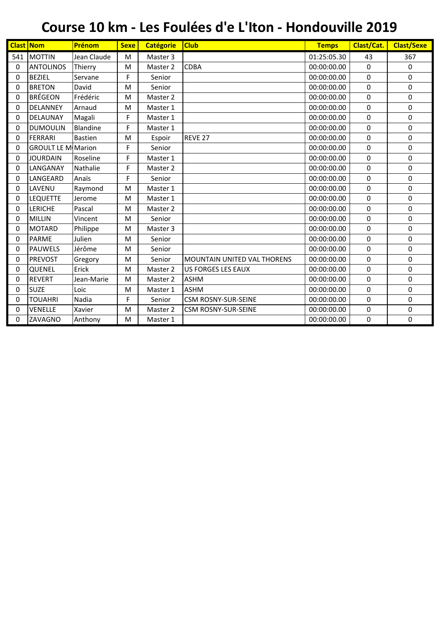| <b>Clast Nom</b> |                           | Prénom         | <b>Sexe</b> | <b>Catégorie</b> | <b>Club</b>                 | <b>Temps</b> | Clast/Cat.  | <b>Clast/Sexe</b> |
|------------------|---------------------------|----------------|-------------|------------------|-----------------------------|--------------|-------------|-------------------|
| 541              | <b>MOTTIN</b>             | Jean Claude    | M           | Master 3         |                             | 01:25:05.30  | 43          | 367               |
| $\mathbf 0$      | <b>ANTOLINOS</b>          | Thierry        | M           | Master 2         | <b>CDBA</b>                 | 00:00:00.00  | 0           | $\mathbf 0$       |
| 0                | <b>BEZIEL</b>             | Servane        | F           | Senior           |                             | 00:00:00.00  | 0           | 0                 |
| 0                | <b>BRETON</b>             | David          | M           | Senior           |                             | 00:00:00.00  | 0           | 0                 |
| 0                | <b>BRÉGEON</b>            | Frédéric       | M           | Master 2         |                             | 00:00:00.00  | 0           | 0                 |
| 0                | DELANNEY                  | Arnaud         | M           | Master 1         |                             | 00:00:00.00  | 0           | 0                 |
| 0                | DELAUNAY                  | Magali         | F           | Master 1         |                             | 00:00:00.00  | 0           | 0                 |
| 0                | <b>DUMOULIN</b>           | Blandine       | F           | Master 1         |                             | 00:00:00.00  | 0           | 0                 |
| 0                | <b>FERRARI</b>            | <b>Bastien</b> | M           | Espoir           | REVE <sub>27</sub>          | 00:00:00.00  | 0           | 0                 |
| 0                | <b>GROULT LE M</b> Marion |                | F           | Senior           |                             | 00:00:00.00  | 0           | 0                 |
| 0                | <b>JOURDAIN</b>           | Roseline       | F           | Master 1         |                             | 00:00:00.00  | 0           | 0                 |
| 0                | LANGANAY                  | Nathalie       | F           | Master 2         |                             | 00:00:00.00  | 0           | 0                 |
| 0                | LANGEARD                  | Anaïs          | F           | Senior           |                             | 00:00:00.00  | 0           | 0                 |
| 0                | LAVENU                    | Raymond        | M           | Master 1         |                             | 00:00:00.00  | 0           | 0                 |
| 0                | <b>LEQUETTE</b>           | Jerome         | M           | Master 1         |                             | 00:00:00.00  | 0           | 0                 |
| 0                | LERICHE                   | Pascal         | M           | Master 2         |                             | 00:00:00.00  | 0           | 0                 |
| 0                | <b>MILLIN</b>             | Vincent        | M           | Senior           |                             | 00:00:00.00  | $\mathbf 0$ | 0                 |
| 0                | <b>MOTARD</b>             | Philippe       | M           | Master 3         |                             | 00:00:00.00  | 0           | 0                 |
| 0                | <b>PARME</b>              | Julien         | M           | Senior           |                             | 00:00:00.00  | 0           | 0                 |
| 0                | <b>PAUWELS</b>            | Jérôme         | M           | Senior           |                             | 00:00:00.00  | 0           | 0                 |
| 0                | <b>PREVOST</b>            | Gregory        | M           | Senior           | MOUNTAIN UNITED VAL THORENS | 00:00:00.00  | 0           | $\mathbf 0$       |
| 0                | QUENEL                    | Erick          | M           | Master 2         | <b>US FORGES LES EAUX</b>   | 00:00:00.00  | 0           | 0                 |
| 0                | <b>REVERT</b>             | Jean-Marie     | M           | Master 2         | <b>ASHM</b>                 | 00:00:00.00  | 0           | 0                 |
| 0                | <b>SUZE</b>               | Loic           | M           | Master 1         | <b>ASHM</b>                 | 00:00:00.00  | 0           | 0                 |
| 0                | <b>TOUAHRI</b>            | Nadia          | F           | Senior           | <b>CSM ROSNY-SUR-SEINE</b>  | 00:00:00.00  | 0           | 0                 |
| 0                | VENELLE                   | Xavier         | M           | Master 2         | <b>CSM ROSNY-SUR-SEINE</b>  | 00:00:00.00  | 0           | 0                 |
| 0                | ZAVAGNO                   | Anthony        | M           | Master 1         |                             | 00:00:00.00  | 0           | $\mathbf 0$       |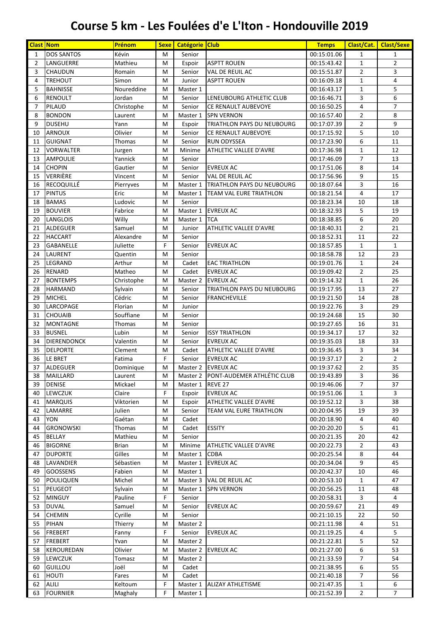| <b>Clast Nom</b> |                           | Prénom           | <b>Sexe</b> | Catégorie Club     |                                                 | <b>Temps</b>               | Clast/Cat.                       | <b>Clast/Sexe</b>   |
|------------------|---------------------------|------------------|-------------|--------------------|-------------------------------------------------|----------------------------|----------------------------------|---------------------|
| $\mathbf{1}$     | <b>DOS SANTOS</b>         | Kévin            | M           | Senior             |                                                 | 00:15:01.06                | $\mathbf{1}$                     | $\mathbf{1}$        |
| $\overline{2}$   | LANGUERRE                 | Mathieu          | M           | Espoir             | <b>ASPTT ROUEN</b>                              | 00:15:43.42                | $\mathbf{1}$                     | $\overline{2}$      |
| 3                | CHAUDUN                   | Romain           | M           | Senior             | VAL DE REUIL AC                                 | 00:15:51.87                | $\overline{2}$                   | 3                   |
| 4                | <b>TREHOUT</b>            | Simon            | M           | Junior             | <b>ASPTT ROUEN</b>                              | 00:16:09.18                | $\mathbf{1}$                     | 4                   |
| 5                | <b>BAHNISSE</b>           | Noureddine       | M           | Master 1           |                                                 | 00:16:43.17                | $\mathbf{1}$                     | 5                   |
| 6                | <b>RENOULT</b>            | Jordan           | M           | Senior             | LENEUBOURG ATHLETIC CLUB                        | 00:16:46.71                | 3                                | 6                   |
| 7<br>8           | PILAUD<br><b>BONDON</b>   | Christophe       | М           | Senior             | CE RENAULT AUBEVOYE                             | 00:16:50.25                | 4                                | $\overline{7}$<br>8 |
| 9                | <b>DUSEHU</b>             | Laurent<br>Yann  | M<br>M      | Master 1<br>Espoir | <b>SPN VERNON</b><br>TRIATHLON PAYS DU NEUBOURG | 00:16:57.40<br>00:17:07.39 | $\overline{2}$<br>$\overline{2}$ | 9                   |
| 10               | <b>ARNOUX</b>             | Olivier          | M           | Senior             | CE RENAULT AUBEVOYE                             | 00:17:15.92                | 5                                | 10                  |
| 11               | <b>GUIGNAT</b>            | Thomas           | M           | Senior             | <b>RUN ODYSSEA</b>                              | 00:17:23.90                | 6                                | 11                  |
| 12               | <b>VORWALTER</b>          | Jurgen           | M           | Minime             | ATHLETIC VALLEE D'AVRE                          | 00:17:36.98                | $\mathbf{1}$                     | 12                  |
| 13               | <b>AMPOULIE</b>           | Yannick          | M           | Senior             |                                                 | 00:17:46.09                | $\overline{7}$                   | 13                  |
| 14               | <b>CHOPIN</b>             | Gautier          | M           | Senior             | <b>EVREUX AC</b>                                | 00:17:51.06                | 8                                | 14                  |
| 15               | VERRIÈRE                  | Vincent          | M           | Senior             | VAL DE REUIL AC                                 | 00:17:56.96                | 9                                | 15                  |
| 16               | <b>RECOQUILLÉ</b>         | Pierryves        | M           | Master 1           | TRIATHLON PAYS DU NEUBOURG                      | 00:18:07.64                | 3                                | 16                  |
| 17               | <b>PINTUS</b>             | Eric             | M           | Master 1           | <b>TEAM VAL EURE TRIATHLON</b>                  | 00:18:21.54                | $\overline{4}$                   | 17                  |
| 18               | <b>BAMAS</b>              | Ludovic          | M           | Senior             |                                                 | 00:18:23.34                | 10                               | 18                  |
| 19               | <b>BOUVIER</b>            | Fabrice          | M           | Master 1           | <b>EVREUX AC</b>                                | 00:18:32.93                | 5                                | 19                  |
| 20               | <b>LANGLOIS</b>           | Willy            | M           | Master 1           | <b>TCA</b>                                      | 00:18:38.85                | 6                                | 20                  |
| 21               | <b>ALDEGUER</b>           | Samuel           | M           | Junior             | ATHLETIC VALLEE D'AVRE                          | 00:18:40.31                | $\overline{2}$                   | 21                  |
| 22               | <b>HACCART</b>            | Alexandre        | M           | Senior             |                                                 | 00:18:52.31                | 11                               | 22                  |
| 23               | <b>GABANELLE</b>          | Juliette         | F           | Senior             | <b>EVREUX AC</b>                                | 00:18:57.85                | $\mathbf{1}$<br>12               | $\mathbf{1}$<br>23  |
| 24               | LAURENT                   | Quentin          | M           | Senior             |                                                 | 00:18:58.78                | $\mathbf{1}$                     | 24                  |
| 25<br>26         | LEGRAND<br><b>RENARD</b>  | Arthur<br>Matheo | M<br>M      | Cadet<br>Cadet     | <b>EAC TRIATHLON</b><br><b>EVREUX AC</b>        | 00:19:01.76<br>00:19:09.42 | $\overline{2}$                   | 25                  |
| 27               | <b>BONTEMPS</b>           | Christophe       | M           | Master 2           | <b>EVREUX AC</b>                                | 00:19:14.32                | $\mathbf{1}$                     | 26                  |
| 28               | <b>HARMAND</b>            | Sylvain          | M           | Senior             | TRIATHLON PAYS DU NEUBOURG                      | 00:19:17.95                | 13                               | 27                  |
| 29               | <b>MICHEL</b>             | Cédric           | M           | Senior             | <b>FRANCHEVILLE</b>                             | 00:19:21.50                | 14                               | 28                  |
| 30               | LARCOPAGE                 | Florian          | M           | Junior             |                                                 | 00:19:22.76                | 3                                | 29                  |
| 31               | <b>CHOUAIB</b>            | Souffiane        | M           | Senior             |                                                 | 00:19:24.68                | 15                               | 30                  |
| 32               | <b>MONTAGNE</b>           | Thomas           | М           | Senior             |                                                 | 00:19:27.65                | 16                               | 31                  |
| 33               | <b>BUSNEL</b>             | Lubin            | M           | Senior             | <b>ISSY TRIATHLON</b>                           | 00:19:34.17                | 17                               | 32                  |
| 34               | <b>DIERENDONCK</b>        | Valentin         | M           | Senior             | <b>EVREUX AC</b>                                | 00:19:35.03                | 18                               | 33                  |
| 35               | <b>DELPORTE</b>           | Clement          | М           | Cadet              | ATHLETIC VALLEE D'AVRE                          | 00:19:36.45                | 3                                | 34                  |
| 36               | LE BRET                   | Fatima           | F           | Senior             | <b>EVREUX AC</b>                                | 00:19:37.17                | $\overline{2}$                   | $\overline{2}$      |
| 37               | ALDEGUER                  | Dominique        | M           |                    | Master 2   EVREUX AC                            | 00:19:37.62                | $\overline{2}$                   | 35                  |
| 38               | <b>MAILLARD</b>           | Laurent          | М           | Master 2           | PONT-AUDEMER ATHLÉTIC CLUB                      | 00:19:43.89                | 3                                | 36                  |
| 39               | <b>DENISE</b>             | Mickael          | М           | Master 1           | REVE 27                                         | 00:19:46.06                | 7                                | 37                  |
| 40               | LEWCZUK                   | Claire           | F           | Espoir             | <b>EVREUX AC</b>                                | 00:19:51.06                | $\mathbf{1}$                     | 3                   |
| 41               | <b>MARQUIS</b><br>LAMARRE | Viktorien        | M           | Espoir             | ATHLETIC VALLEE D'AVRE                          | 00:19:52.12                | 3<br>19                          | 38<br>39            |
| 42<br>43         | <b>YON</b>                | Julien<br>Gaétan | M<br>M      | Senior<br>Cadet    | TEAM VAL EURE TRIATHLON                         | 00:20:04.95<br>00:20:18.90 | 4                                | 40                  |
| 44               | <b>GRONOWSKI</b>          | Thomas           | M           | Cadet              | <b>ESSITY</b>                                   | 00:20:20.20                | 5                                | 41                  |
| 45               | <b>BELLAY</b>             | Mathieu          | М           | Senior             |                                                 | 00:20:21.35                | 20                               | 42                  |
| 46               | <b>BIGORNE</b>            | <b>Brian</b>     | М           | Minime             | ATHLETIC VALLEE D'AVRE                          | 00:20:22.73                | $\overline{2}$                   | 43                  |
| 47               | <b>DUPORTE</b>            | Gilles           | M           | Master 1           | <b>CDBA</b>                                     | 00:20:25.54                | 8                                | 44                  |
| 48               | LAVANDIER                 | Sébastien        | М           | Master 1           | <b>EVREUX AC</b>                                | 00:20:34.04                | 9                                | 45                  |
| 49               | <b>GOOSSENS</b>           | Fabien           | М           | Master 1           |                                                 | 00:20:42.37                | 10                               | 46                  |
| 50               | <b>POULIQUEN</b>          | Michel           | М           | Master 3           | VAL DE REUIL AC                                 | 00:20:53.10                | $\mathbf{1}$                     | 47                  |
| 51               | <b>PEUGEOT</b>            | Sylvain          | M           | Master 1           | <b>SPN VERNON</b>                               | 00:20:56.25                | 11                               | 48                  |
| 52               | <b>MINGUY</b>             | Pauline          | F           | Senior             |                                                 | 00:20:58.31                | 3                                | 4                   |
| 53               | <b>DUVAL</b>              | Samuel           | M           | Senior             | <b>EVREUX AC</b>                                | 00:20:59.67                | 21                               | 49                  |
| 54               | <b>CHEMIN</b>             | Cyrille          | M           | Senior             |                                                 | 00:21:10.15                | 22                               | 50                  |
| 55               | PIHAN                     | Thierry          | M           | Master 2           |                                                 | 00:21:11.98                | 4                                | 51                  |
| 56               | <b>FREBERT</b>            | Fanny            | F           | Senior             | <b>EVREUX AC</b>                                | 00:21:19.25                | 4                                | 5                   |
| 57               | <b>FREBERT</b>            | Yvan             | M           | Master 2           |                                                 | 00:21:22.81                | 5                                | 52                  |
| 58               | KEROUREDAN                | Olivier          | М           | Master 2           | <b>EVREUX AC</b>                                | 00:21:27.00                | 6                                | 53                  |
| 59               | LEWCZUK                   | Tomasz           | М           | Master 2           |                                                 | 00:21:33.59                | 7                                | 54                  |
| 60               | <b>GUILLOU</b>            | Joël             | М           | Cadet              |                                                 | 00:21:38.95                | 6                                | 55                  |
| 61               | <b>HOUTI</b>              | Fares            | M           | Cadet              |                                                 | 00:21:40.18                | 7                                | 56                  |
| 62               | <b>ALILI</b>              | Keltoum          | F<br>F      | Master 1           | <b>ALIZAY ATHLETISME</b>                        | 00:21:47.35                | $\mathbf{1}$                     | 6                   |
| 63               | <b>FOURNIER</b>           | Maghaly          |             | Master 1           |                                                 | 00:21:52.39                | $\overline{2}$                   | 7                   |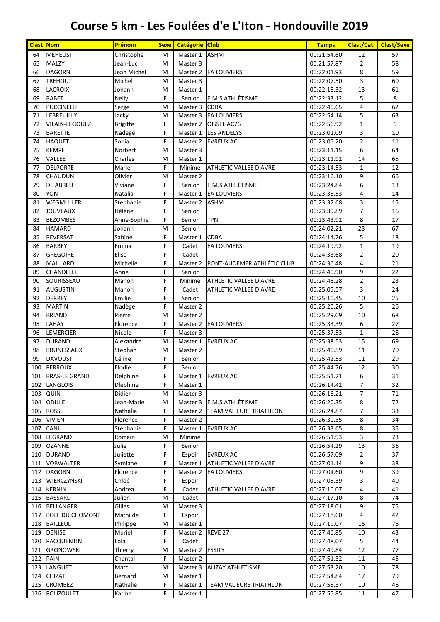|          | <b>Clast Nom</b>        | Prénom               | <b>Sexe</b> | Catégorie Club       |                                   | <b>Temps</b>               | Clast/Cat.      | <b>Clast/Sexe</b> |
|----------|-------------------------|----------------------|-------------|----------------------|-----------------------------------|----------------------------|-----------------|-------------------|
| 64       | <b>MEHEUST</b>          | Christophe           | M           | Master 1             | <b>ASHM</b>                       | 00:21:54.60                | 12              | 57                |
| 65       | <b>MALZY</b>            | Jean-Luc             | M           | Master 3             |                                   | 00:21:57.87                | $\overline{2}$  | 58                |
| 66       | <b>DAGORN</b>           | Jean Michel          | M           | Master 2             | <b>EA LOUVIERS</b>                | 00:22:01.93                | 8               | 59                |
| 67       | <b>TREHOUT</b>          | Michel               | M           | Master 3             |                                   | 00:22:07.50                | 3               | 60                |
| 68       | <b>LACROIX</b>          | Johann               | M           | Master 1             |                                   | 00:22:15.32                | 13              | 61                |
| 69       | <b>RABET</b>            | Nelly                | F           | Senior               | <b>E.M.S ATHLÉTISME</b>           | 00:22:33.12                | 5               | 8                 |
| 70       | PUCCINELLI              | Serge                | M           | Master 3             | <b>CDBA</b>                       | 00:22:40.65                | 4               | 62                |
| 71       | <b>LEBREUILLY</b>       | Jacky                | M           | Master 3             | <b>EA LOUVIERS</b>                | 00:22:54.14                | 5               | 63                |
| 72       | VILAIN-LEGOUEZ          | <b>Brigitte</b>      | F           | Master 2             | OISSEL AC76                       | 00:22:56.92                | $\mathbf{1}$    | 9                 |
| 73       | <b>BARETTE</b>          | Nadege               | F           | Master 1             | <b>LES ANDELYS</b>                | 00:23:01.09                | 3               | 10                |
| 74       | <b>HAQUET</b>           | Sonia                | F           | Master 2             | <b>EVREUX AC</b>                  | 00:23:05.20                | $\overline{2}$  | 11                |
| 75       | <b>KEMPE</b>            | Norbert              | M           | Master 3             |                                   | 00:23:11.15                | 6               | 64                |
| 76       | VALLEE                  | Charles              | М           | Master 1             |                                   | 00:23:11.92                | 14              | 65                |
| 77       | <b>DELPORTE</b>         | Marie                | F           | Minime               | ATHLETIC VALLEE D'AVRE            | 00:23:14.53                | $\mathbf{1}$    | 12                |
| 78<br>79 | CHAUDUN                 | Olivier              | M<br>F      | Master 2             | E.M.S ATHLÉTISME                  | 00:23:16.10                | 9<br>6          | 66                |
| 80       | <b>DE ABREU</b>         | Viviane              | F           | Senior               |                                   | 00:23:24.84<br>00:23:35.53 | 4               | 13<br>14          |
| 81       | <b>YON</b><br>WEGMULLER | Natalia<br>Stephanie | F           | Master 1<br>Master 2 | <b>EA LOUVIERS</b><br><b>ASHM</b> | 00:23:37.68                | 3               | 15                |
| 82       | <b>JOUVEAUX</b>         | Hélène               | F           | Senior               |                                   | 00:23:39.89                | $\overline{7}$  | 16                |
| 83       | <b>BEZOMBES</b>         | Anne-Sophie          | F           | Senior               | <b>TPN</b>                        | 00:23:43.92                | 8               | 17                |
| 84       | <b>HAMARD</b>           | Johann               | M           | Senior               |                                   | 00:24:02.21                | 23              | 67                |
| 85       | <b>REVERSAT</b>         | Sabine               | F           | Master 1             | <b>CDBA</b>                       | 00:24:14.76                | 5               | 18                |
| 86       | <b>BARBEY</b>           | Emma                 | F           | Cadet                | <b>EA LOUVIERS</b>                | 00:24:19.92                | $\mathbf{1}$    | 19                |
| 87       | <b>GREGOIRE</b>         | Elise                | F           | Cadet                |                                   | 00:24:33.68                | $\overline{2}$  | 20                |
| 88       | <b>MAILLARD</b>         | Michelle             | F           | Master 2             | PONT-AUDEMER ATHLÉTIC CLUB        | 00:24:36.48                | 4               | 21                |
| 89       | CHANDELLE               | Anne                 | F           | Senior               |                                   | 00:24:40.90                | 9               | 22                |
| 90       | SOURISSEAU              | Manon                | F           | Minime               | ATHLETIC VALLEE D'AVRE            | 00:24:46.28                | $\overline{2}$  | 23                |
| 91       | <b>AUGUSTIN</b>         | Manon                | F           | Cadet                | ATHLETIC VALLEE D'AVRE            | 00:25:05.57                | 3               | 24                |
| 92       | <b>DERREY</b>           | Emilie               | F           | Senior               |                                   | 00:25:10.45                | 10              | 25                |
| 93       | <b>MARTIN</b>           | Nadège               | F           | Master 2             |                                   | 00:25:20.26                | 5               | 26                |
| 94       | <b>BRIAND</b>           | Pierre               | M           | Master 2             |                                   | 00:25:29.09                | 10              | 68                |
| 95       | LAHAY                   | Florence             | F           | Master 2             | <b>EA LOUVIERS</b>                | 00:25:33.39                | 6               | 27                |
| 96       | LEMERCIER               | Nicole               | F           | Master 3             |                                   | 00:25:37.53                | $\mathbf{1}$    | 28                |
| 97       | <b>DURAND</b>           | Alexandre            | M           | Master 1             | <b>EVREUX AC</b>                  | 00:25:38.53                | 15              | 69                |
| 98       | <b>BRUNESSAUX</b>       | Stephan              | M           | Master 2             |                                   | 00:25:40.59                | 11              | 70                |
| 99       | <b>DAVOUST</b>          | Céline               | F           | Senior               |                                   | 00:25:42.53                | 11              | 29                |
|          | 100 PERROUX             | Elodie               | F           | Senior               |                                   | 00:25:44.76                | 12              | 30                |
|          | 101 BRAS-LE GRAND       | Delphine             | F           | Master 1             | <b>EVREUX AC</b>                  | 00:25:51.21                | 6               | 31                |
| 102      | LANGLOIS                | Dlephine             | F           | Master 1             |                                   | 00:26:14.42                | 7               | 32                |
| 103      | QUIN                    | Didier               | М           | Master 3             |                                   | 00:26:16.21                | 7               | 71                |
| 104      | <b>ODILLE</b>           | Jean-Marie           | M           | Master 3             | <b>E.M.S ATHLÉTISME</b>           | 00:26:20.35                | 8               | $72\,$            |
| 105      | <b>ROSSE</b>            | Nathalie             | F           | Master 2             | TEAM VAL EURE TRIATHLON           | 00:26:24.87                | 7               | 33                |
| 106      | <b>VIVIEN</b>           | Florence             | F           | Master 2             |                                   | 00:26:30.35                | 8               | 34                |
| 107      | CANU                    | Stéphanie            | F           | Master 1             | <b>EVREUX AC</b>                  | 00:26:33.65                | 8               | 35                |
| 108      | LEGRAND                 | Romain               | M           | Minime               |                                   | 00:26:51.93                | 3               | 73                |
|          | 109 OZANNE              | Julie                | F           | Senior               |                                   | 00:26:54.29                | 13              | 36                |
|          | 110 DURAND              | Juliette             | F           | Espoir               | <b>EVREUX AC</b>                  | 00:26:57.09                | $\overline{2}$  | 37                |
|          | 111 VORWALTER           | Symiane              | F           | Master 1             | ATHLETIC VALLEE D'AVRE            | 00:27:01.14                | 9               | 38                |
|          | 112 DAGORN              | Florence             | F           | Master 2             | <b>EA LOUVIERS</b>                | 00:27:04.60                | 9               | 39                |
|          | 113 WIERCZYNSKI         | Chloé                | F           | Espoir               |                                   | 00:27:05.39                | 3               | 40                |
|          | 114 KERNIN              | Andrea               | F           | Cadet                | ATHLETIC VALLEE D'AVRE            | 00:27:10.07                | 4               | 41                |
|          | 115 BASSARD             | Julien               | M           | Cadet                |                                   | 00:27:17.10                | 8               | 74                |
|          | 116 BELLANGER           | Gilles               | M           | Master 3             |                                   | 00:27:18.01                | 9               | 75                |
|          | 117 BOLE DU CHOMONT     | Mathilde             | F           | Espoir               |                                   | 00:27:18.60                | 4               | 42                |
|          | 118 BAILLEUL            | Philippe             | М           | Master 1             |                                   | 00:27:19.07                | 16              | 76                |
| 119      | <b>DENISE</b>           | Muriel               | F           | Master 2             | REVE 27                           | 00:27:46.85                | 10              | 43                |
| 120      | PACQUENTIN              | Lola                 | F           | Cadet                |                                   | 00:27:48.07                | $5\phantom{.0}$ | 44                |
| 121      | <b>GRONOWSKI</b>        | Thierry              | M           | Master 2             | <b>ESSITY</b>                     | 00:27:49.84                | 12              | 77                |
| 122      | <b>PAIN</b>             | Chantal              | F           | Master 2             |                                   | 00:27:51.32                | 11              | 45                |
| 123      | LANGUET                 | Marc                 | M           | Master 3             | <b>ALIZAY ATHLETISME</b>          | 00:27:53.20                | 10              | 78                |
| 124      | <b>CHIZAT</b>           | Bernard              | М           | Master 1             |                                   | 00:27:54.84                | 17              | 79                |
| 125      | <b>CROMBEZ</b>          | Nathalie             | F           | Master 1             | TEAM VAL EURE TRIATHLON           | 00:27:55.37                | 10              | 46                |
|          | 126 POUZOULET           | Karine               | F           | Master 1             |                                   | 00:27:55.85                | 11              | 47                |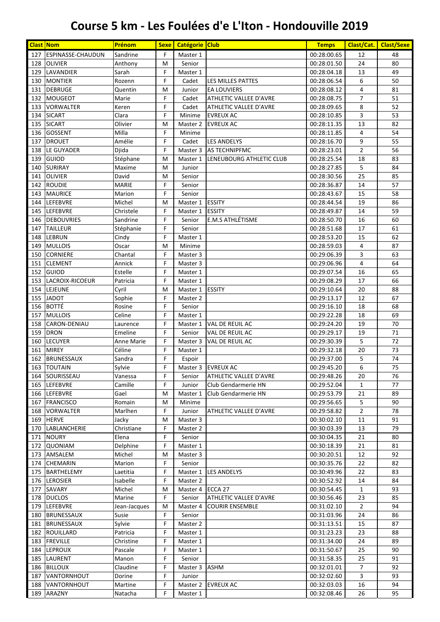| <b>Clast Nom</b> |                                  | Prénom             | <b>Sexe</b> | Catégorie Club     |                                               | <b>Temps</b>               | Clast/Cat.     | <b>Clast/Sexe</b> |
|------------------|----------------------------------|--------------------|-------------|--------------------|-----------------------------------------------|----------------------------|----------------|-------------------|
| 127              | <b>ESPINASSE-CHAUDUN</b>         | Sandrine           | F           | Master 1           |                                               | 00:28:00.65                | 12             | 48                |
| 128              | <b>OLIVIER</b>                   | Anthony            | M           | Senior             |                                               | 00:28:01.50                | 24             | 80                |
| 129              | LAVANDIER                        | Sarah              | F           | Master 1           |                                               | 00:28:04.18                | 13             | 49                |
| 130              | <b>MONTIER</b>                   | Rozenn             | F           | Cadet              | LES MILLES PATTES                             | 00:28:06.54                | 6              | 50                |
| 131              | <b>DEBRUGE</b>                   | Quentin            | M           | Junior             | <b>EA LOUVIERS</b>                            | 00:28:08.12                | 4              | 81                |
| 132              | MOUGEOT                          | Marie              | F           | Cadet              | ATHLETIC VALLEE D'AVRE                        | 00:28:08.75                | $\overline{7}$ | 51                |
| 133              | <b>VORWALTER</b>                 | Keren              | F           | Cadet              | ATHLETIC VALLEE D'AVRE                        | 00:28:09.65                | 8              | 52                |
| 134              | <b>SICART</b>                    | Clara              | F           | Minime             | <b>EVREUX AC</b>                              | 00:28:10.85                | 3              | 53                |
| 135              | <b>SICART</b>                    | Olivier            | М           | Master 2           | <b>EVREUX AC</b>                              | 00:28:11.35                | 13             | 82                |
| 136<br>137       | <b>GOSSENT</b><br><b>DROUET</b>  | Milla<br>Amélie    | F<br>F      | Minime<br>Cadet    | <b>LES ANDELYS</b>                            | 00:28:11.85                | 4<br>9         | 54<br>55          |
| 138              | LE GUYADER                       | Djida              | F           | Master 3           | <b>AS TECHNIPFMC</b>                          | 00:28:16.70<br>00:28:23.01 | $\overline{2}$ | 56                |
| 139              | <b>GUIOD</b>                     | Stéphane           | М           | Master 1           | LENEUBOURG ATHLETIC CLUB                      | 00:28:25.54                | 18             | 83                |
| 140              | SURIRAY                          | Maxime             | M           | Junior             |                                               | 00:28:27.85                | 5              | 84                |
| 141              | <b>OLIVIER</b>                   | David              | M           | Senior             |                                               | 00:28:30.56                | 25             | 85                |
| 142              | <b>ROUDIE</b>                    | <b>MARIE</b>       | F           | Senior             |                                               | 00:28:36.87                | 14             | 57                |
| 143              | <b>MAURICE</b>                   | Marion             | F           | Senior             |                                               | 00:28:43.67                | 15             | 58                |
| 144              | <b>LEFEBVRE</b>                  | Michel             | M           | Master 1           | <b>ESSITY</b>                                 | 00:28:44.54                | 19             | 86                |
| 145              | <b>LEFEBVRE</b>                  | Christele          | F           | Master 1           | <b>ESSITY</b>                                 | 00:28:49.87                | 14             | 59                |
| 146              | <b>DEBOUVRIES</b>                | Sandrine           | F           | Senior             | E.M.S ATHLÉTISME                              | 00:28:50.70                | 16             | 60                |
| 147              | <b>TAILLEUR</b>                  | Stéphanie          | F           | Senior             |                                               | 00:28:51.68                | 17             | 61                |
| 148              | <b>LEBRUN</b>                    | Cindy              | F           | Master 1           |                                               | 00:28:53.20                | 15             | 62                |
| 149              | <b>MULLOIS</b>                   | Oscar              | M           | Minime             |                                               | 00:28:59.03                | 4              | 87                |
| 150              | <b>CORNIERE</b>                  | Chantal            | F           | Master 3           |                                               | 00:29:06.39                | 3              | 63                |
| 151              | <b>CLEMENT</b>                   | Annick             | F           | Master 3           |                                               | 00:29:06.96                | 4              | 64                |
| 152              | <b>GUIOD</b>                     | Estelle            | F           | Master 1           |                                               | 00:29:07.54                | 16             | 65                |
| 153              | LACROIX-RICOEUR                  | Patricia           | F           | Master 1           |                                               | 00:29:08.29                | 17             | 66                |
| 154              | LEJEUNE                          | Cyril              | M           | Master 1           | <b>ESSITY</b>                                 | 00:29:10.64                | 20             | 88                |
| 155              | <b>JADOT</b>                     | Sophie             | F           | Master 2           |                                               | 00:29:13.17                | 12             | 67                |
| 156              | <b>BOTTÉ</b>                     | Rosine             | F           | Senior             |                                               | 00:29:16.10                | 18             | 68                |
| 157              | <b>MULLOIS</b>                   | Celine             | F           | Master 1           |                                               | 00:29:22.28                | 18             | 69                |
| 158              | CARON-DENIAU                     | Laurence           | F           | Master 1           | VAL DE REUIL AC                               | 00:29:24.20                | 19             | 70                |
| 159              | <b>DRON</b>                      | Emeline            | F           | Senior             | VAL DE REUIL AC                               | 00:29:29.17                | 19             | 71                |
| 160              | <b>LECUYER</b>                   | <b>Anne Marie</b>  | F           | Master 3           | VAL DE REUIL AC                               | 00:29:30.39                | 5              | 72                |
| 161              | <b>MIREY</b>                     | Céline             | F           | Master 1           |                                               | 00:29:32.18                | 20             | 73                |
| 162              | <b>BRUNESSAUX</b><br>163 TOUTAIN | Sandra             | F<br>F      | Espoir             |                                               | 00:29:37.00                | 5              | 74                |
|                  |                                  | Sylvie             | F           |                    | Master 3   EVREUX AC                          | 00:29:45.20<br>00:29:48.26 | 6              | 75<br>76          |
|                  | 164   SOURISSEAU<br>165 LEFEBVRE | Vanessa<br>Camille | F           | Senior             | ATHLETIC VALLEE D'AVRE<br>Club Gendarmerie HN | 00:29:52.04                | 20             | 77                |
|                  | 166 LEFEBVRE                     | Gael               | М           | Junior<br>Master 1 | Club Gendarmerie HN                           | 00:29:53.79                | 1<br>21        | 89                |
| 167              | FRANCISCO                        | Romain             | M           | Minime             |                                               | 00:29:56.65                | 5              | 90                |
| 168              | <b>VORWALTER</b>                 | Marlhen            | F           | Junior             | ATHLETIC VALLEE D'AVRE                        | 00:29:58.82                | $\overline{2}$ | 78                |
|                  | 169 HERVE                        | Jacky              | М           | Master 3           |                                               | 00:30:02.10                | 11             | 91                |
|                  | 170   LABLANCHERIE               | Christiane         | F           | Master 2           |                                               | 00:30:03.39                | 13             | 79                |
| 171              | <b>NOURY</b>                     | Elena              | F           | Senior             |                                               | 00:30:04.35                | 21             | 80                |
| 172              | <b>QUONIAM</b>                   | Delphine           | F           | Master 1           |                                               | 00:30:18.39                | 21             | 81                |
| 173              | AMSALEM                          | Michel             | М           | Master 3           |                                               | 00:30:20.51                | 12             | 92                |
|                  | 174 CHEMARIN                     | Marion             | F           | Senior             |                                               | 00:30:35.76                | 22             | 82                |
| 175              | <b>BARTHELEMY</b>                | Laetitia           | F           | Master 1           | <b>LES ANDELYS</b>                            | 00:30:49.96                | 22             | 83                |
|                  | 176 LEROSIER                     | Isabelle           | F           | Master 2           |                                               | 00:30:52.92                | 14             | 84                |
| 177              | SAVARY                           | Michel             | М           | Master 4           | ECCA 27                                       | 00:30:54.45                | $\mathbf{1}$   | 93                |
| 178              | <b>DUCLOS</b>                    | Marine             | F           | Senior             | ATHLETIC VALLEE D'AVRE                        | 00:30:56.46                | 23             | 85                |
| 179              | <b>LEFEBVRE</b>                  | Jean-Jacques       | М           | Master 4           | <b>COURIR ENSEMBLE</b>                        | 00:31:02.10                | $\overline{2}$ | 94                |
| 180              | <b>BRUNESSAUX</b>                | Susie              | F           | Senior             |                                               | 00:31:03.96                | 24             | 86                |
| 181              | <b>BRUNESSAUX</b>                | Sylvie             | F           | Master 2           |                                               | 00:31:13.51                | 15             | 87                |
| 182              | ROUILLARD                        | Patricia           | F           | Master 1           |                                               | 00:31:23.23                | 23             | 88                |
| 183              | <b>FREVILLE</b>                  | Christine          | F           | Master 1           |                                               | 00:31:34.00                | 24             | 89                |
| 184              | <b>LEPROUX</b>                   | Pascale            | F           | Master 1           |                                               | 00:31:50.67                | 25             | 90                |
| 185              | LAURENT                          | Manon              | F           | Senior             |                                               | 00:31:58.35                | 25             | 91                |
| 186              | <b>BILLOUX</b>                   | Claudine           | F           | Master 3           | ASHM                                          | 00:32:01.01                | 7              | 92                |
| 187              | VANTORNHOUT                      | Dorine             | F           | Junior             |                                               | 00:32:02.60                | 3              | 93                |
| 188              | <b>VANTORNHOUT</b>               | Martine            | F           | Master 2           | <b>EVREUX AC</b>                              | 00:32:03.03                | 16             | 94                |
|                  | 189 ARAZNY                       | Natacha            | F           | Master 1           |                                               | 00:32:08.46                | 26             | 95                |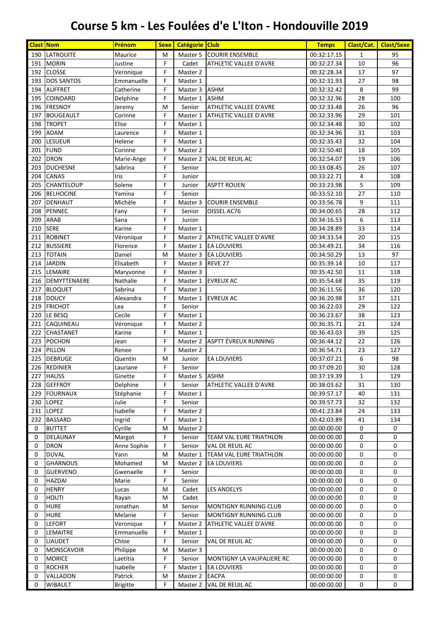| <b>Clast Nom</b> |                                | Prénom               | <b>Sexe</b> | Catégorie Club       |                               | <b>Temps</b>               | Clast/Cat.   | <b>Clast/Sexe</b> |
|------------------|--------------------------------|----------------------|-------------|----------------------|-------------------------------|----------------------------|--------------|-------------------|
| 190              | <b>LATROUITE</b>               | Maurice              | M           | Master 5             | <b>COURIR ENSEMBLE</b>        | 00:32:17.15                | $\mathbf{1}$ | 95                |
| 191              | <b>MORIN</b>                   | Justine              | F           | Cadet                | ATHLETIC VALLEE D'AVRE        | 00:32:27.34                | 10           | 96                |
| 192              | <b>CLOSSE</b>                  | Veronique            | F           | Master 2             |                               | 00:32:28.34                | 17           | 97                |
| 193              | <b>DOS SANTOS</b>              | Emmanuelle           | F           | Master 1             |                               | 00:32:31.93                | 27           | 98                |
| 194              | <b>AUFFRET</b>                 | Catherine            | F           | Master 3             | <b>ASHM</b>                   | 00:32:32.42                | 8            | 99                |
| 195              | <b>COINDARD</b>                | Delphine             | F           | Master 1             | <b>ASHM</b>                   | 00:32:32.96                | 28           | 100               |
| 196              | <b>FRESNOY</b>                 | Jeremy               | M           | Senior               | <b>ATHLETIC VALLEE D'AVRE</b> | 00:32:33.48                | 26           | 96                |
| 197              | <b>BOUGEAULT</b>               | Corinne              | F           | Master 1             | ATHLETIC VALLEE D'AVRE        | 00:32:33.96                | 29           | 101               |
| 198              | <b>TROPET</b>                  | Elise                | F           | Master 1             |                               | 00:32:34.48                | 30           | 102               |
| 199              | <b>ADAM</b>                    | Laurence             | F           | Master 1             |                               | 00:32:34.96                | 31           | 103               |
| 200              | <b>LESUEUR</b>                 | Helene               | F           | Master 1             |                               | 00:32:35.43                | 32           | 104               |
| 201              | <b>FUND</b>                    | Corinne              | F           | Master 2             |                               | 00:32:50.40                | 18           | 105               |
| 202              | <b>DRON</b>                    | Marie-Ange           | F           | Master 2             | VAL DE REUIL AC               | 00:32:54.07                | 19           | 106               |
| 203              | <b>DUCHESNE</b>                | Sabrina              | F           | Senior               |                               | 00:33:08.45                | 26           | 107               |
| 204              | CANAS                          | Iris                 | F           | Junior               |                               | 00:33:22.71                | 4            | 108               |
| 205              | <b>CHANTELOUP</b>              | Solene               | F           | Junior               | <b>ASPTT ROUEN</b>            | 00:33:23.98                | 5            | 109               |
| 206              | <b>BELHOCINE</b>               | Yamina               | F           | Senior               |                               | 00:33:52.10                | 27           | 110               |
| 207              | DENHAUT                        | Michèle              | F           | Master 3             | <b>COURIR ENSEMBLE</b>        | 00:33:56.78                | 9            | 111               |
| 208              | <b>PENNEC</b>                  | Fany                 | F           | Senior               | OISSEL AC76                   | 00:34:00.65                | 28           | 112               |
| 209              | <b>ARAB</b>                    | Sana                 | F           | Junior               |                               | 00:34:16.53                | 6            | 113               |
| 210              | <b>SERE</b>                    | Karine               | F           | Master 1             |                               | 00:34:28.89                | 33           | 114               |
| 211              | <b>ROBINET</b>                 | Véronique            | F           | Master 2             | <b>ATHLETIC VALLEE D'AVRE</b> | 00:34:33.54                | 20           | 115               |
| 212              | <b>BUSSIERE</b>                | Florence             | F           | Master 1             | <b>EA LOUVIERS</b>            | 00:34:49.21                | 34           | 116               |
| 213              | <b>TOTAIN</b>                  | Daniel               | M           | Master 3             | <b>EA LOUVIERS</b>            | 00:34:50.29                | 13           | 97                |
| 214              | <b>JARDIN</b>                  | Elisabeth            | F           | Master 3             | REVE 27                       | 00:35:39.14                | 10           | 117               |
| 215<br>216       | LEMAIRE                        | Maryvonne            | F<br>F      | Master 3             | <b>EVREUX AC</b>              | 00:35:42.50                | 11<br>35     | 118<br>119        |
| 217              | DEMYTTENAERE                   | Nathalie             | F           | Master 1             |                               | 00:35:54.68                |              | 120               |
| 218              | <b>BLOQUET</b><br><b>DOUCY</b> | Sabrina<br>Alexandra | F           | Master 1<br>Master 1 | <b>EVREUX AC</b>              | 00:36:11.56<br>00:36:20.98 | 36<br>37     | 121               |
| 219              | <b>FRICHOT</b>                 | Lea                  | F           | Senior               |                               | 00:36:22.03                | 29           | 122               |
| 220              | LE BESQ                        | Cecile               | F           | Master 1             |                               | 00:36:23.67                | 38           | 123               |
| 221              | CAQUINEAU                      | Véronique            | F           | Master 2             |                               | 00:36:35.71                | 21           | 124               |
| 222              | <b>CHASTANET</b>               | Karine               | F           | Master 1             |                               | 00:36:43.03                | 39           | 125               |
| 223              | <b>POCHON</b>                  | Jean                 | F           | Master 2             | ASPTT ÉVREUX RUNNING          | 00:36:44.12                | 22           | 126               |
| 224              | PILLON                         | Renee                | F           | Master 2             |                               | 00:36:54.71                | 23           | 127               |
| 225              | <b>DEBRUGE</b>                 | Quentin              | M           | Junior               | <b>EA LOUVIERS</b>            | 00:37:07.21                | 6            | 98                |
|                  | 226 REDINIER                   | Lauriane             | F           | Senior               |                               | 00:37:09.20                | 30           | 128               |
|                  | 227 HAUSS                      | Ginette              | F           | Master 5             | ASHM                          | 00:37:19.39                | 1            | 129               |
| 228              | <b>GEFFROY</b>                 | Delphine             | F           | Senior               | ATHLETIC VALLEE D'AVRE        | 00:38:03.62                | 31           | 130               |
| 229              | <b>FOURNAUX</b>                | Stéphanie            | F           | Master 1             |                               | 00:39:57.17                | 40           | 131               |
| 230              | <b>LOPEZ</b>                   | Julie                | F           | Senior               |                               | 00:39:57.73                | 32           | 132               |
| 231              | <b>LOPEZ</b>                   | Isabelle             | F           | Master 2             |                               | 00:41:23.84                | 24           | 133               |
| 232              | <b>BASSARD</b>                 | Ingrid               | F           | Master 1             |                               | 00:42:03.89                | 41           | 134               |
| 0                | <b>BUTTET</b>                  | Cyrille              | M           | Master 2             |                               | 00:00:00.00                | 0            | 0                 |
| 0                | DELAUNAY                       | Margot               | F           | Senior               | TEAM VAL EURE TRIATHLON       | 00:00:00.00                | 0            | 0                 |
| 0                | <b>DRON</b>                    | Anne Sophie          | F           | Senior               | VAL DE REUIL AC               | 00:00:00.00                | 0            | 0                 |
| 0                | <b>DUVAL</b>                   | Yann                 | M           | Master 1             | TEAM VAL EURE TRIATHLON       | 00:00:00.00                | 0            | 0                 |
| 0                | <b>GHARNOUS</b>                | Mohamed              | M           | Master 2             | <b>EA LOUVIERS</b>            | 00:00:00.00                | 0            | 0                 |
| 0                | <b>GUERVENO</b>                | Gwenaelle            | F           | Senior               |                               | 00:00:00.00                | 0            | 0                 |
| 0                | <b>HAZDAI</b>                  | Marie                | F           | Senior               |                               | 00:00:00.00                | 0            | 0                 |
| 0                | <b>HENRY</b>                   | Lucas                | M           | Cadet                | <b>LES ANDELYS</b>            | 00:00:00.00                | 0            | 0                 |
| 0                | <b>HOUTI</b>                   | Rayan                | M           | Cadet                |                               | 00:00:00.00                | 0            | 0                 |
| 0                | <b>HURE</b>                    | Jonathan             | M           | Senior               | <b>MONTIGNY RUNNING CLUB</b>  | 00:00:00.00                | 0            | 0                 |
| 0                | <b>HURE</b>                    | Melanie              | F           | Senior               | MONTIGNY RUNNING CLUB         | 00:00:00.00                | 0            | 0                 |
| 0                | <b>LEFORT</b>                  | Veronique            | F           | Master 2             | ATHLETIC VALLEE D'AVRE        | 00:00:00.00                | 0            | 0                 |
| 0                | LEMAITRE                       | Emmanuelle           | F           | Master 1             |                               | 00:00:00.00                | 0            | 0                 |
| 0                | <b>LIAUDET</b>                 | Chloe                | F           | Senior               | VAL DE REUIL AC               | 00:00:00.00                | 0            | 0                 |
| 0                | MONSCAVOIR                     | Philippe             | M           | Master 3             |                               | 00:00:00.00                | 0            | 0                 |
| 0                | <b>MORICE</b>                  | Laetitia             | F           | Senior               | MONTIGNY LA VAUPALIERE RC     | 00:00:00.00                | 0            | 0                 |
| 0                | <b>ROCHER</b>                  | Isabelle             | F           | Master 1             | <b>EA LOUVIERS</b>            | 00:00:00.00                | 0            | 0                 |
| 0                | VALLADON                       | Patrick              | M           | Master 2             | <b>EACPA</b>                  | 00:00:00.00                | 0            | 0                 |
| 0                | <b>WIBAULT</b>                 | <b>Brigitte</b>      | F.          | Master 2             | VAL DE REUIL AC               | 00:00:00.00                | 0            | 0                 |